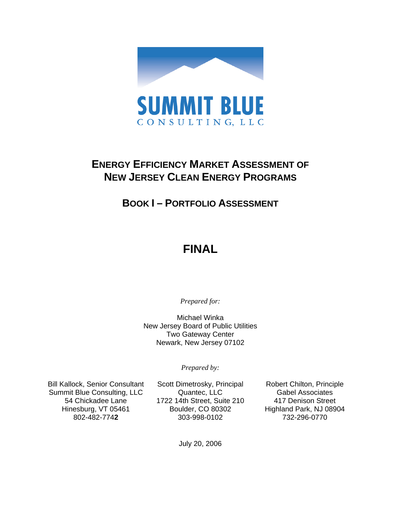

## **ENERGY EFFICIENCY MARKET ASSESSMENT OF NEW JERSEY CLEAN ENERGY PROGRAMS**

## **BOOK I – PORTFOLIO ASSESSMENT**

# **FINAL**

*Prepared for:* 

Michael Winka New Jersey Board of Public Utilities Two Gateway Center Newark, New Jersey 07102

*Prepared by:* 

Bill Kallock, Senior Consultant Summit Blue Consulting, LLC 54 Chickadee Lane Hinesburg, VT 05461 802-482-774**2**

Scott Dimetrosky, Principal Quantec, LLC 1722 14th Street, Suite 210 Boulder, CO 80302 303-998-0102

Robert Chilton, Principle Gabel Associates 417 Denison Street Highland Park, NJ 08904 732-296-0770

July 20, 2006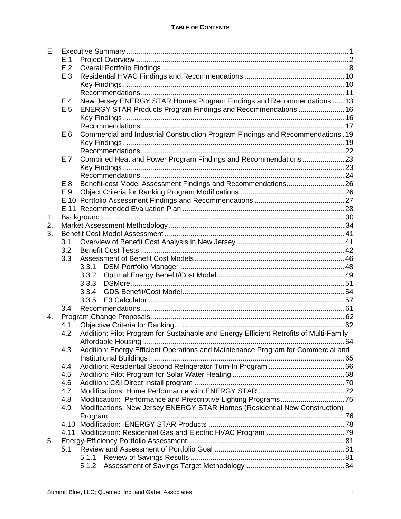| Е. |      |                                                                            |                                                                                        |  |  |  |  |
|----|------|----------------------------------------------------------------------------|----------------------------------------------------------------------------------------|--|--|--|--|
|    | E.1  |                                                                            |                                                                                        |  |  |  |  |
|    | E.2  |                                                                            |                                                                                        |  |  |  |  |
|    | E.3  |                                                                            |                                                                                        |  |  |  |  |
|    |      |                                                                            |                                                                                        |  |  |  |  |
|    |      |                                                                            |                                                                                        |  |  |  |  |
|    | E.4  |                                                                            | New Jersey ENERGY STAR Homes Program Findings and Recommendations  13                  |  |  |  |  |
|    | E.5  |                                                                            | ENERGY STAR Products Program Findings and Recommendations  16                          |  |  |  |  |
|    |      |                                                                            |                                                                                        |  |  |  |  |
|    |      |                                                                            |                                                                                        |  |  |  |  |
|    | E.6  |                                                                            | Commercial and Industrial Construction Program Findings and Recommendations. 19        |  |  |  |  |
|    |      |                                                                            |                                                                                        |  |  |  |  |
|    |      |                                                                            |                                                                                        |  |  |  |  |
|    | E.7  |                                                                            | Combined Heat and Power Program Findings and Recommendations23                         |  |  |  |  |
|    |      |                                                                            |                                                                                        |  |  |  |  |
|    |      |                                                                            |                                                                                        |  |  |  |  |
|    | E.8  |                                                                            | Benefit-cost Model Assessment Findings and Recommendations26                           |  |  |  |  |
|    | E.9  |                                                                            |                                                                                        |  |  |  |  |
|    |      |                                                                            |                                                                                        |  |  |  |  |
|    |      |                                                                            |                                                                                        |  |  |  |  |
| 1. |      |                                                                            |                                                                                        |  |  |  |  |
| 2. |      |                                                                            |                                                                                        |  |  |  |  |
| 3. |      |                                                                            |                                                                                        |  |  |  |  |
|    | 3.1  |                                                                            |                                                                                        |  |  |  |  |
|    | 3.2  |                                                                            |                                                                                        |  |  |  |  |
|    | 3.3  |                                                                            |                                                                                        |  |  |  |  |
|    |      | 3.3.1                                                                      |                                                                                        |  |  |  |  |
|    |      | 3.3.2                                                                      |                                                                                        |  |  |  |  |
|    |      | 3.3.3                                                                      |                                                                                        |  |  |  |  |
|    |      | 3.3.4                                                                      |                                                                                        |  |  |  |  |
|    |      | 3.3.5                                                                      |                                                                                        |  |  |  |  |
|    | 3.4  |                                                                            |                                                                                        |  |  |  |  |
| 4. |      |                                                                            |                                                                                        |  |  |  |  |
|    | 4.1  |                                                                            |                                                                                        |  |  |  |  |
|    | 4.2  |                                                                            | Addition: Pilot Program for Sustainable and Energy Efficient Retrofits of Multi-Family |  |  |  |  |
|    |      |                                                                            |                                                                                        |  |  |  |  |
|    | 4.3  |                                                                            | Addition: Energy Efficient Operations and Maintenance Program for Commercial and       |  |  |  |  |
|    |      |                                                                            |                                                                                        |  |  |  |  |
|    | 4.4  |                                                                            |                                                                                        |  |  |  |  |
|    | 4.5  |                                                                            |                                                                                        |  |  |  |  |
|    | 4.6  |                                                                            |                                                                                        |  |  |  |  |
|    | 4.7  |                                                                            |                                                                                        |  |  |  |  |
|    | 4.8  |                                                                            |                                                                                        |  |  |  |  |
|    | 4.9  | Modifications: New Jersey ENERGY STAR Homes (Residential New Construction) |                                                                                        |  |  |  |  |
|    |      |                                                                            |                                                                                        |  |  |  |  |
|    | 4.10 |                                                                            |                                                                                        |  |  |  |  |
|    |      |                                                                            |                                                                                        |  |  |  |  |
| 5. |      |                                                                            |                                                                                        |  |  |  |  |
|    | 5.1  |                                                                            |                                                                                        |  |  |  |  |
|    |      | 5.1.1                                                                      |                                                                                        |  |  |  |  |
|    |      | 5.1.2                                                                      |                                                                                        |  |  |  |  |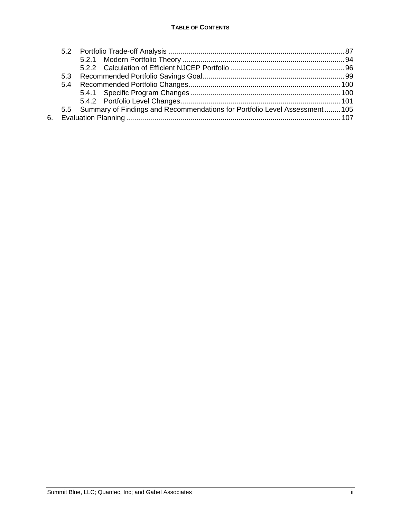|  | 5.5 Summary of Findings and Recommendations for Portfolio Level Assessment105 |  |
|--|-------------------------------------------------------------------------------|--|
|  |                                                                               |  |
|  |                                                                               |  |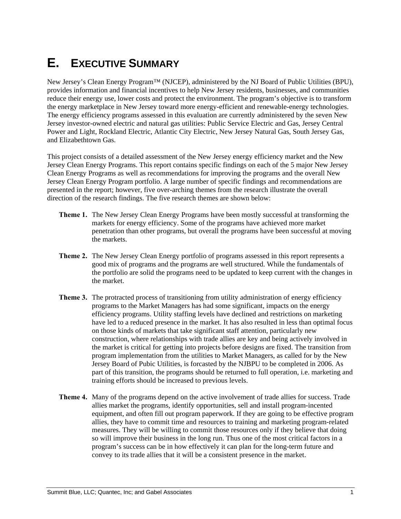# **E. EXECUTIVE SUMMARY**

New Jersey's Clean Energy Program™ (NJCEP), administered by the NJ Board of Public Utilities (BPU), provides information and financial incentives to help New Jersey residents, businesses, and communities reduce their energy use, lower costs and protect the environment. The program's objective is to transform the energy marketplace in New Jersey toward more energy-efficient and renewable-energy technologies. The energy efficiency programs assessed in this evaluation are currently administered by the seven New Jersey investor-owned electric and natural gas utilities: Public Service Electric and Gas, Jersey Central Power and Light, Rockland Electric, Atlantic City Electric, New Jersey Natural Gas, South Jersey Gas, and Elizabethtown Gas.

This project consists of a detailed assessment of the New Jersey energy efficiency market and the New Jersey Clean Energy Programs. This report contains specific findings on each of the 5 major New Jersey Clean Energy Programs as well as recommendations for improving the programs and the overall New Jersey Clean Energy Program portfolio. A large number of specific findings and recommendations are presented in the report; however, five over-arching themes from the research illustrate the overall direction of the research findings. The five research themes are shown below:

- **Theme 1.** The New Jersey Clean Energy Programs have been mostly successful at transforming the markets for energy efficiency. Some of the programs have achieved more market penetration than other programs, but overall the programs have been successful at moving the markets.
- **Theme 2.** The New Jersey Clean Energy portfolio of programs assessed in this report represents a good mix of programs and the programs are well structured. While the fundamentals of the portfolio are solid the programs need to be updated to keep current with the changes in the market.
- **Theme 3.** The protracted process of transitioning from utility administration of energy efficiency programs to the Market Managers has had some significant, impacts on the energy efficiency programs. Utility staffing levels have declined and restrictions on marketing have led to a reduced presence in the market. It has also resulted in less than optimal focus on those kinds of markets that take significant staff attention, particularly new construction, where relationships with trade allies are key and being actively involved in the market is critical for getting into projects before designs are fixed. The transition from program implementation from the utilities to Market Managers, as called for by the New Jersey Board of Pubic Utilities, is forcasted by the NJBPU to be completed in 2006. As part of this transition, the programs should be returned to full operation, i.e. marketing and training efforts should be increased to previous levels.
- **Theme 4.** Many of the programs depend on the active involvement of trade allies for success. Trade allies market the programs, identify opportunities, sell and install program-incented equipment, and often fill out program paperwork. If they are going to be effective program allies, they have to commit time and resources to training and marketing program-related measures. They will be willing to commit those resources only if they believe that doing so will improve their business in the long run. Thus one of the most critical factors in a program's success can be in how effectively it can plan for the long-term future and convey to its trade allies that it will be a consistent presence in the market.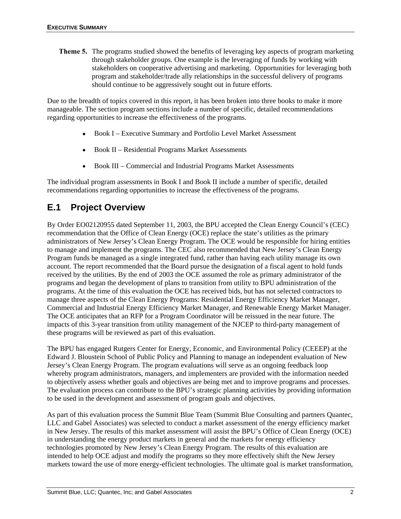**Theme 5.** The programs studied showed the benefits of leveraging key aspects of program marketing through stakeholder groups. One example is the leveraging of funds by working with stakeholders on cooperative advertising and marketing. Opportunities for leveraging both program and stakeholder/trade ally relationships in the successful delivery of programs should continue to be aggressively sought out in future efforts.

Due to the breadth of topics covered in this report, it has been broken into three books to make it more manageable. The section program sections include a number of specific, detailed recommendations regarding opportunities to increase the effectiveness of the programs.

- Book I Executive Summary and Portfolio Level Market Assessment
- Book II Residential Programs Market Assessments
- Book III Commercial and Industrial Programs Market Assessments

The individual program assessments in Book I and Book II include a number of specific, detailed recommendations regarding opportunities to increase the effectiveness of the programs.

## **E.1 Project Overview**

By Order EO02120955 dated September 11, 2003, the BPU accepted the Clean Energy Council's (CEC) recommendation that the Office of Clean Energy (OCE) replace the state's utilities as the primary administrators of New Jersey's Clean Energy Program. The OCE would be responsible for hiring entities to manage and implement the programs. The CEC also recommended that New Jersey's Clean Energy Program funds be managed as a single integrated fund, rather than having each utility manage its own account. The report recommended that the Board pursue the designation of a fiscal agent to hold funds received by the utilities. By the end of 2003 the OCE assumed the role as primary administrator of the programs and began the development of plans to transition from utility to BPU administration of the programs. At the time of this evaluation the OCE has received bids, but has not selected contractors to manage three aspects of the Clean Energy Programs: Residential Energy Efficiency Market Manager, Commercial and Industrial Energy Efficiency Market Manager, and Renewable Energy Market Manager. The OCE anticipates that an RFP for a Program Coordinator will be reissued in the near future. The impacts of this 3-year transition from utility management of the NJCEP to third-party management of these programs will be reviewed as part of this evaluation.

The BPU has engaged Rutgers Center for Energy, Economic, and Environmental Policy (CEEEP) at the Edward J. Bloustein School of Public Policy and Planning to manage an independent evaluation of New Jersey's Clean Energy Program. The program evaluations will serve as an ongoing feedback loop whereby program administrators, managers, and implementers are provided with the information needed to objectively assess whether goals and objectives are being met and to improve programs and processes. The evaluation process can contribute to the BPU's strategic planning activities by providing information to be used in the development and assessment of program goals and objectives.

As part of this evaluation process the Summit Blue Team (Summit Blue Consulting and partners Quantec, LLC and Gabel Associates) was selected to conduct a market assessment of the energy efficiency market in New Jersey. The results of this market assessment will assist the BPU's Office of Clean Energy (OCE) in understanding the energy product markets in general and the markets for energy efficiency technologies promoted by New Jersey's Clean Energy Program. The results of this evaluation are intended to help OCE adjust and modify the programs so they more effectively shift the New Jersey markets toward the use of more energy-efficient technologies. The ultimate goal is market transformation,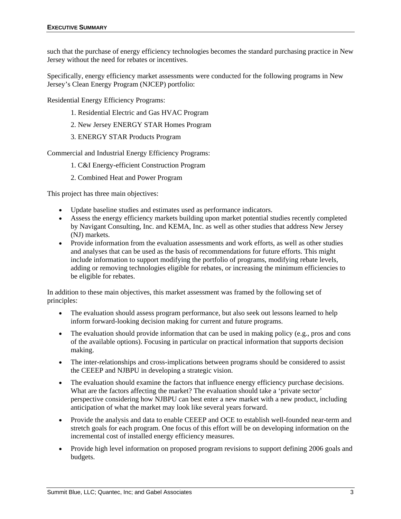such that the purchase of energy efficiency technologies becomes the standard purchasing practice in New Jersey without the need for rebates or incentives.

Specifically, energy efficiency market assessments were conducted for the following programs in New Jersey's Clean Energy Program (NJCEP) portfolio:

Residential Energy Efficiency Programs:

- 1. Residential Electric and Gas HVAC Program
- 2. New Jersey ENERGY STAR Homes Program
- 3. ENERGY STAR Products Program

Commercial and Industrial Energy Efficiency Programs:

- 1. C&I Energy-efficient Construction Program
- 2. Combined Heat and Power Program

This project has three main objectives:

- Update baseline studies and estimates used as performance indicators.
- Assess the energy efficiency markets building upon market potential studies recently completed by Navigant Consulting, Inc. and KEMA, Inc. as well as other studies that address New Jersey (NJ) markets.
- Provide information from the evaluation assessments and work efforts, as well as other studies and analyses that can be used as the basis of recommendations for future efforts. This might include information to support modifying the portfolio of programs, modifying rebate levels, adding or removing technologies eligible for rebates, or increasing the minimum efficiencies to be eligible for rebates.

In addition to these main objectives, this market assessment was framed by the following set of principles:

- The evaluation should assess program performance, but also seek out lessons learned to help inform forward-looking decision making for current and future programs.
- The evaluation should provide information that can be used in making policy (e.g., pros and cons of the available options). Focusing in particular on practical information that supports decision making.
- The inter-relationships and cross-implications between programs should be considered to assist the CEEEP and NJBPU in developing a strategic vision.
- The evaluation should examine the factors that influence energy efficiency purchase decisions. What are the factors affecting the market? The evaluation should take a 'private sector' perspective considering how NJBPU can best enter a new market with a new product, including anticipation of what the market may look like several years forward.
- Provide the analysis and data to enable CEEEP and OCE to establish well-founded near-term and stretch goals for each program. One focus of this effort will be on developing information on the incremental cost of installed energy efficiency measures.
- Provide high level information on proposed program revisions to support defining 2006 goals and budgets.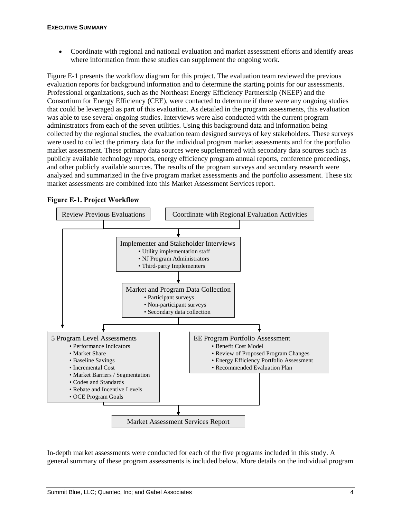• Coordinate with regional and national evaluation and market assessment efforts and identify areas where information from these studies can supplement the ongoing work.

Figure E-1 presents the workflow diagram for this project. The evaluation team reviewed the previous evaluation reports for background information and to determine the starting points for our assessments. Professional organizations, such as the Northeast Energy Efficiency Partnership (NEEP) and the Consortium for Energy Efficiency (CEE), were contacted to determine if there were any ongoing studies that could be leveraged as part of this evaluation. As detailed in the program assessments, this evaluation was able to use several ongoing studies. Interviews were also conducted with the current program administrators from each of the seven utilities. Using this background data and information being collected by the regional studies, the evaluation team designed surveys of key stakeholders. These surveys were used to collect the primary data for the individual program market assessments and for the portfolio market assessment. These primary data sources were supplemented with secondary data sources such as publicly available technology reports, energy efficiency program annual reports, conference proceedings, and other publicly available sources. The results of the program surveys and secondary research were analyzed and summarized in the five program market assessments and the portfolio assessment. These six market assessments are combined into this Market Assessment Services report.

### **Figure E-1. Project Workflow**



In-depth market assessments were conducted for each of the five programs included in this study. A general summary of these program assessments is included below. More details on the individual program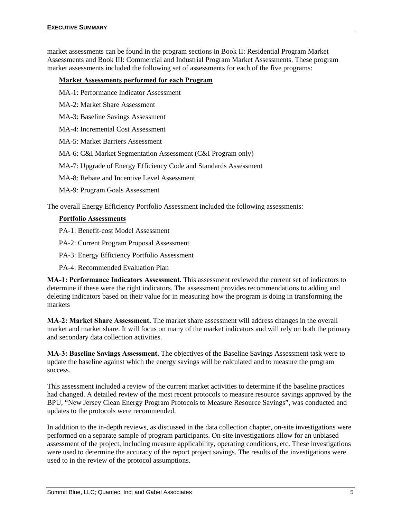market assessments can be found in the program sections in Book II: Residential Program Market Assessments and Book III: Commercial and Industrial Program Market Assessments. These program market assessments included the following set of assessments for each of the five programs:

### **Market Assessments performed for each Program**

MA-1: Performance Indicator Assessment

MA-2: Market Share Assessment

MA-3: Baseline Savings Assessment

MA-4: Incremental Cost Assessment

MA-5: Market Barriers Assessment

MA-6: C&I Market Segmentation Assessment (C&I Program only)

MA-7: Upgrade of Energy Efficiency Code and Standards Assessment

MA-8: Rebate and Incentive Level Assessment

MA-9: Program Goals Assessment

The overall Energy Efficiency Portfolio Assessment included the following assessments:

### **Portfolio Assessments**

PA-1: Benefit-cost Model Assessment

PA-2: Current Program Proposal Assessment

PA-3: Energy Efficiency Portfolio Assessment

PA-4: Recommended Evaluation Plan

**MA-1: Performance Indicators Assessment.** This assessment reviewed the current set of indicators to determine if these were the right indicators. The assessment provides recommendations to adding and deleting indicators based on their value for in measuring how the program is doing in transforming the markets

**MA-2: Market Share Assessment.** The market share assessment will address changes in the overall market and market share. It will focus on many of the market indicators and will rely on both the primary and secondary data collection activities.

**MA-3: Baseline Savings Assessment.** The objectives of the Baseline Savings Assessment task were to update the baseline against which the energy savings will be calculated and to measure the program success.

This assessment included a review of the current market activities to determine if the baseline practices had changed. A detailed review of the most recent protocols to measure resource savings approved by the BPU, "New Jersey Clean Energy Program Protocols to Measure Resource Savings", was conducted and updates to the protocols were recommended.

In addition to the in-depth reviews, as discussed in the data collection chapter, on-site investigations were performed on a separate sample of program participants. On-site investigations allow for an unbiased assessment of the project, including measure applicability, operating conditions, etc. These investigations were used to determine the accuracy of the report project savings. The results of the investigations were used to in the review of the protocol assumptions.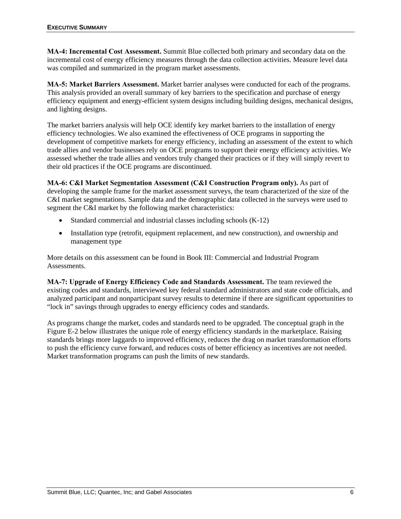**MA-4: Incremental Cost Assessment.** Summit Blue collected both primary and secondary data on the incremental cost of energy efficiency measures through the data collection activities. Measure level data was compiled and summarized in the program market assessments.

**MA-5: Market Barriers Assessment.** Market barrier analyses were conducted for each of the programs. This analysis provided an overall summary of key barriers to the specification and purchase of energy efficiency equipment and energy-efficient system designs including building designs, mechanical designs, and lighting designs.

The market barriers analysis will help OCE identify key market barriers to the installation of energy efficiency technologies. We also examined the effectiveness of OCE programs in supporting the development of competitive markets for energy efficiency, including an assessment of the extent to which trade allies and vendor businesses rely on OCE programs to support their energy efficiency activities. We assessed whether the trade allies and vendors truly changed their practices or if they will simply revert to their old practices if the OCE programs are discontinued.

**MA-6: C&I Market Segmentation Assessment (C&I Construction Program only).** As part of developing the sample frame for the market assessment surveys, the team characterized of the size of the C&I market segmentations. Sample data and the demographic data collected in the surveys were used to segment the C&I market by the following market characteristics:

- Standard commercial and industrial classes including schools (K-12)
- Installation type (retrofit, equipment replacement, and new construction), and ownership and management type

More details on this assessment can be found in Book III: Commercial and Industrial Program Assessments.

**MA-7: Upgrade of Energy Efficiency Code and Standards Assessment.** The team reviewed the existing codes and standards, interviewed key federal standard administrators and state code officials, and analyzed participant and nonparticipant survey results to determine if there are significant opportunities to "lock in" savings through upgrades to energy efficiency codes and standards.

As programs change the market, codes and standards need to be upgraded. The conceptual graph in the Figure E-2 below illustrates the unique role of energy efficiency standards in the marketplace. Raising standards brings more laggards to improved efficiency, reduces the drag on market transformation efforts to push the efficiency curve forward, and reduces costs of better efficiency as incentives are not needed. Market transformation programs can push the limits of new standards.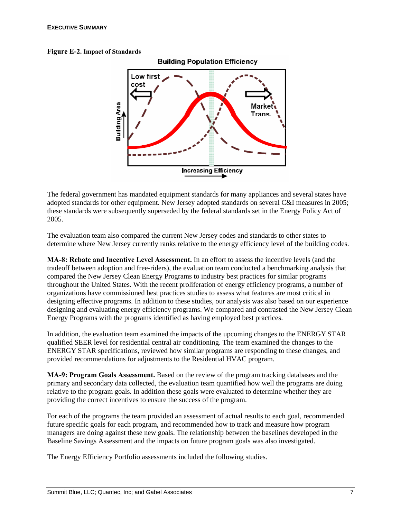#### **Figure E-2. Impact of Standards**



The federal government has mandated equipment standards for many appliances and several states have adopted standards for other equipment. New Jersey adopted standards on several C&I measures in 2005; these standards were subsequently superseded by the federal standards set in the Energy Policy Act of 2005.

The evaluation team also compared the current New Jersey codes and standards to other states to determine where New Jersey currently ranks relative to the energy efficiency level of the building codes.

**MA-8: Rebate and Incentive Level Assessment.** In an effort to assess the incentive levels (and the tradeoff between adoption and free-riders), the evaluation team conducted a benchmarking analysis that compared the New Jersey Clean Energy Programs to industry best practices for similar programs throughout the United States. With the recent proliferation of energy efficiency programs, a number of organizations have commissioned best practices studies to assess what features are most critical in designing effective programs. In addition to these studies, our analysis was also based on our experience designing and evaluating energy efficiency programs. We compared and contrasted the New Jersey Clean Energy Programs with the programs identified as having employed best practices.

In addition, the evaluation team examined the impacts of the upcoming changes to the ENERGY STAR qualified SEER level for residential central air conditioning. The team examined the changes to the ENERGY STAR specifications, reviewed how similar programs are responding to these changes, and provided recommendations for adjustments to the Residential HVAC program.

**MA-9: Program Goals Assessment.** Based on the review of the program tracking databases and the primary and secondary data collected, the evaluation team quantified how well the programs are doing relative to the program goals. In addition these goals were evaluated to determine whether they are providing the correct incentives to ensure the success of the program.

For each of the programs the team provided an assessment of actual results to each goal, recommended future specific goals for each program, and recommended how to track and measure how program managers are doing against these new goals. The relationship between the baselines developed in the Baseline Savings Assessment and the impacts on future program goals was also investigated.

The Energy Efficiency Portfolio assessments included the following studies.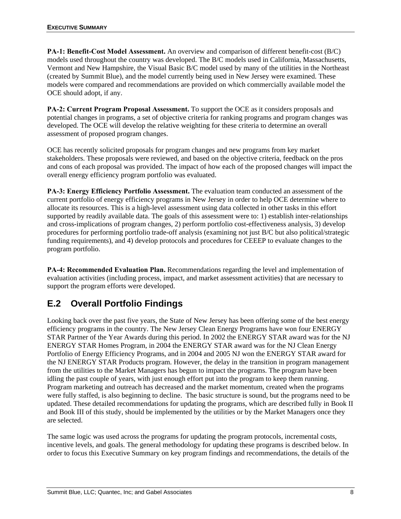**PA-1: Benefit-Cost Model Assessment.** An overview and comparison of different benefit-cost (B/C) models used throughout the country was developed. The B/C models used in California, Massachusetts, Vermont and New Hampshire, the Visual Basic B/C model used by many of the utilities in the Northeast (created by Summit Blue), and the model currently being used in New Jersey were examined. These models were compared and recommendations are provided on which commercially available model the OCE should adopt, if any.

**PA-2: Current Program Proposal Assessment.** To support the OCE as it considers proposals and potential changes in programs, a set of objective criteria for ranking programs and program changes was developed. The OCE will develop the relative weighting for these criteria to determine an overall assessment of proposed program changes.

OCE has recently solicited proposals for program changes and new programs from key market stakeholders. These proposals were reviewed, and based on the objective criteria, feedback on the pros and cons of each proposal was provided. The impact of how each of the proposed changes will impact the overall energy efficiency program portfolio was evaluated.

**PA-3: Energy Efficiency Portfolio Assessment.** The evaluation team conducted an assessment of the current portfolio of energy efficiency programs in New Jersey in order to help OCE determine where to allocate its resources. This is a high-level assessment using data collected in other tasks in this effort supported by readily available data. The goals of this assessment were to: 1) establish inter-relationships and cross-implications of program changes, 2) perform portfolio cost-effectiveness analysis, 3) develop procedures for performing portfolio trade-off analysis (examining not just B/C but also political/strategic funding requirements), and 4) develop protocols and procedures for CEEEP to evaluate changes to the program portfolio.

**PA-4: Recommended Evaluation Plan.** Recommendations regarding the level and implementation of evaluation activities (including process, impact, and market assessment activities) that are necessary to support the program efforts were developed.

## **E.2 Overall Portfolio Findings**

Looking back over the past five years, the State of New Jersey has been offering some of the best energy efficiency programs in the country. The New Jersey Clean Energy Programs have won four ENERGY STAR Partner of the Year Awards during this period. In 2002 the ENERGY STAR award was for the NJ ENERGY STAR Homes Program, in 2004 the ENERGY STAR award was for the NJ Clean Energy Portfolio of Energy Efficiency Programs, and in 2004 and 2005 NJ won the ENERGY STAR award for the NJ ENERGY STAR Products program. However, the delay in the transition in program management from the utilities to the Market Managers has begun to impact the programs. The program have been idling the past couple of years, with just enough effort put into the program to keep them running. Program marketing and outreach has decreased and the market momentum, created when the programs were fully staffed, is also beginning to decline. The basic structure is sound, but the programs need to be updated. These detailed recommendations for updating the programs, which are described fully in Book II and Book III of this study, should be implemented by the utilities or by the Market Managers once they are selected.

The same logic was used across the programs for updating the program protocols, incremental costs, incentive levels, and goals. The general methodology for updating these programs is described below. In order to focus this Executive Summary on key program findings and recommendations, the details of the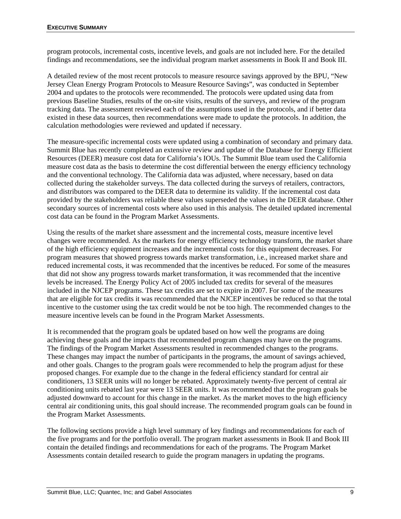program protocols, incremental costs, incentive levels, and goals are not included here. For the detailed findings and recommendations, see the individual program market assessments in Book II and Book III.

A detailed review of the most recent protocols to measure resource savings approved by the BPU, "New Jersey Clean Energy Program Protocols to Measure Resource Savings", was conducted in September 2004 and updates to the protocols were recommended. The protocols were updated using data from previous Baseline Studies, results of the on-site visits, results of the surveys, and review of the program tracking data. The assessment reviewed each of the assumptions used in the protocols, and if better data existed in these data sources, then recommendations were made to update the protocols. In addition, the calculation methodologies were reviewed and updated if necessary.

The measure-specific incremental costs were updated using a combination of secondary and primary data. Summit Blue has recently completed an extensive review and update of the Database for Energy Efficient Resources (DEER) measure cost data for California's IOUs. The Summit Blue team used the California measure cost data as the basis to determine the cost differential between the energy efficiency technology and the conventional technology. The California data was adjusted, where necessary, based on data collected during the stakeholder surveys. The data collected during the surveys of retailers, contractors, and distributors was compared to the DEER data to determine its validity. If the incremental cost data provided by the stakeholders was reliable these values superseded the values in the DEER database. Other secondary sources of incremental costs where also used in this analysis. The detailed updated incremental cost data can be found in the Program Market Assessments.

Using the results of the market share assessment and the incremental costs, measure incentive level changes were recommended. As the markets for energy efficiency technology transform, the market share of the high efficiency equipment increases and the incremental costs for this equipment decreases. For program measures that showed progress towards market transformation, i.e., increased market share and reduced incremental costs, it was recommended that the incentives be reduced. For some of the measures that did not show any progress towards market transformation, it was recommended that the incentive levels be increased. The Energy Policy Act of 2005 included tax credits for several of the measures included in the NJCEP programs. These tax credits are set to expire in 2007. For some of the measures that are eligible for tax credits it was recommended that the NJCEP incentives be reduced so that the total incentive to the customer using the tax credit would be not be too high. The recommended changes to the measure incentive levels can be found in the Program Market Assessments.

It is recommended that the program goals be updated based on how well the programs are doing achieving these goals and the impacts that recommended program changes may have on the programs. The findings of the Program Market Assessments resulted in recommended changes to the programs. These changes may impact the number of participants in the programs, the amount of savings achieved, and other goals. Changes to the program goals were recommended to help the program adjust for these proposed changes. For example due to the change in the federal efficiency standard for central air conditioners, 13 SEER units will no longer be rebated. Approximately twenty-five percent of central air conditioning units rebated last year were 13 SEER units. It was recommended that the program goals be adjusted downward to account for this change in the market. As the market moves to the high efficiency central air conditioning units, this goal should increase. The recommended program goals can be found in the Program Market Assessments.

The following sections provide a high level summary of key findings and recommendations for each of the five programs and for the portfolio overall. The program market assessments in Book II and Book III contain the detailed findings and recommendations for each of the programs. The Program Market Assessments contain detailed research to guide the program managers in updating the programs.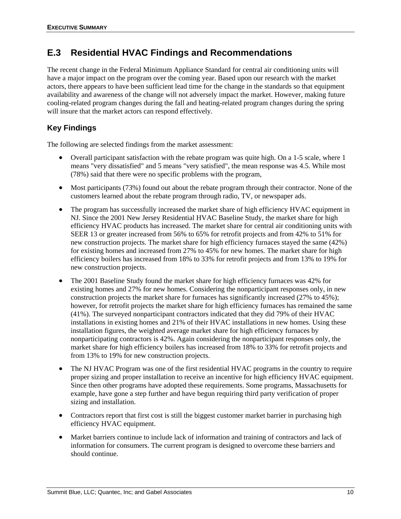### **E.3 Residential HVAC Findings and Recommendations**

The recent change in the Federal Minimum Appliance Standard for central air conditioning units will have a major impact on the program over the coming year. Based upon our research with the market actors, there appears to have been sufficient lead time for the change in the standards so that equipment availability and awareness of the change will not adversely impact the market. However, making future cooling-related program changes during the fall and heating-related program changes during the spring will insure that the market actors can respond effectively.

### **Key Findings**

The following are selected findings from the market assessment:

- Overall participant satisfaction with the rebate program was quite high. On a 1-5 scale, where 1 means "very dissatisfied" and 5 means "very satisfied", the mean response was 4.5. While most (78%) said that there were no specific problems with the program,
- Most participants (73%) found out about the rebate program through their contractor. None of the customers learned about the rebate program through radio, TV, or newspaper ads.
- The program has successfully increased the market share of high efficiency HVAC equipment in NJ. Since the 2001 New Jersey Residential HVAC Baseline Study, the market share for high efficiency HVAC products has increased. The market share for central air conditioning units with SEER 13 or greater increased from 56% to 65% for retrofit projects and from 42% to 51% for new construction projects. The market share for high efficiency furnaces stayed the same (42%) for existing homes and increased from 27% to 45% for new homes. The market share for high efficiency boilers has increased from 18% to 33% for retrofit projects and from 13% to 19% for new construction projects.
- The 2001 Baseline Study found the market share for high efficiency furnaces was 42% for existing homes and 27% for new homes. Considering the nonparticipant responses only, in new construction projects the market share for furnaces has significantly increased (27% to 45%); however, for retrofit projects the market share for high efficiency furnaces has remained the same (41%). The surveyed nonparticipant contractors indicated that they did 79% of their HVAC installations in existing homes and 21% of their HVAC installations in new homes. Using these installation figures, the weighted average market share for high efficiency furnaces by nonparticipating contractors is 42%. Again considering the nonparticipant responses only, the market share for high efficiency boilers has increased from 18% to 33% for retrofit projects and from 13% to 19% for new construction projects.
- The NJ HVAC Program was one of the first residential HVAC programs in the country to require proper sizing and proper installation to receive an incentive for high efficiency HVAC equipment. Since then other programs have adopted these requirements. Some programs, Massachusetts for example, have gone a step further and have begun requiring third party verification of proper sizing and installation.
- Contractors report that first cost is still the biggest customer market barrier in purchasing high efficiency HVAC equipment.
- Market barriers continue to include lack of information and training of contractors and lack of information for consumers. The current program is designed to overcome these barriers and should continue.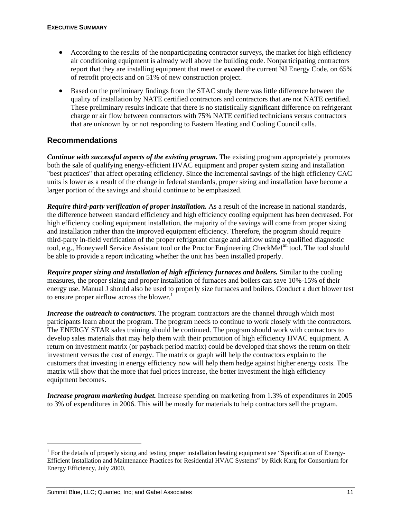- According to the results of the nonparticipating contractor surveys, the market for high efficiency air conditioning equipment is already well above the building code. Nonparticipating contractors report that they are installing equipment that meet or **exceed** the current NJ Energy Code, on 65% of retrofit projects and on 51% of new construction project.
- Based on the preliminary findings from the STAC study there was little difference between the quality of installation by NATE certified contractors and contractors that are not NATE certified. These preliminary results indicate that there is no statistically significant difference on refrigerant charge or air flow between contractors with 75% NATE certified technicians versus contractors that are unknown by or not responding to Eastern Heating and Cooling Council calls.

### **Recommendations**

*Continue with successful aspects of the existing program.* The existing program appropriately promotes both the sale of qualifying energy-efficient HVAC equipment and proper system sizing and installation "best practices" that affect operating efficiency. Since the incremental savings of the high efficiency CAC units is lower as a result of the change in federal standards, proper sizing and installation have become a larger portion of the savings and should continue to be emphasized.

*Require third-party verification of proper installation.* As a result of the increase in national standards, the difference between standard efficiency and high efficiency cooling equipment has been decreased. For high efficiency cooling equipment installation, the majority of the savings will come from proper sizing and installation rather than the improved equipment efficiency. Therefore, the program should require third-party in-field verification of the proper refrigerant charge and airflow using a qualified diagnostic tool, e.g., Honeywell Service Assistant tool or the Proctor Engineering CheckMe!<sup>tm</sup> tool. The tool should be able to provide a report indicating whether the unit has been installed properly.

*Require proper sizing and installation of high efficiency furnaces and boilers.* Similar to the cooling measures, the proper sizing and proper installation of furnaces and boilers can save 10%-15% of their energy use. Manual J should also be used to properly size furnaces and boilers. Conduct a duct blower test to ensure proper airflow across the blower.<sup>1</sup>

*Increase the outreach to contractors*. The program contractors are the channel through which most participants learn about the program. The program needs to continue to work closely with the contractors. The ENERGY STAR sales training should be continued. The program should work with contractors to develop sales materials that may help them with their promotion of high efficiency HVAC equipment. A return on investment matrix (or payback period matrix) could be developed that shows the return on their investment versus the cost of energy. The matrix or graph will help the contractors explain to the customers that investing in energy efficiency now will help them hedge against higher energy costs. The matrix will show that the more that fuel prices increase, the better investment the high efficiency equipment becomes.

*Increase program marketing budget.* Increase spending on marketing from 1.3% of expenditures in 2005 to 3% of expenditures in 2006. This will be mostly for materials to help contractors sell the program.

l

<sup>&</sup>lt;sup>1</sup> For the details of properly sizing and testing proper installation heating equipment see "Specification of Energy-Efficient Installation and Maintenance Practices for Residential HVAC Systems" by Rick Karg for Consortium for Energy Efficiency, July 2000.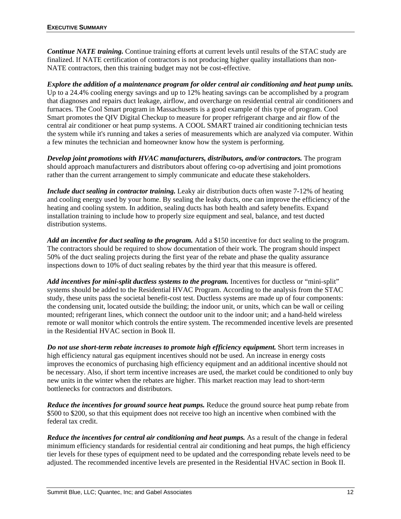*Continue NATE training.* Continue training efforts at current levels until results of the STAC study are finalized. If NATE certification of contractors is not producing higher quality installations than non-NATE contractors, then this training budget may not be cost-effective.

*Explore the addition of a maintenance program for older central air conditioning and heat pump units.* Up to a 24.4% cooling energy savings and up to 12% heating savings can be accomplished by a program that diagnoses and repairs duct leakage, airflow, and overcharge on residential central air conditioners and furnaces. The Cool Smart program in Massachusetts is a good example of this type of program. Cool Smart promotes the QIV Digital Checkup to measure for proper refrigerant charge and air flow of the central air conditioner or heat pump systems. A COOL SMART trained air conditioning technician tests the system while it's running and takes a series of measurements which are analyzed via computer. Within a few minutes the technician and homeowner know how the system is performing.

*Develop joint promotions with HVAC manufacturers, distributors, and/or contractors.* The program should approach manufacturers and distributors about offering co-op advertising and joint promotions rather than the current arrangement to simply communicate and educate these stakeholders.

*Include duct sealing in contractor training.* Leaky air distribution ducts often waste 7-12% of heating and cooling energy used by your home. By sealing the leaky ducts, one can improve the efficiency of the heating and cooling system. In addition, sealing ducts has both health and safety benefits. Expand installation training to include how to properly size equipment and seal, balance, and test ducted distribution systems.

*Add an incentive for duct sealing to the program.* Add a \$150 incentive for duct sealing to the program. The contractors should be required to show documentation of their work. The program should inspect 50% of the duct sealing projects during the first year of the rebate and phase the quality assurance inspections down to 10% of duct sealing rebates by the third year that this measure is offered.

Add incentives for mini-split ductless systems to the program. Incentives for ductless or "mini-split" systems should be added to the Residential HVAC Program. According to the analysis from the STAC study, these units pass the societal benefit-cost test. Ductless systems are made up of four components: the condensing unit, located outside the building; the indoor unit, or units, which can be wall or ceiling mounted; refrigerant lines, which connect the outdoor unit to the indoor unit; and a hand-held wireless remote or wall monitor which controls the entire system. The recommended incentive levels are presented in the Residential HVAC section in Book II.

*Do not use short-term rebate increases to promote high efficiency equipment.* **Short term increases in** high efficiency natural gas equipment incentives should not be used. An increase in energy costs improves the economics of purchasing high efficiency equipment and an additional incentive should not be necessary. Also, if short term incentive increases are used, the market could be conditioned to only buy new units in the winter when the rebates are higher. This market reaction may lead to short-term bottlenecks for contractors and distributors.

*Reduce the incentives for ground source heat pumps.* Reduce the ground source heat pump rebate from \$500 to \$200, so that this equipment does not receive too high an incentive when combined with the federal tax credit.

*Reduce the incentives for central air conditioning and heat pumps.* As a result of the change in federal minimum efficiency standards for residential central air conditioning and heat pumps, the high efficiency tier levels for these types of equipment need to be updated and the corresponding rebate levels need to be adjusted. The recommended incentive levels are presented in the Residential HVAC section in Book II.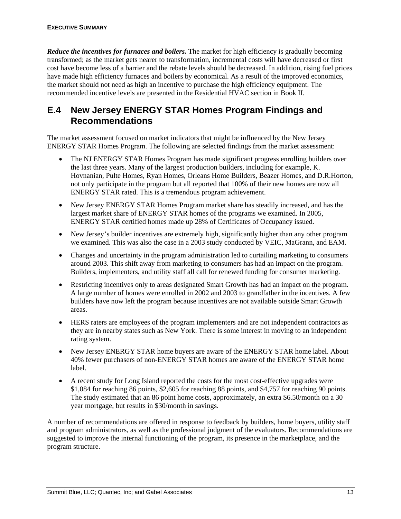*Reduce the incentives for furnaces and boilers.* The market for high efficiency is gradually becoming transformed; as the market gets nearer to transformation, incremental costs will have decreased or first cost have become less of a barrier and the rebate levels should be decreased. In addition, rising fuel prices have made high efficiency furnaces and boilers by economical. As a result of the improved economics, the market should not need as high an incentive to purchase the high efficiency equipment. The recommended incentive levels are presented in the Residential HVAC section in Book II.

## **E.4 New Jersey ENERGY STAR Homes Program Findings and Recommendations**

The market assessment focused on market indicators that might be influenced by the New Jersey ENERGY STAR Homes Program. The following are selected findings from the market assessment:

- The NJ ENERGY STAR Homes Program has made significant progress enrolling builders over the last three years. Many of the largest production builders, including for example, K. Hovnanian, Pulte Homes, Ryan Homes, Orleans Home Builders, Beazer Homes, and D.R.Horton, not only participate in the program but all reported that 100% of their new homes are now all ENERGY STAR rated. This is a tremendous program achievement.
- New Jersey ENERGY STAR Homes Program market share has steadily increased, and has the largest market share of ENERGY STAR homes of the programs we examined. In 2005, ENERGY STAR certified homes made up 28% of Certificates of Occupancy issued.
- New Jersey's builder incentives are extremely high, significantly higher than any other program we examined. This was also the case in a 2003 study conducted by VEIC, MaGrann, and EAM.
- Changes and uncertainty in the program administration led to curtailing marketing to consumers around 2003. This shift away from marketing to consumers has had an impact on the program. Builders, implementers, and utility staff all call for renewed funding for consumer marketing.
- Restricting incentives only to areas designated Smart Growth has had an impact on the program. A large number of homes were enrolled in 2002 and 2003 to grandfather in the incentives. A few builders have now left the program because incentives are not available outside Smart Growth areas.
- HERS raters are employees of the program implementers and are not independent contractors as they are in nearby states such as New York. There is some interest in moving to an independent rating system.
- New Jersey ENERGY STAR home buyers are aware of the ENERGY STAR home label. About 40% fewer purchasers of non-ENERGY STAR homes are aware of the ENERGY STAR home label.
- A recent study for Long Island reported the costs for the most cost-effective upgrades were \$1,084 for reaching 86 points, \$2,605 for reaching 88 points, and \$4,757 for reaching 90 points. The study estimated that an 86 point home costs, approximately, an extra \$6.50/month on a 30 year mortgage, but results in \$30/month in savings.

A number of recommendations are offered in response to feedback by builders, home buyers, utility staff and program administrators, as well as the professional judgment of the evaluators. Recommendations are suggested to improve the internal functioning of the program, its presence in the marketplace, and the program structure.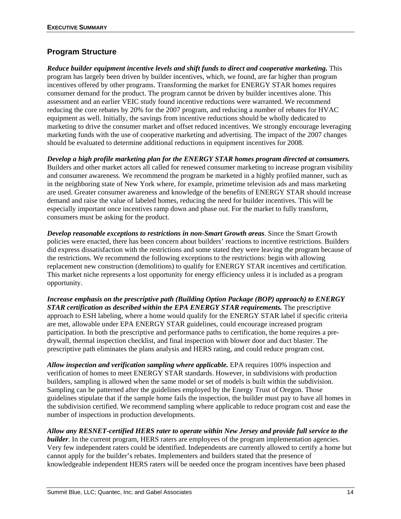### **Program Structure**

*Reduce builder equipment incentive levels and shift funds to direct and cooperative marketing.* This program has largely been driven by builder incentives, which, we found, are far higher than program incentives offered by other programs. Transforming the market for ENERGY STAR homes requires consumer demand for the product. The program cannot be driven by builder incentives alone. This assessment and an earlier VEIC study found incentive reductions were warranted. We recommend reducing the core rebates by 20% for the 2007 program, and reducing a number of rebates for HVAC equipment as well. Initially, the savings from incentive reductions should be wholly dedicated to marketing to drive the consumer market and offset reduced incentives. We strongly encourage leveraging marketing funds with the use of cooperative marketing and advertising. The impact of the 2007 changes should be evaluated to determine additional reductions in equipment incentives for 2008.

*Develop a high profile marketing plan for the ENERGY STAR homes program directed at consumers.*  Builders and other market actors all called for renewed consumer marketing to increase program visibility and consumer awareness. We recommend the program be marketed in a highly profiled manner, such as in the neighboring state of New York where, for example, primetime television ads and mass marketing are used. Greater consumer awareness and knowledge of the benefits of ENERGY STAR should increase demand and raise the value of labeled homes, reducing the need for builder incentives. This will be especially important once incentives ramp down and phase out. For the market to fully transform, consumers must be asking for the product.

*Develop reasonable exceptions to restrictions in non-Smart Growth areas*. Since the Smart Growth policies were enacted, there has been concern about builders' reactions to incentive restrictions. Builders did express dissatisfaction with the restrictions and some stated they were leaving the program because of the restrictions. We recommend the following exceptions to the restrictions: begin with allowing replacement new construction (demolitions) to qualify for ENERGY STAR incentives and certification. This market niche represents a lost opportunity for energy efficiency unless it is included as a program opportunity.

*Increase emphasis on the prescriptive path (Building Option Package (BOP) approach) to ENERGY STAR certification as described within the EPA ENERGY STAR requirements.* The prescriptive approach to ESH labeling, where a home would qualify for the ENERGY STAR label if specific criteria are met, allowable under EPA ENERGY STAR guidelines, could encourage increased program participation. In both the prescriptive and performance paths to certification, the home requires a predrywall, thermal inspection checklist, and final inspection with blower door and duct blaster. The prescriptive path eliminates the plans analysis and HERS rating, and could reduce program cost.

*Allow inspection and verification sampling where applicable.* EPA requires 100% inspection and verification of homes to meet ENERGY STAR standards. However, in subdivisions with production builders, sampling is allowed when the same model or set of models is built within the subdivision. Sampling can be patterned after the guidelines employed by the Energy Trust of Oregon. Those guidelines stipulate that if the sample home fails the inspection, the builder must pay to have all homes in the subdivision certified. We recommend sampling where applicable to reduce program cost and ease the number of inspections in production developments.

*Allow any RESNET-certified HERS rater to operate within New Jersey and provide full service to the builder*. In the current program, HERS raters are employees of the program implementation agencies. Very few independent raters could be identified. Independents are currently allowed to certify a home but cannot apply for the builder's rebates. Implementers and builders stated that the presence of knowledgeable independent HERS raters will be needed once the program incentives have been phased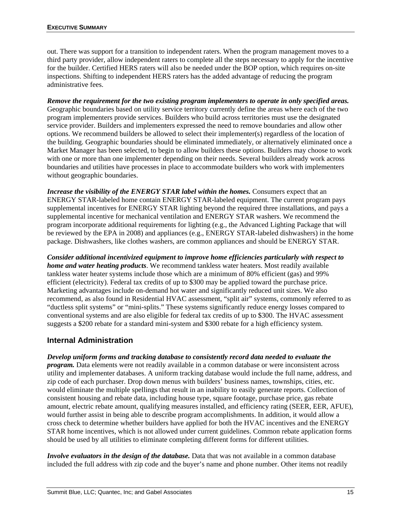out. There was support for a transition to independent raters. When the program management moves to a third party provider, allow independent raters to complete all the steps necessary to apply for the incentive for the builder. Certified HERS raters will also be needed under the BOP option, which requires on-site inspections. Shifting to independent HERS raters has the added advantage of reducing the program administrative fees.

*Remove the requirement for the two existing program implementers to operate in only specified areas.* Geographic boundaries based on utility service territory currently define the areas where each of the two program implementers provide services. Builders who build across territories must use the designated service provider. Builders and implementers expressed the need to remove boundaries and allow other options. We recommend builders be allowed to select their implementer(s) regardless of the location of the building. Geographic boundaries should be eliminated immediately, or alternatively eliminated once a Market Manager has been selected, to begin to allow builders these options. Builders may choose to work with one or more than one implementer depending on their needs. Several builders already work across boundaries and utilities have processes in place to accommodate builders who work with implementers without geographic boundaries.

*Increase the visibility of the ENERGY STAR label within the homes.* Consumers expect that an ENERGY STAR-labeled home contain ENERGY STAR-labeled equipment. The current program pays supplemental incentives for ENERGY STAR lighting beyond the required three installations, and pays a supplemental incentive for mechanical ventilation and ENERGY STAR washers. We recommend the program incorporate additional requirements for lighting (e.g., the Advanced Lighting Package that will be reviewed by the EPA in 2008) and appliances (e.g., ENERGY STAR-labeled dishwashers) in the home package. Dishwashers, like clothes washers, are common appliances and should be ENERGY STAR.

*Consider additional incentivized equipment to improve home efficiencies particularly with respect to home and water heating products*. We recommend tankless water heaters. Most readily available tankless water heater systems include those which are a minimum of 80% efficient (gas) and 99% efficient (electricity). Federal tax credits of up to \$300 may be applied toward the purchase price. Marketing advantages include on-demand hot water and significantly reduced unit sizes. We also recommend, as also found in Residential HVAC assessment, "split air" systems, commonly referred to as "ductless split systems" or "mini-splits." These systems significantly reduce energy losses compared to conventional systems and are also eligible for federal tax credits of up to \$300. The HVAC assessment suggests a \$200 rebate for a standard mini-system and \$300 rebate for a high efficiency system.

### **Internal Administration**

*Develop uniform forms and tracking database to consistently record data needed to evaluate the program.* Data elements were not readily available in a common database or were inconsistent across utility and implementer databases. A uniform tracking database would include the full name, address, and zip code of each purchaser. Drop down menus with builders' business names, townships, cities, etc. would eliminate the multiple spellings that result in an inability to easily generate reports. Collection of consistent housing and rebate data, including house type, square footage, purchase price, gas rebate amount, electric rebate amount, qualifying measures installed, and efficiency rating (SEER, EER, AFUE), would further assist in being able to describe program accomplishments. In addition, it would allow a cross check to determine whether builders have applied for both the HVAC incentives and the ENERGY STAR home incentives, which is not allowed under current guidelines. Common rebate application forms should be used by all utilities to eliminate completing different forms for different utilities.

*Involve evaluators in the design of the database.* Data that was not available in a common database included the full address with zip code and the buyer's name and phone number. Other items not readily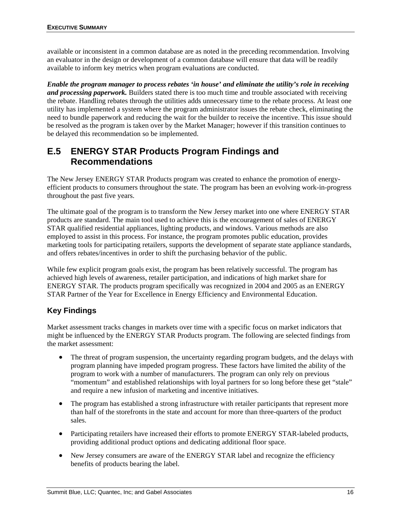available or inconsistent in a common database are as noted in the preceding recommendation. Involving an evaluator in the design or development of a common database will ensure that data will be readily available to inform key metrics when program evaluations are conducted.

*Enable the program manager to process rebates 'in house' and eliminate the utility's role in receiving and processing paperwork.* Builders stated there is too much time and trouble associated with receiving the rebate. Handling rebates through the utilities adds unnecessary time to the rebate process. At least one utility has implemented a system where the program administrator issues the rebate check, eliminating the need to bundle paperwork and reducing the wait for the builder to receive the incentive. This issue should be resolved as the program is taken over by the Market Manager; however if this transition continues to be delayed this recommendation so be implemented.

## **E.5 ENERGY STAR Products Program Findings and Recommendations**

The New Jersey ENERGY STAR Products program was created to enhance the promotion of energyefficient products to consumers throughout the state. The program has been an evolving work-in-progress throughout the past five years.

The ultimate goal of the program is to transform the New Jersey market into one where ENERGY STAR products are standard. The main tool used to achieve this is the encouragement of sales of ENERGY STAR qualified residential appliances, lighting products, and windows. Various methods are also employed to assist in this process. For instance, the program promotes public education, provides marketing tools for participating retailers, supports the development of separate state appliance standards, and offers rebates/incentives in order to shift the purchasing behavior of the public.

While few explicit program goals exist, the program has been relatively successful. The program has achieved high levels of awareness, retailer participation, and indications of high market share for ENERGY STAR. The products program specifically was recognized in 2004 and 2005 as an ENERGY STAR Partner of the Year for Excellence in Energy Efficiency and Environmental Education.

### **Key Findings**

Market assessment tracks changes in markets over time with a specific focus on market indicators that might be influenced by the ENERGY STAR Products program. The following are selected findings from the market assessment:

- The threat of program suspension, the uncertainty regarding program budgets, and the delays with program planning have impeded program progress. These factors have limited the ability of the program to work with a number of manufacturers. The program can only rely on previous "momentum" and established relationships with loyal partners for so long before these get "stale" and require a new infusion of marketing and incentive initiatives.
- The program has established a strong infrastructure with retailer participants that represent more than half of the storefronts in the state and account for more than three-quarters of the product sales.
- Participating retailers have increased their efforts to promote ENERGY STAR-labeled products, providing additional product options and dedicating additional floor space.
- New Jersey consumers are aware of the ENERGY STAR label and recognize the efficiency benefits of products bearing the label.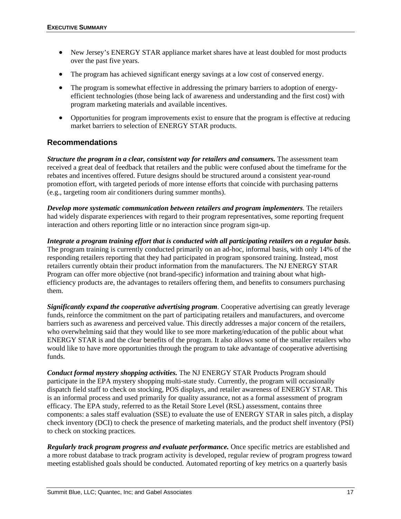- New Jersey's ENERGY STAR appliance market shares have at least doubled for most products over the past five years.
- The program has achieved significant energy savings at a low cost of conserved energy.
- The program is somewhat effective in addressing the primary barriers to adoption of energyefficient technologies (those being lack of awareness and understanding and the first cost) with program marketing materials and available incentives.
- Opportunities for program improvements exist to ensure that the program is effective at reducing market barriers to selection of ENERGY STAR products.

### **Recommendations**

*Structure the program in a clear, consistent way for retailers and consumers.* The assessment team received a great deal of feedback that retailers and the public were confused about the timeframe for the rebates and incentives offered. Future designs should be structured around a consistent year-round promotion effort, with targeted periods of more intense efforts that coincide with purchasing patterns (e.g., targeting room air conditioners during summer months).

*Develop more systematic communication between retailers and program implementers*. The retailers had widely disparate experiences with regard to their program representatives, some reporting frequent interaction and others reporting little or no interaction since program sign-up.

*Integrate a program training effort that is conducted with all participating retailers on a regular basis*. The program training is currently conducted primarily on an ad-hoc, informal basis, with only 14% of the responding retailers reporting that they had participated in program sponsored training. Instead, most retailers currently obtain their product information from the manufacturers. The NJ ENERGY STAR Program can offer more objective (not brand-specific) information and training about what highefficiency products are, the advantages to retailers offering them, and benefits to consumers purchasing them.

*Significantly expand the cooperative advertising program*. Cooperative advertising can greatly leverage funds, reinforce the commitment on the part of participating retailers and manufacturers, and overcome barriers such as awareness and perceived value. This directly addresses a major concern of the retailers, who overwhelming said that they would like to see more marketing/education of the public about what ENERGY STAR is and the clear benefits of the program. It also allows some of the smaller retailers who would like to have more opportunities through the program to take advantage of cooperative advertising funds.

*Conduct formal mystery shopping activities.* The NJ ENERGY STAR Products Program should participate in the EPA mystery shopping multi-state study. Currently, the program will occasionally dispatch field staff to check on stocking, POS displays, and retailer awareness of ENERGY STAR. This is an informal process and used primarily for quality assurance, not as a formal assessment of program efficacy. The EPA study, referred to as the Retail Store Level (RSL) assessment, contains three components: a sales staff evaluation (SSE) to evaluate the use of ENERGY STAR in sales pitch, a display check inventory (DCI) to check the presence of marketing materials, and the product shelf inventory (PSI) to check on stocking practices.

*Regularly track program progress and evaluate performance.* Once specific metrics are established and a more robust database to track program activity is developed, regular review of program progress toward meeting established goals should be conducted. Automated reporting of key metrics on a quarterly basis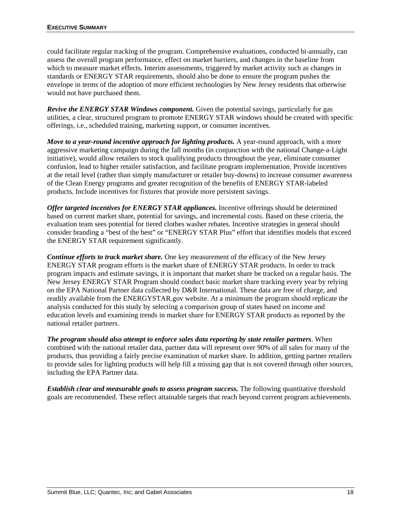could facilitate regular tracking of the program. Comprehensive evaluations, conducted bi-annually, can assess the overall program performance, effect on market barriers, and changes in the baseline from which to measure market effects. Interim assessments, triggered by market activity such as changes in standards or ENERGY STAR requirements, should also be done to ensure the program pushes the envelope in terms of the adoption of more efficient technologies by New Jersey residents that otherwise would not have purchased them.

*Revive the ENERGY STAR Windows component.* Given the potential savings, particularly for gas utilities, a clear, structured program to promote ENERGY STAR windows should be created with specific offerings, i.e., scheduled training, marketing support, or consumer incentives.

*Move to a year-round incentive approach for lighting products.* A year-round approach, with a more aggressive marketing campaign during the fall months (in conjunction with the national Change-a-Light initiative), would allow retailers to stock qualifying products throughout the year, eliminate consumer confusion, lead to higher retailer satisfaction, and facilitate program implementation. Provide incentives at the retail level (rather than simply manufacturer or retailer buy-downs) to increase consumer awareness of the Clean Energy programs and greater recognition of the benefits of ENERGY STAR-labeled products. Include incentives for fixtures that provide more persistent savings.

*Offer targeted incentives for ENERGY STAR appliances.* Incentive offerings should be determined based on current market share, potential for savings, and incremental costs. Based on these criteria, the evaluation team sees potential for tiered clothes washer rebates. Incentive strategies in general should consider branding a "best of the best" or "ENERGY STAR Plus" effort that identifies models that exceed the ENERGY STAR requirement significantly.

*Continue efforts to track market share.* One key measurement of the efficacy of the New Jersey ENERGY STAR program efforts is the market share of ENERGY STAR products. In order to track program impacts and estimate savings, it is important that market share be tracked on a regular basis. The New Jersey ENERGY STAR Program should conduct basic market share tracking every year by relying on the EPA National Partner data collected by D&R International. These data are free of charge, and readily available from the ENERGYSTAR.gov website. At a minimum the program should replicate the analysis conducted for this study by selecting a comparison group of states based on income and education levels and examining trends in market share for ENERGY STAR products as reported by the national retailer partners.

*The program should also attempt to enforce sales data reporting by state retailer partners*. When combined with the national retailer data, partner data will represent over 90% of all sales for many of the products, thus providing a fairly precise examination of market share. In addition, getting partner retailers to provide sales for lighting products will help fill a missing gap that is not covered through other sources, including the EPA Partner data.

*Establish clear and measurable goals to assess program success.* The following quantitative threshold goals are recommended. These reflect attainable targets that reach beyond current program achievements.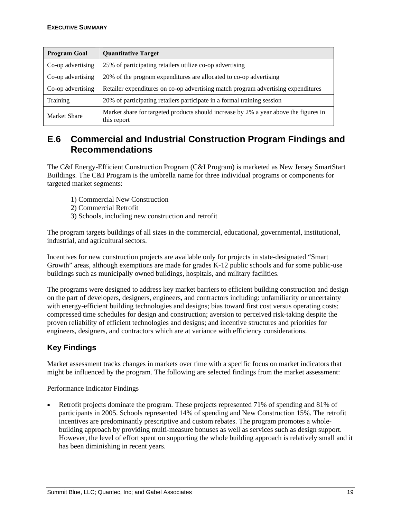| <b>Program Goal</b> | <b>Quantitative Target</b>                                                                          |
|---------------------|-----------------------------------------------------------------------------------------------------|
| Co-op advertising   | 25% of participating retailers utilize co-op advertising                                            |
| Co-op advertising   | 20% of the program expenditures are allocated to co-op advertising                                  |
| Co-op advertising   | Retailer expenditures on co-op advertising match program advertising expenditures                   |
| Training            | 20% of participating retailers participate in a formal training session                             |
| <b>Market Share</b> | Market share for targeted products should increase by 2% a year above the figures in<br>this report |

## **E.6 Commercial and Industrial Construction Program Findings and Recommendations**

The C&I Energy-Efficient Construction Program (C&I Program) is marketed as New Jersey SmartStart Buildings. The C&I Program is the umbrella name for three individual programs or components for targeted market segments:

- 1) Commercial New Construction
- 2) Commercial Retrofit
- 3) Schools, including new construction and retrofit

The program targets buildings of all sizes in the commercial, educational, governmental, institutional, industrial, and agricultural sectors.

Incentives for new construction projects are available only for projects in state-designated "Smart Growth" areas, although exemptions are made for grades K-12 public schools and for some public-use buildings such as municipally owned buildings, hospitals, and military facilities.

The programs were designed to address key market barriers to efficient building construction and design on the part of developers, designers, engineers, and contractors including: unfamiliarity or uncertainty with energy-efficient building technologies and designs; bias toward first cost versus operating costs; compressed time schedules for design and construction; aversion to perceived risk-taking despite the proven reliability of efficient technologies and designs; and incentive structures and priorities for engineers, designers, and contractors which are at variance with efficiency considerations.

### **Key Findings**

Market assessment tracks changes in markets over time with a specific focus on market indicators that might be influenced by the program. The following are selected findings from the market assessment:

Performance Indicator Findings

• Retrofit projects dominate the program. These projects represented 71% of spending and 81% of participants in 2005. Schools represented 14% of spending and New Construction 15%. The retrofit incentives are predominantly prescriptive and custom rebates. The program promotes a wholebuilding approach by providing multi-measure bonuses as well as services such as design support. However, the level of effort spent on supporting the whole building approach is relatively small and it has been diminishing in recent years.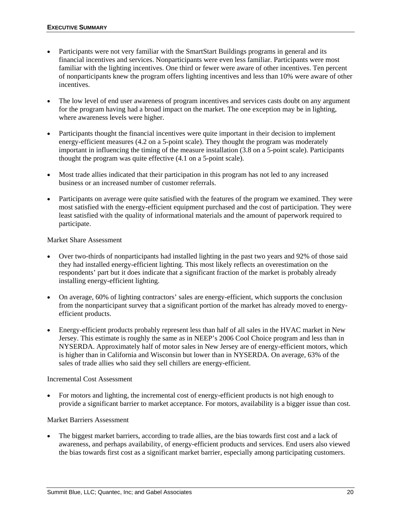- Participants were not very familiar with the SmartStart Buildings programs in general and its financial incentives and services. Nonparticipants were even less familiar. Participants were most familiar with the lighting incentives. One third or fewer were aware of other incentives. Ten percent of nonparticipants knew the program offers lighting incentives and less than 10% were aware of other incentives.
- The low level of end user awareness of program incentives and services casts doubt on any argument for the program having had a broad impact on the market. The one exception may be in lighting, where awareness levels were higher.
- Participants thought the financial incentives were quite important in their decision to implement energy-efficient measures (4.2 on a 5-point scale). They thought the program was moderately important in influencing the timing of the measure installation (3.8 on a 5-point scale). Participants thought the program was quite effective (4.1 on a 5-point scale).
- Most trade allies indicated that their participation in this program has not led to any increased business or an increased number of customer referrals.
- Participants on average were quite satisfied with the features of the program we examined. They were most satisfied with the energy-efficient equipment purchased and the cost of participation. They were least satisfied with the quality of informational materials and the amount of paperwork required to participate.

### Market Share Assessment

- Over two-thirds of nonparticipants had installed lighting in the past two years and 92% of those said they had installed energy-efficient lighting. This most likely reflects an overestimation on the respondents' part but it does indicate that a significant fraction of the market is probably already installing energy-efficient lighting.
- On average, 60% of lighting contractors' sales are energy-efficient, which supports the conclusion from the nonparticipant survey that a significant portion of the market has already moved to energyefficient products.
- Energy-efficient products probably represent less than half of all sales in the HVAC market in New Jersey. This estimate is roughly the same as in NEEP's 2006 Cool Choice program and less than in NYSERDA. Approximately half of motor sales in New Jersey are of energy-efficient motors, which is higher than in California and Wisconsin but lower than in NYSERDA. On average, 63% of the sales of trade allies who said they sell chillers are energy-efficient.

#### Incremental Cost Assessment

• For motors and lighting, the incremental cost of energy-efficient products is not high enough to provide a significant barrier to market acceptance. For motors, availability is a bigger issue than cost.

#### Market Barriers Assessment

The biggest market barriers, according to trade allies, are the bias towards first cost and a lack of awareness, and perhaps availability, of energy-efficient products and services. End users also viewed the bias towards first cost as a significant market barrier, especially among participating customers.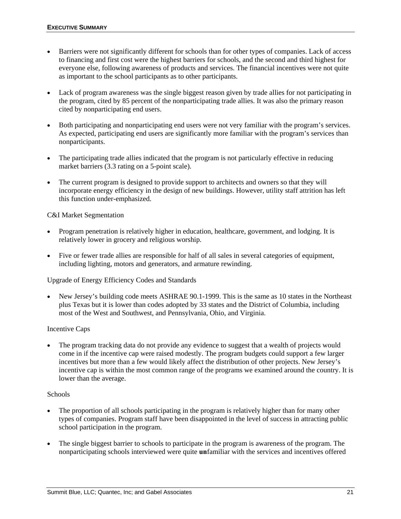- Barriers were not significantly different for schools than for other types of companies. Lack of access to financing and first cost were the highest barriers for schools, and the second and third highest for everyone else, following awareness of products and services. The financial incentives were not quite as important to the school participants as to other participants.
- Lack of program awareness was the single biggest reason given by trade allies for not participating in the program, cited by 85 percent of the nonparticipating trade allies. It was also the primary reason cited by nonparticipating end users.
- Both participating and nonparticipating end users were not very familiar with the program's services. As expected, participating end users are significantly more familiar with the program's services than nonparticipants.
- The participating trade allies indicated that the program is not particularly effective in reducing market barriers (3.3 rating on a 5-point scale).
- The current program is designed to provide support to architects and owners so that they will incorporate energy efficiency in the design of new buildings. However, utility staff attrition has left this function under-emphasized.

### C&I Market Segmentation

- Program penetration is relatively higher in education, healthcare, government, and lodging. It is relatively lower in grocery and religious worship.
- Five or fewer trade allies are responsible for half of all sales in several categories of equipment, including lighting, motors and generators, and armature rewinding.

#### Upgrade of Energy Efficiency Codes and Standards

• New Jersey's building code meets ASHRAE 90.1-1999. This is the same as 10 states in the Northeast plus Texas but it is lower than codes adopted by 33 states and the District of Columbia, including most of the West and Southwest, and Pennsylvania, Ohio, and Virginia.

#### Incentive Caps

• The program tracking data do not provide any evidence to suggest that a wealth of projects would come in if the incentive cap were raised modestly. The program budgets could support a few larger incentives but more than a few would likely affect the distribution of other projects. New Jersey's incentive cap is within the most common range of the programs we examined around the country. It is lower than the average.

#### **Schools**

- The proportion of all schools participating in the program is relatively higher than for many other types of companies. Program staff have been disappointed in the level of success in attracting public school participation in the program.
- The single biggest barrier to schools to participate in the program is awareness of the program. The nonparticipating schools interviewed were quite **un**familiar with the services and incentives offered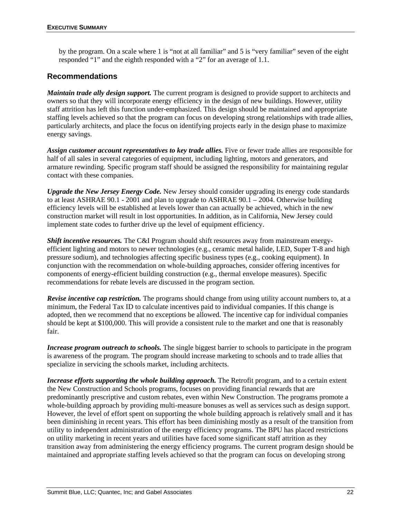by the program. On a scale where 1 is "not at all familiar" and 5 is "very familiar" seven of the eight responded "1" and the eighth responded with a "2" for an average of 1.1.

### **Recommendations**

*Maintain trade ally design support.* The current program is designed to provide support to architects and owners so that they will incorporate energy efficiency in the design of new buildings. However, utility staff attrition has left this function under-emphasized. This design should be maintained and appropriate staffing levels achieved so that the program can focus on developing strong relationships with trade allies, particularly architects, and place the focus on identifying projects early in the design phase to maximize energy savings.

*Assign customer account representatives to key trade allies.* Five or fewer trade allies are responsible for half of all sales in several categories of equipment, including lighting, motors and generators, and armature rewinding. Specific program staff should be assigned the responsibility for maintaining regular contact with these companies.

*Upgrade the New Jersey Energy Code.* New Jersey should consider upgrading its energy code standards to at least ASHRAE 90.1 - 2001 and plan to upgrade to ASHRAE 90.1 – 2004. Otherwise building efficiency levels will be established at levels lower than can actually be achieved, which in the new construction market will result in lost opportunities. In addition, as in California, New Jersey could implement state codes to further drive up the level of equipment efficiency.

*Shift incentive resources.* The C&I Program should shift resources away from mainstream energyefficient lighting and motors to newer technologies (e.g., ceramic metal halide, LED, Super T-8 and high pressure sodium), and technologies affecting specific business types (e.g., cooking equipment). In conjunction with the recommendation on whole-building approaches, consider offering incentives for components of energy-efficient building construction (e.g., thermal envelope measures). Specific recommendations for rebate levels are discussed in the program section.

*Revise incentive cap restriction.* The programs should change from using utility account numbers to, at a minimum, the Federal Tax ID to calculate incentives paid to individual companies. If this change is adopted, then we recommend that no exceptions be allowed. The incentive cap for individual companies should be kept at \$100,000. This will provide a consistent rule to the market and one that is reasonably fair.

*Increase program outreach to schools.* The single biggest barrier to schools to participate in the program is awareness of the program. The program should increase marketing to schools and to trade allies that specialize in servicing the schools market, including architects.

*Increase efforts supporting the whole building approach.* The Retrofit program, and to a certain extent the New Construction and Schools programs, focuses on providing financial rewards that are predominantly prescriptive and custom rebates, even within New Construction. The programs promote a whole-building approach by providing multi-measure bonuses as well as services such as design support. However, the level of effort spent on supporting the whole building approach is relatively small and it has been diminishing in recent years. This effort has been diminishing mostly as a result of the transition from utility to independent administration of the energy efficiency programs. The BPU has placed restrictions on utility marketing in recent years and utilities have faced some significant staff attrition as they transition away from administering the energy efficiency programs. The current program design should be maintained and appropriate staffing levels achieved so that the program can focus on developing strong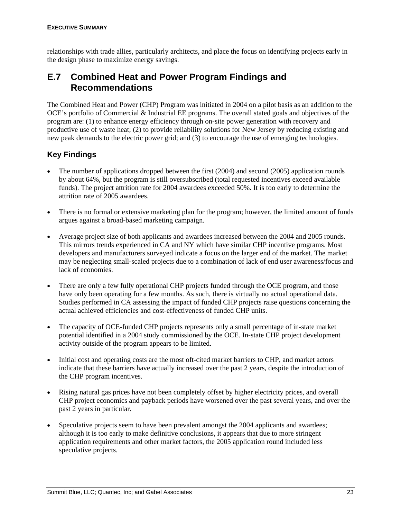relationships with trade allies, particularly architects, and place the focus on identifying projects early in the design phase to maximize energy savings.

## **E.7 Combined Heat and Power Program Findings and Recommendations**

The Combined Heat and Power (CHP) Program was initiated in 2004 on a pilot basis as an addition to the OCE's portfolio of Commercial & Industrial EE programs. The overall stated goals and objectives of the program are: (1) to enhance energy efficiency through on-site power generation with recovery and productive use of waste heat; (2) to provide reliability solutions for New Jersey by reducing existing and new peak demands to the electric power grid; and (3) to encourage the use of emerging technologies.

### **Key Findings**

- The number of applications dropped between the first (2004) and second (2005) application rounds by about 64%, but the program is still oversubscribed (total requested incentives exceed available funds). The project attrition rate for 2004 awardees exceeded 50%. It is too early to determine the attrition rate of 2005 awardees.
- There is no formal or extensive marketing plan for the program; however, the limited amount of funds argues against a broad-based marketing campaign.
- Average project size of both applicants and awardees increased between the 2004 and 2005 rounds. This mirrors trends experienced in CA and NY which have similar CHP incentive programs. Most developers and manufacturers surveyed indicate a focus on the larger end of the market. The market may be neglecting small-scaled projects due to a combination of lack of end user awareness/focus and lack of economies.
- There are only a few fully operational CHP projects funded through the OCE program, and those have only been operating for a few months. As such, there is virtually no actual operational data. Studies performed in CA assessing the impact of funded CHP projects raise questions concerning the actual achieved efficiencies and cost-effectiveness of funded CHP units.
- The capacity of OCE-funded CHP projects represents only a small percentage of in-state market potential identified in a 2004 study commissioned by the OCE. In-state CHP project development activity outside of the program appears to be limited.
- Initial cost and operating costs are the most oft-cited market barriers to CHP, and market actors indicate that these barriers have actually increased over the past 2 years, despite the introduction of the CHP program incentives.
- Rising natural gas prices have not been completely offset by higher electricity prices, and overall CHP project economics and payback periods have worsened over the past several years, and over the past 2 years in particular.
- Speculative projects seem to have been prevalent amongst the 2004 applicants and awardees; although it is too early to make definitive conclusions, it appears that due to more stringent application requirements and other market factors, the 2005 application round included less speculative projects.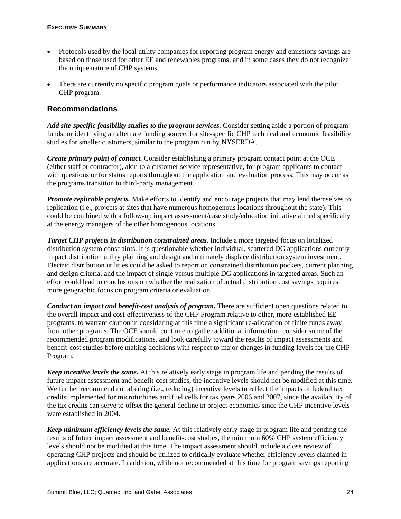- Protocols used by the local utility companies for reporting program energy and emissions savings are based on those used for other EE and renewables programs; and in some cases they do not recognize the unique nature of CHP systems.
- There are currently no specific program goals or performance indicators associated with the pilot CHP program.

### **Recommendations**

*Add site-specific feasibility studies to the program services.* Consider setting aside a portion of program funds, or identifying an alternate funding source, for site-specific CHP technical and economic feasibility studies for smaller customers, similar to the program run by NYSERDA.

*Create primary point of contact.* Consider establishing a primary program contact point at the OCE (either staff or contractor), akin to a customer service representative, for program applicants to contact with questions or for status reports throughout the application and evaluation process. This may occur as the programs transition to third-party management.

*Promote replicable projects.* Make efforts to identify and encourage projects that may lend themselves to replication (i.e., projects at sites that have numerous homogenous locations throughout the state). This could be combined with a follow-up impact assessment/case study/education initiative aimed specifically at the energy managers of the other homogenous locations.

*Target CHP projects in distribution constrained areas.* Include a more targeted focus on localized distribution system constraints. It is questionable whether individual, scattered DG applications currently impact distribution utility planning and design and ultimately displace distribution system investment. Electric distribution utilities could be asked to report on constrained distribution pockets, current planning and design criteria, and the impact of single versus multiple DG applications in targeted areas. Such an effort could lead to conclusions on whether the realization of actual distribution cost savings requires more geographic focus on program criteria or evaluation.

*Conduct an impact and benefit-cost analysis of program.* There are sufficient open questions related to the overall impact and cost-effectiveness of the CHP Program relative to other, more-established EE programs, to warrant caution in considering at this time a significant re-allocation of finite funds away from other programs. The OCE should continue to gather additional information, consider some of the recommended program modifications, and look carefully toward the results of impact assessments and benefit-cost studies before making decisions with respect to major changes in funding levels for the CHP Program.

*Keep incentive levels the same.* At this relatively early stage in program life and pending the results of future impact assessment and benefit-cost studies, the incentive levels should not be modified at this time. We further recommend not altering (i.e., reducing) incentive levels to reflect the impacts of federal tax credits implemented for microturbines and fuel cells for tax years 2006 and 2007, since the availability of the tax credits can serve to offset the general decline in project economics since the CHP incentive levels were established in 2004.

*Keep minimum efficiency levels the same.* At this relatively early stage in program life and pending the results of future impact assessment and benefit-cost studies, the minimum 60% CHP system efficiency levels should not be modified at this time. The impact assessment should include a close review of operating CHP projects and should be utilized to critically evaluate whether efficiency levels claimed in applications are accurate. In addition, while not recommended at this time for program savings reporting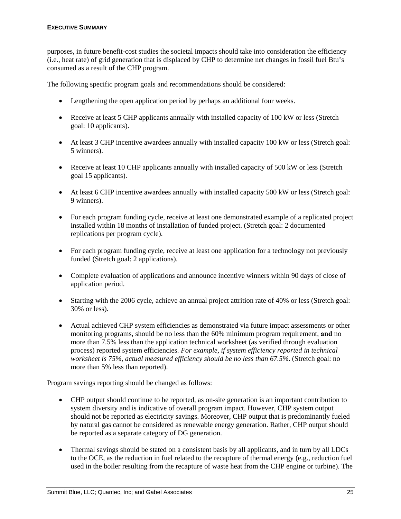purposes, in future benefit-cost studies the societal impacts should take into consideration the efficiency (i.e., heat rate) of grid generation that is displaced by CHP to determine net changes in fossil fuel Btu's consumed as a result of the CHP program.

The following specific program goals and recommendations should be considered:

- Lengthening the open application period by perhaps an additional four weeks.
- Receive at least 5 CHP applicants annually with installed capacity of 100 kW or less (Stretch goal: 10 applicants).
- At least 3 CHP incentive awardees annually with installed capacity 100 kW or less (Stretch goal: 5 winners).
- Receive at least 10 CHP applicants annually with installed capacity of 500 kW or less (Stretch goal 15 applicants).
- At least 6 CHP incentive awardees annually with installed capacity 500 kW or less (Stretch goal: 9 winners).
- For each program funding cycle, receive at least one demonstrated example of a replicated project installed within 18 months of installation of funded project. (Stretch goal: 2 documented replications per program cycle).
- For each program funding cycle, receive at least one application for a technology not previously funded (Stretch goal: 2 applications).
- Complete evaluation of applications and announce incentive winners within 90 days of close of application period.
- Starting with the 2006 cycle, achieve an annual project attrition rate of 40% or less (Stretch goal: 30% or less).
- Actual achieved CHP system efficiencies as demonstrated via future impact assessments or other monitoring programs, should be no less than the 60% minimum program requirement, **and** no more than 7.5% less than the application technical worksheet (as verified through evaluation process) reported system efficiencies. *For example, if system efficiency reported in technical worksheet is 75%, actual measured efficiency should be no less than 67.5%*. (Stretch goal: no more than 5% less than reported).

Program savings reporting should be changed as follows:

- CHP output should continue to be reported, as on-site generation is an important contribution to system diversity and is indicative of overall program impact. However, CHP system output should not be reported as electricity savings. Moreover, CHP output that is predominantly fueled by natural gas cannot be considered as renewable energy generation. Rather, CHP output should be reported as a separate category of DG generation.
- Thermal savings should be stated on a consistent basis by all applicants, and in turn by all LDCs to the OCE, as the reduction in fuel related to the recapture of thermal energy (e.g., reduction fuel used in the boiler resulting from the recapture of waste heat from the CHP engine or turbine). The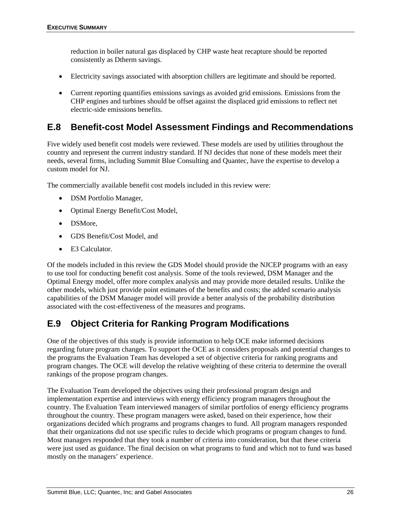reduction in boiler natural gas displaced by CHP waste heat recapture should be reported consistently as Dtherm savings.

- Electricity savings associated with absorption chillers are legitimate and should be reported.
- Current reporting quantifies emissions savings as avoided grid emissions. Emissions from the CHP engines and turbines should be offset against the displaced grid emissions to reflect net electric-side emissions benefits.

## **E.8 Benefit-cost Model Assessment Findings and Recommendations**

Five widely used benefit cost models were reviewed. These models are used by utilities throughout the country and represent the current industry standard. If NJ decides that none of these models meet their needs, several firms, including Summit Blue Consulting and Quantec, have the expertise to develop a custom model for NJ.

The commercially available benefit cost models included in this review were:

- DSM Portfolio Manager,
- Optimal Energy Benefit/Cost Model,
- DSMore,
- GDS Benefit/Cost Model, and
- E3 Calculator.

Of the models included in this review the GDS Model should provide the NJCEP programs with an easy to use tool for conducting benefit cost analysis. Some of the tools reviewed, DSM Manager and the Optimal Energy model, offer more complex analysis and may provide more detailed results. Unlike the other models, which just provide point estimates of the benefits and costs; the added scenario analysis capabilities of the DSM Manager model will provide a better analysis of the probability distribution associated with the cost-effectiveness of the measures and programs.

## **E.9 Object Criteria for Ranking Program Modifications**

One of the objectives of this study is provide information to help OCE make informed decisions regarding future program changes. To support the OCE as it considers proposals and potential changes to the programs the Evaluation Team has developed a set of objective criteria for ranking programs and program changes. The OCE will develop the relative weighting of these criteria to determine the overall rankings of the propose program changes.

The Evaluation Team developed the objectives using their professional program design and implementation expertise and interviews with energy efficiency program managers throughout the country. The Evaluation Team interviewed managers of similar portfolios of energy efficiency programs throughout the country. These program managers were asked, based on their experience, how their organizations decided which programs and programs changes to fund. All program managers responded that their organizations did not use specific rules to decide which programs or program changes to fund. Most managers responded that they took a number of criteria into consideration, but that these criteria were just used as guidance. The final decision on what programs to fund and which not to fund was based mostly on the managers' experience.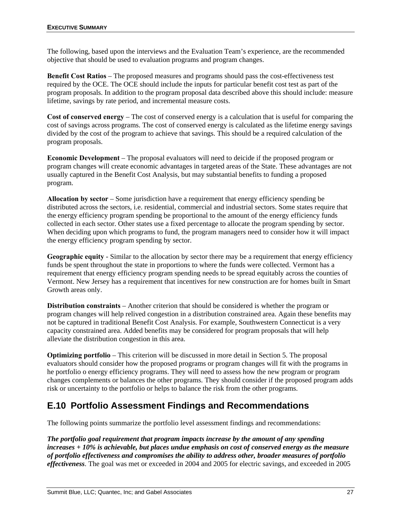The following, based upon the interviews and the Evaluation Team's experience, are the recommended objective that should be used to evaluation programs and program changes.

**Benefit Cost Ratios** – The proposed measures and programs should pass the cost-effectiveness test required by the OCE. The OCE should include the inputs for particular benefit cost test as part of the program proposals. In addition to the program proposal data described above this should include: measure lifetime, savings by rate period, and incremental measure costs.

**Cost of conserved energy** – The cost of conserved energy is a calculation that is useful for comparing the cost of savings across programs. The cost of conserved energy is calculated as the lifetime energy savings divided by the cost of the program to achieve that savings. This should be a required calculation of the program proposals.

**Economic Development** – The proposal evaluators will need to deicide if the proposed program or program changes will create economic advantages in targeted areas of the State. These advantages are not usually captured in the Benefit Cost Analysis, but may substantial benefits to funding a proposed program.

**Allocation by sector** – Some jurisdiction have a requirement that energy efficiency spending be distributed across the sectors, i.e. residential, commercial and industrial sectors. Some states require that the energy efficiency program spending be proportional to the amount of the energy efficiency funds collected in each sector. Other states use a fixed percentage to allocate the program spending by sector. When deciding upon which programs to fund, the program managers need to consider how it will impact the energy efficiency program spending by sector.

**Geographic equity** - Similar to the allocation by sector there may be a requirement that energy efficiency funds be spent throughout the state in proportions to where the funds were collected. Vermont has a requirement that energy efficiency program spending needs to be spread equitably across the counties of Vermont. New Jersey has a requirement that incentives for new construction are for homes built in Smart Growth areas only.

**Distribution constraints** – Another criterion that should be considered is whether the program or program changes will help relived congestion in a distribution constrained area. Again these benefits may not be captured in traditional Benefit Cost Analysis. For example, Southwestern Connecticut is a very capacity constrained area. Added benefits may be considered for program proposals that will help alleviate the distribution congestion in this area.

**Optimizing portfolio** – This criterion will be discussed in more detail in Section 5. The proposal evaluators should consider how the proposed programs or program changes will fit with the programs in he portfolio o energy efficiency programs. They will need to assess how the new program or program changes complements or balances the other programs. They should consider if the proposed program adds risk or uncertainty to the portfolio or helps to balance the risk from the other programs.

## **E.10 Portfolio Assessment Findings and Recommendations**

The following points summarize the portfolio level assessment findings and recommendations:

*The portfolio goal requirement that program impacts increase by the amount of any spending increases + 10% is achievable, but places undue emphasis on cost of conserved energy as the measure of portfolio effectiveness and compromises the ability to address other, broader measures of portfolio effectiveness*. The goal was met or exceeded in 2004 and 2005 for electric savings, and exceeded in 2005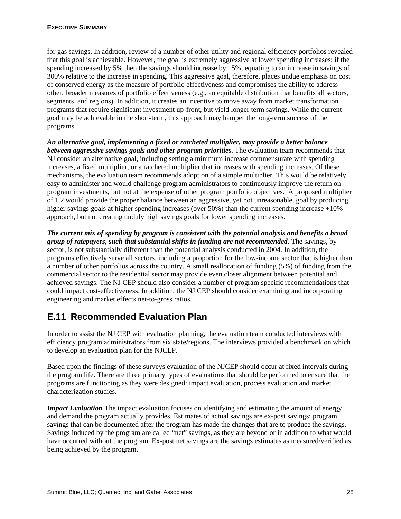for gas savings. In addition, review of a number of other utility and regional efficiency portfolios revealed that this goal is achievable. However, the goal is extremely aggressive at lower spending increases: if the spending increased by 5% then the savings should increase by 15%, equating to an increase in savings of 300% relative to the increase in spending. This aggressive goal, therefore, places undue emphasis on cost of conserved energy as the measure of portfolio effectiveness and compromises the ability to address other, broader measures of portfolio effectiveness (e.g., an equitable distribution that benefits all sectors, segments, and regions). In addition, it creates an incentive to move away from market transformation programs that require significant investment up-front, but yield longer term savings. While the current goal may be achievable in the short-term, this approach may hamper the long-term success of the programs.

*An alternative goal, implementing a fixed or ratcheted multiplier, may provide a better balance between aggressive savings goals and other program priorities*. The evaluation team recommends that NJ consider an alternative goal, including setting a minimum increase commensurate with spending increases, a fixed multiplier, or a ratcheted multiplier that increases with spending increases. Of these mechanisms, the evaluation team recommends adoption of a simple multiplier. This would be relatively easy to administer and would challenge program administrators to continuously improve the return on program investments, but not at the expense of other program portfolio objectives. A proposed multiplier of 1.2 would provide the proper balance between an aggressive, yet not unreasonable, goal by producing higher savings goals at higher spending increases (over 50%) than the current spending increase +10% approach, but not creating unduly high savings goals for lower spending increases.

*The current mix of spending by program is consistent with the potential analysis and benefits a broad group of ratepayers, such that substantial shifts in funding are not recommended*. The savings, by sector, is not substantially different than the potential analysis conducted in 2004. In addition, the programs effectively serve all sectors, including a proportion for the low-income sector that is higher than a number of other portfolios across the country. A small reallocation of funding (5%) of funding from the commercial sector to the residential sector may provide even closer alignment between potential and achieved savings. The NJ CEP should also consider a number of program specific recommendations that could impact cost-effectiveness. In addition, the NJ CEP should consider examining and incorporating engineering and market effects net-to-gross ratios.

## **E.11 Recommended Evaluation Plan**

In order to assist the NJ CEP with evaluation planning, the evaluation team conducted interviews with efficiency program administrators from six state/regions. The interviews provided a benchmark on which to develop an evaluation plan for the NJCEP.

Based upon the findings of these surveys evaluation of the NJCEP should occur at fixed intervals during the program life. There are three primary types of evaluations that should be performed to ensure that the programs are functioning as they were designed: impact evaluation, process evaluation and market characterization studies.

*Impact Evaluation* The impact evaluation focuses on identifying and estimating the amount of energy and demand the program actually provides. Estimates of actual savings are ex-post savings; program savings that can be documented after the program has made the changes that are to produce the savings. Savings induced by the program are called "net" savings, as they are beyond or in addition to what would have occurred without the program. Ex-post net savings are the savings estimates as measured/verified as being achieved by the program.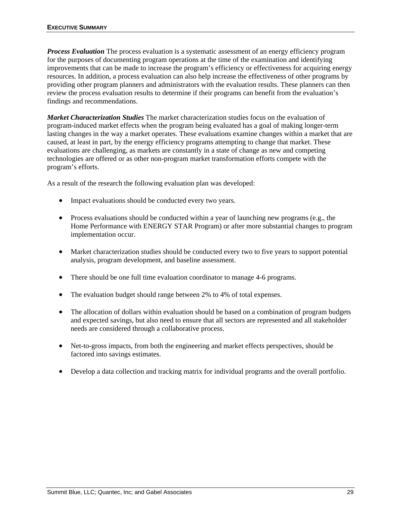*Process Evaluation* The process evaluation is a systematic assessment of an energy efficiency program for the purposes of documenting program operations at the time of the examination and identifying improvements that can be made to increase the program's efficiency or effectiveness for acquiring energy resources. In addition, a process evaluation can also help increase the effectiveness of other programs by providing other program planners and administrators with the evaluation results. These planners can then review the process evaluation results to determine if their programs can benefit from the evaluation's findings and recommendations.

*Market Characterization Studies* The market characterization studies focus on the evaluation of program-induced market effects when the program being evaluated has a goal of making longer-term lasting changes in the way a market operates. These evaluations examine changes within a market that are caused, at least in part, by the energy efficiency programs attempting to change that market. These evaluations are challenging, as markets are constantly in a state of change as new and competing technologies are offered or as other non-program market transformation efforts compete with the program's efforts.

As a result of the research the following evaluation plan was developed:

- Impact evaluations should be conducted every two years.
- Process evaluations should be conducted within a year of launching new programs (e.g., the Home Performance with ENERGY STAR Program) or after more substantial changes to program implementation occur.
- Market characterization studies should be conducted every two to five years to support potential analysis, program development, and baseline assessment.
- There should be one full time evaluation coordinator to manage 4-6 programs.
- The evaluation budget should range between 2% to 4% of total expenses.
- The allocation of dollars within evaluation should be based on a combination of program budgets and expected savings, but also need to ensure that all sectors are represented and all stakeholder needs are considered through a collaborative process.
- Net-to-gross impacts, from both the engineering and market effects perspectives, should be factored into savings estimates.
- Develop a data collection and tracking matrix for individual programs and the overall portfolio.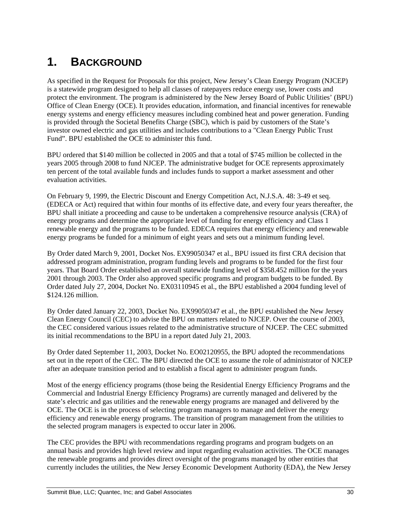# **1. BACKGROUND**

As specified in the Request for Proposals for this project, New Jersey's Clean Energy Program (NJCEP) is a statewide program designed to help all classes of ratepayers reduce energy use, lower costs and protect the environment. The program is administered by the New Jersey Board of Public Utilities' (BPU) Office of Clean Energy (OCE). It provides education, information, and financial incentives for renewable energy systems and energy efficiency measures including combined heat and power generation. Funding is provided through the Societal Benefits Charge (SBC), which is paid by customers of the State's investor owned electric and gas utilities and includes contributions to a "Clean Energy Public Trust Fund". BPU established the OCE to administer this fund.

BPU ordered that \$140 million be collected in 2005 and that a total of \$745 million be collected in the years 2005 through 2008 to fund NJCEP. The administrative budget for OCE represents approximately ten percent of the total available funds and includes funds to support a market assessment and other evaluation activities.

On February 9, 1999, the Electric Discount and Energy Competition Act, N.J.S.A. 48: 3-49 et seq. (EDECA or Act) required that within four months of its effective date, and every four years thereafter, the BPU shall initiate a proceeding and cause to be undertaken a comprehensive resource analysis (CRA) of energy programs and determine the appropriate level of funding for energy efficiency and Class 1 renewable energy and the programs to be funded. EDECA requires that energy efficiency and renewable energy programs be funded for a minimum of eight years and sets out a minimum funding level.

By Order dated March 9, 2001, Docket Nos. EX99050347 et al., BPU issued its first CRA decision that addressed program administration, program funding levels and programs to be funded for the first four years. That Board Order established an overall statewide funding level of \$358.452 million for the years 2001 through 2003. The Order also approved specific programs and program budgets to be funded. By Order dated July 27, 2004, Docket No. EX03110945 et al., the BPU established a 2004 funding level of \$124.126 million.

By Order dated January 22, 2003, Docket No. EX99050347 et al., the BPU established the New Jersey Clean Energy Council (CEC) to advise the BPU on matters related to NJCEP. Over the course of 2003, the CEC considered various issues related to the administrative structure of NJCEP. The CEC submitted its initial recommendations to the BPU in a report dated July 21, 2003.

By Order dated September 11, 2003, Docket No. EO02120955, the BPU adopted the recommendations set out in the report of the CEC. The BPU directed the OCE to assume the role of administrator of NJCEP after an adequate transition period and to establish a fiscal agent to administer program funds.

Most of the energy efficiency programs (those being the Residential Energy Efficiency Programs and the Commercial and Industrial Energy Efficiency Programs) are currently managed and delivered by the state's electric and gas utilities and the renewable energy programs are managed and delivered by the OCE. The OCE is in the process of selecting program managers to manage and deliver the energy efficiency and renewable energy programs. The transition of program management from the utilities to the selected program managers is expected to occur later in 2006.

The CEC provides the BPU with recommendations regarding programs and program budgets on an annual basis and provides high level review and input regarding evaluation activities. The OCE manages the renewable programs and provides direct oversight of the programs managed by other entities that currently includes the utilities, the New Jersey Economic Development Authority (EDA), the New Jersey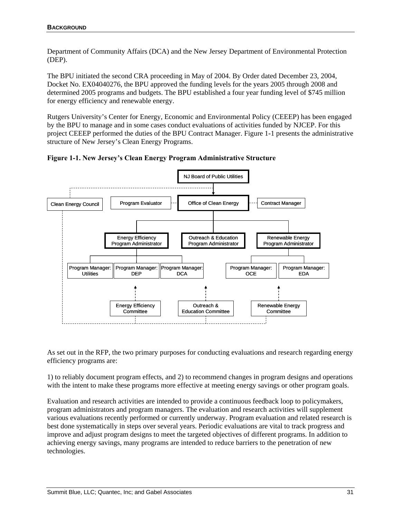Department of Community Affairs (DCA) and the New Jersey Department of Environmental Protection (DEP).

The BPU initiated the second CRA proceeding in May of 2004. By Order dated December 23, 2004, Docket No. EX04040276, the BPU approved the funding levels for the years 2005 through 2008 and determined 2005 programs and budgets. The BPU established a four year funding level of \$745 million for energy efficiency and renewable energy.

Rutgers University's Center for Energy, Economic and Environmental Policy (CEEEP) has been engaged by the BPU to manage and in some cases conduct evaluations of activities funded by NJCEP. For this project CEEEP performed the duties of the BPU Contract Manager. Figure 1-1 presents the administrative structure of New Jersey's Clean Energy Programs.





As set out in the RFP, the two primary purposes for conducting evaluations and research regarding energy efficiency programs are:

1) to reliably document program effects, and 2) to recommend changes in program designs and operations with the intent to make these programs more effective at meeting energy savings or other program goals.

Evaluation and research activities are intended to provide a continuous feedback loop to policymakers, program administrators and program managers. The evaluation and research activities will supplement various evaluations recently performed or currently underway. Program evaluation and related research is best done systematically in steps over several years. Periodic evaluations are vital to track progress and improve and adjust program designs to meet the targeted objectives of different programs. In addition to achieving energy savings, many programs are intended to reduce barriers to the penetration of new technologies.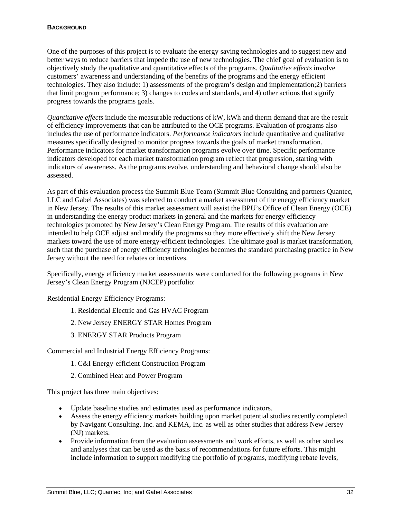One of the purposes of this project is to evaluate the energy saving technologies and to suggest new and better ways to reduce barriers that impede the use of new technologies. The chief goal of evaluation is to objectively study the qualitative and quantitative effects of the programs. *Qualitative effects* involve customers' awareness and understanding of the benefits of the programs and the energy efficient technologies. They also include: 1) assessments of the program's design and implementation;2) barriers that limit program performance; 3) changes to codes and standards, and 4) other actions that signify progress towards the programs goals.

*Quantitative effects* include the measurable reductions of kW, kWh and therm demand that are the result of efficiency improvements that can be attributed to the OCE programs. Evaluation of programs also includes the use of performance indicators. *Performance indicators* include quantitative and qualitative measures specifically designed to monitor progress towards the goals of market transformation. Performance indicators for market transformation programs evolve over time. Specific performance indicators developed for each market transformation program reflect that progression, starting with indicators of awareness. As the programs evolve, understanding and behavioral change should also be assessed.

As part of this evaluation process the Summit Blue Team (Summit Blue Consulting and partners Quantec, LLC and Gabel Associates) was selected to conduct a market assessment of the energy efficiency market in New Jersey. The results of this market assessment will assist the BPU's Office of Clean Energy (OCE) in understanding the energy product markets in general and the markets for energy efficiency technologies promoted by New Jersey's Clean Energy Program. The results of this evaluation are intended to help OCE adjust and modify the programs so they more effectively shift the New Jersey markets toward the use of more energy-efficient technologies. The ultimate goal is market transformation, such that the purchase of energy efficiency technologies becomes the standard purchasing practice in New Jersey without the need for rebates or incentives.

Specifically, energy efficiency market assessments were conducted for the following programs in New Jersey's Clean Energy Program (NJCEP) portfolio:

Residential Energy Efficiency Programs:

- 1. Residential Electric and Gas HVAC Program
- 2. New Jersey ENERGY STAR Homes Program
- 3. ENERGY STAR Products Program

Commercial and Industrial Energy Efficiency Programs:

- 1. C&I Energy-efficient Construction Program
- 2. Combined Heat and Power Program

This project has three main objectives:

- Update baseline studies and estimates used as performance indicators.
- Assess the energy efficiency markets building upon market potential studies recently completed by Navigant Consulting, Inc. and KEMA, Inc. as well as other studies that address New Jersey (NJ) markets.
- Provide information from the evaluation assessments and work efforts, as well as other studies and analyses that can be used as the basis of recommendations for future efforts. This might include information to support modifying the portfolio of programs, modifying rebate levels,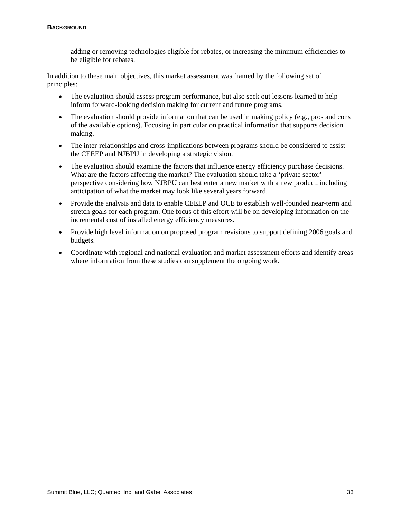adding or removing technologies eligible for rebates, or increasing the minimum efficiencies to be eligible for rebates.

In addition to these main objectives, this market assessment was framed by the following set of principles:

- The evaluation should assess program performance, but also seek out lessons learned to help inform forward-looking decision making for current and future programs.
- The evaluation should provide information that can be used in making policy (e.g., pros and cons of the available options). Focusing in particular on practical information that supports decision making.
- The inter-relationships and cross-implications between programs should be considered to assist the CEEEP and NJBPU in developing a strategic vision.
- The evaluation should examine the factors that influence energy efficiency purchase decisions. What are the factors affecting the market? The evaluation should take a 'private sector' perspective considering how NJBPU can best enter a new market with a new product, including anticipation of what the market may look like several years forward.
- Provide the analysis and data to enable CEEEP and OCE to establish well-founded near-term and stretch goals for each program. One focus of this effort will be on developing information on the incremental cost of installed energy efficiency measures.
- Provide high level information on proposed program revisions to support defining 2006 goals and budgets.
- Coordinate with regional and national evaluation and market assessment efforts and identify areas where information from these studies can supplement the ongoing work.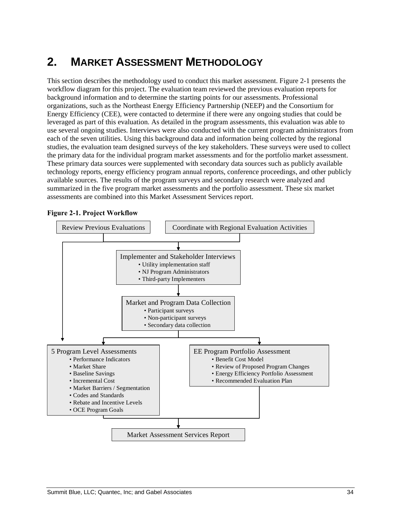# **2. MARKET ASSESSMENT METHODOLOGY**

This section describes the methodology used to conduct this market assessment. Figure 2-1 presents the workflow diagram for this project. The evaluation team reviewed the previous evaluation reports for background information and to determine the starting points for our assessments. Professional organizations, such as the Northeast Energy Efficiency Partnership (NEEP) and the Consortium for Energy Efficiency (CEE), were contacted to determine if there were any ongoing studies that could be leveraged as part of this evaluation. As detailed in the program assessments, this evaluation was able to use several ongoing studies. Interviews were also conducted with the current program administrators from each of the seven utilities. Using this background data and information being collected by the regional studies, the evaluation team designed surveys of the key stakeholders. These surveys were used to collect the primary data for the individual program market assessments and for the portfolio market assessment. These primary data sources were supplemented with secondary data sources such as publicly available technology reports, energy efficiency program annual reports, conference proceedings, and other publicly available sources. The results of the program surveys and secondary research were analyzed and summarized in the five program market assessments and the portfolio assessment. These six market assessments are combined into this Market Assessment Services report.



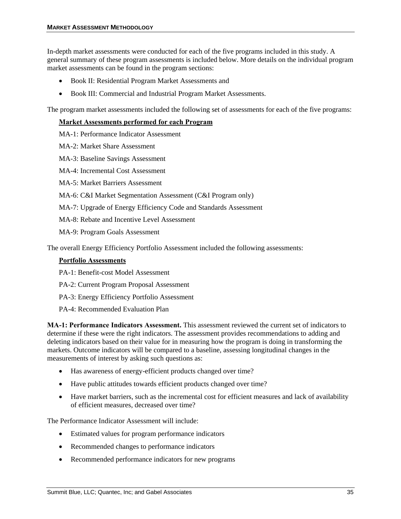In-depth market assessments were conducted for each of the five programs included in this study. A general summary of these program assessments is included below. More details on the individual program market assessments can be found in the program sections:

- Book II: Residential Program Market Assessments and
- Book III: Commercial and Industrial Program Market Assessments.

The program market assessments included the following set of assessments for each of the five programs:

#### **Market Assessments performed for each Program**

MA-1: Performance Indicator Assessment

MA-2: Market Share Assessment

MA-3: Baseline Savings Assessment

- MA-4: Incremental Cost Assessment
- MA-5: Market Barriers Assessment
- MA-6: C&I Market Segmentation Assessment (C&I Program only)

MA-7: Upgrade of Energy Efficiency Code and Standards Assessment

- MA-8: Rebate and Incentive Level Assessment
- MA-9: Program Goals Assessment

The overall Energy Efficiency Portfolio Assessment included the following assessments:

#### **Portfolio Assessments**

- PA-1: Benefit-cost Model Assessment
- PA-2: Current Program Proposal Assessment
- PA-3: Energy Efficiency Portfolio Assessment
- PA-4: Recommended Evaluation Plan

**MA-1: Performance Indicators Assessment.** This assessment reviewed the current set of indicators to determine if these were the right indicators. The assessment provides recommendations to adding and deleting indicators based on their value for in measuring how the program is doing in transforming the markets. Outcome indicators will be compared to a baseline, assessing longitudinal changes in the measurements of interest by asking such questions as:

- Has awareness of energy-efficient products changed over time?
- Have public attitudes towards efficient products changed over time?
- Have market barriers, such as the incremental cost for efficient measures and lack of availability of efficient measures, decreased over time?

The Performance Indicator Assessment will include:

- Estimated values for program performance indicators
- Recommended changes to performance indicators
- Recommended performance indicators for new programs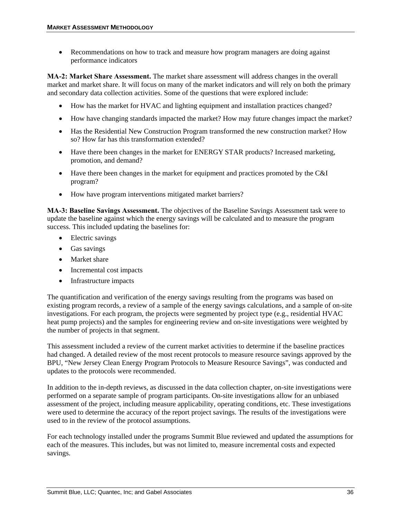• Recommendations on how to track and measure how program managers are doing against performance indicators

**MA-2: Market Share Assessment.** The market share assessment will address changes in the overall market and market share. It will focus on many of the market indicators and will rely on both the primary and secondary data collection activities. Some of the questions that were explored include:

- How has the market for HVAC and lighting equipment and installation practices changed?
- How have changing standards impacted the market? How may future changes impact the market?
- Has the Residential New Construction Program transformed the new construction market? How so? How far has this transformation extended?
- Have there been changes in the market for ENERGY STAR products? Increased marketing, promotion, and demand?
- Have there been changes in the market for equipment and practices promoted by the C&I program?
- How have program interventions mitigated market barriers?

**MA-3: Baseline Savings Assessment.** The objectives of the Baseline Savings Assessment task were to update the baseline against which the energy savings will be calculated and to measure the program success. This included updating the baselines for:

- Electric savings
- Gas savings
- Market share
- Incremental cost impacts
- Infrastructure impacts

The quantification and verification of the energy savings resulting from the programs was based on existing program records, a review of a sample of the energy savings calculations, and a sample of on-site investigations. For each program, the projects were segmented by project type (e.g.*,* residential HVAC heat pump projects) and the samples for engineering review and on-site investigations were weighted by the number of projects in that segment.

This assessment included a review of the current market activities to determine if the baseline practices had changed. A detailed review of the most recent protocols to measure resource savings approved by the BPU, "New Jersey Clean Energy Program Protocols to Measure Resource Savings", was conducted and updates to the protocols were recommended.

In addition to the in-depth reviews, as discussed in the data collection chapter, on-site investigations were performed on a separate sample of program participants. On-site investigations allow for an unbiased assessment of the project, including measure applicability, operating conditions, etc. These investigations were used to determine the accuracy of the report project savings. The results of the investigations were used to in the review of the protocol assumptions.

For each technology installed under the programs Summit Blue reviewed and updated the assumptions for each of the measures. This includes, but was not limited to, measure incremental costs and expected savings.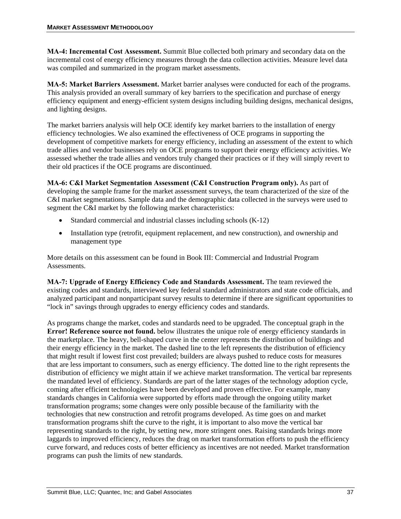**MA-4: Incremental Cost Assessment.** Summit Blue collected both primary and secondary data on the incremental cost of energy efficiency measures through the data collection activities. Measure level data was compiled and summarized in the program market assessments.

**MA-5: Market Barriers Assessment.** Market barrier analyses were conducted for each of the programs. This analysis provided an overall summary of key barriers to the specification and purchase of energy efficiency equipment and energy-efficient system designs including building designs, mechanical designs, and lighting designs.

The market barriers analysis will help OCE identify key market barriers to the installation of energy efficiency technologies. We also examined the effectiveness of OCE programs in supporting the development of competitive markets for energy efficiency, including an assessment of the extent to which trade allies and vendor businesses rely on OCE programs to support their energy efficiency activities. We assessed whether the trade allies and vendors truly changed their practices or if they will simply revert to their old practices if the OCE programs are discontinued.

**MA-6: C&I Market Segmentation Assessment (C&I Construction Program only).** As part of developing the sample frame for the market assessment surveys, the team characterized of the size of the C&I market segmentations. Sample data and the demographic data collected in the surveys were used to segment the C&I market by the following market characteristics:

- Standard commercial and industrial classes including schools (K-12)
- Installation type (retrofit, equipment replacement, and new construction), and ownership and management type

More details on this assessment can be found in Book III: Commercial and Industrial Program Assessments.

**MA-7: Upgrade of Energy Efficiency Code and Standards Assessment.** The team reviewed the existing codes and standards, interviewed key federal standard administrators and state code officials, and analyzed participant and nonparticipant survey results to determine if there are significant opportunities to "lock in" savings through upgrades to energy efficiency codes and standards.

As programs change the market, codes and standards need to be upgraded. The conceptual graph in the **Error! Reference source not found.** below illustrates the unique role of energy efficiency standards in the marketplace. The heavy, bell-shaped curve in the center represents the distribution of buildings and their energy efficiency in the market. The dashed line to the left represents the distribution of efficiency that might result if lowest first cost prevailed; builders are always pushed to reduce costs for measures that are less important to consumers, such as energy efficiency. The dotted line to the right represents the distribution of efficiency we might attain if we achieve market transformation. The vertical bar represents the mandated level of efficiency. Standards are part of the latter stages of the technology adoption cycle, coming after efficient technologies have been developed and proven effective. For example, many standards changes in California were supported by efforts made through the ongoing utility market transformation programs; some changes were only possible because of the familiarity with the technologies that new construction and retrofit programs developed. As time goes on and market transformation programs shift the curve to the right, it is important to also move the vertical bar representing standards to the right, by setting new, more stringent ones. Raising standards brings more laggards to improved efficiency, reduces the drag on market transformation efforts to push the efficiency curve forward, and reduces costs of better efficiency as incentives are not needed. Market transformation programs can push the limits of new standards.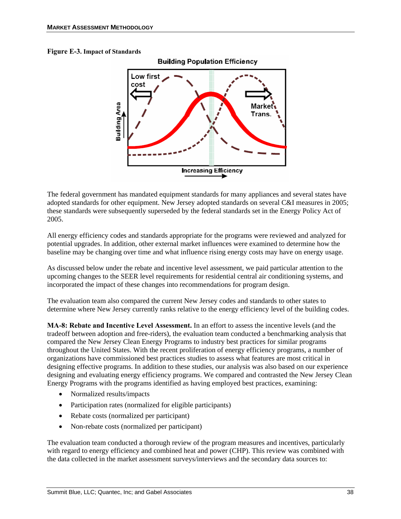## **Figure E-3. Impact of Standards**



The federal government has mandated equipment standards for many appliances and several states have adopted standards for other equipment. New Jersey adopted standards on several C&I measures in 2005; these standards were subsequently superseded by the federal standards set in the Energy Policy Act of 2005.

All energy efficiency codes and standards appropriate for the programs were reviewed and analyzed for potential upgrades. In addition, other external market influences were examined to determine how the baseline may be changing over time and what influence rising energy costs may have on energy usage.

As discussed below under the rebate and incentive level assessment, we paid particular attention to the upcoming changes to the SEER level requirements for residential central air conditioning systems, and incorporated the impact of these changes into recommendations for program design.

The evaluation team also compared the current New Jersey codes and standards to other states to determine where New Jersey currently ranks relative to the energy efficiency level of the building codes.

**MA-8: Rebate and Incentive Level Assessment.** In an effort to assess the incentive levels (and the tradeoff between adoption and free-riders), the evaluation team conducted a benchmarking analysis that compared the New Jersey Clean Energy Programs to industry best practices for similar programs throughout the United States. With the recent proliferation of energy efficiency programs, a number of organizations have commissioned best practices studies to assess what features are most critical in designing effective programs. In addition to these studies, our analysis was also based on our experience designing and evaluating energy efficiency programs. We compared and contrasted the New Jersey Clean Energy Programs with the programs identified as having employed best practices, examining:

- Normalized results/impacts
- Participation rates (normalized for eligible participants)
- Rebate costs (normalized per participant)
- Non-rebate costs (normalized per participant)

The evaluation team conducted a thorough review of the program measures and incentives, particularly with regard to energy efficiency and combined heat and power (CHP). This review was combined with the data collected in the market assessment surveys/interviews and the secondary data sources to: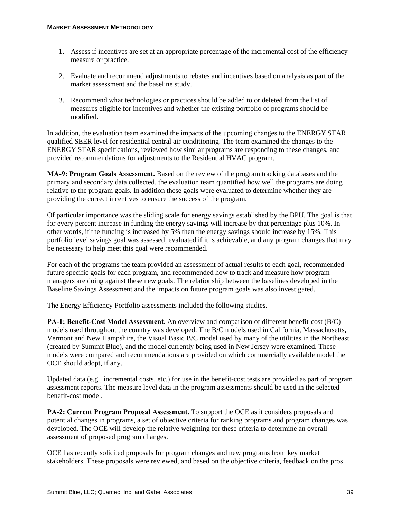- 1. Assess if incentives are set at an appropriate percentage of the incremental cost of the efficiency measure or practice.
- 2. Evaluate and recommend adjustments to rebates and incentives based on analysis as part of the market assessment and the baseline study.
- 3. Recommend what technologies or practices should be added to or deleted from the list of measures eligible for incentives and whether the existing portfolio of programs should be modified.

In addition, the evaluation team examined the impacts of the upcoming changes to the ENERGY STAR qualified SEER level for residential central air conditioning. The team examined the changes to the ENERGY STAR specifications, reviewed how similar programs are responding to these changes, and provided recommendations for adjustments to the Residential HVAC program.

**MA-9: Program Goals Assessment.** Based on the review of the program tracking databases and the primary and secondary data collected, the evaluation team quantified how well the programs are doing relative to the program goals. In addition these goals were evaluated to determine whether they are providing the correct incentives to ensure the success of the program.

Of particular importance was the sliding scale for energy savings established by the BPU. The goal is that for every percent increase in funding the energy savings will increase by that percentage plus 10%. In other words, if the funding is increased by 5% then the energy savings should increase by 15%. This portfolio level savings goal was assessed, evaluated if it is achievable, and any program changes that may be necessary to help meet this goal were recommended.

For each of the programs the team provided an assessment of actual results to each goal, recommended future specific goals for each program, and recommended how to track and measure how program managers are doing against these new goals. The relationship between the baselines developed in the Baseline Savings Assessment and the impacts on future program goals was also investigated.

The Energy Efficiency Portfolio assessments included the following studies.

**PA-1: Benefit-Cost Model Assessment.** An overview and comparison of different benefit-cost (B/C) models used throughout the country was developed. The B/C models used in California, Massachusetts, Vermont and New Hampshire, the Visual Basic B/C model used by many of the utilities in the Northeast (created by Summit Blue), and the model currently being used in New Jersey were examined. These models were compared and recommendations are provided on which commercially available model the OCE should adopt, if any.

Updated data (e.g., incremental costs, etc.) for use in the benefit-cost tests are provided as part of program assessment reports. The measure level data in the program assessments should be used in the selected benefit-cost model.

**PA-2: Current Program Proposal Assessment.** To support the OCE as it considers proposals and potential changes in programs, a set of objective criteria for ranking programs and program changes was developed. The OCE will develop the relative weighting for these criteria to determine an overall assessment of proposed program changes.

OCE has recently solicited proposals for program changes and new programs from key market stakeholders. These proposals were reviewed, and based on the objective criteria, feedback on the pros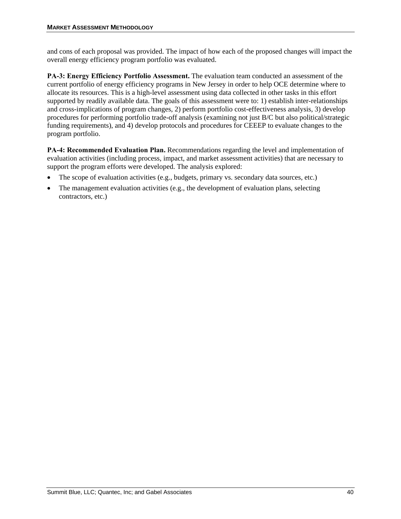and cons of each proposal was provided. The impact of how each of the proposed changes will impact the overall energy efficiency program portfolio was evaluated.

**PA-3: Energy Efficiency Portfolio Assessment.** The evaluation team conducted an assessment of the current portfolio of energy efficiency programs in New Jersey in order to help OCE determine where to allocate its resources. This is a high-level assessment using data collected in other tasks in this effort supported by readily available data. The goals of this assessment were to: 1) establish inter-relationships and cross-implications of program changes, 2) perform portfolio cost-effectiveness analysis, 3) develop procedures for performing portfolio trade-off analysis (examining not just B/C but also political/strategic funding requirements), and 4) develop protocols and procedures for CEEEP to evaluate changes to the program portfolio.

**PA-4: Recommended Evaluation Plan.** Recommendations regarding the level and implementation of evaluation activities (including process, impact, and market assessment activities) that are necessary to support the program efforts were developed. The analysis explored:

- The scope of evaluation activities (e.g., budgets, primary vs. secondary data sources, etc.)
- The management evaluation activities (e.g., the development of evaluation plans, selecting contractors, etc.)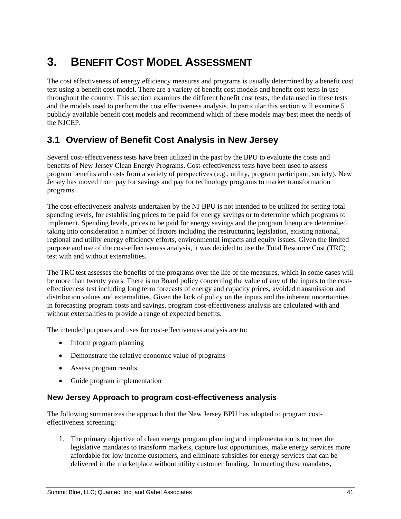# **3. BENEFIT COST MODEL ASSESSMENT**

The cost effectiveness of energy efficiency measures and programs is usually determined by a benefit cost test using a benefit cost model. There are a variety of benefit cost models and benefit cost tests in use throughout the country. This section examines the different benefit cost tests, the data used in these tests and the models used to perform the cost effectiveness analysis. In particular this section will examine 5 publicly available benefit cost models and recommend which of these models may best meet the needs of the NJCEP.

# **3.1 Overview of Benefit Cost Analysis in New Jersey**

Several cost-effectiveness tests have been utilized in the past by the BPU to evaluate the costs and benefits of New Jersey Clean Energy Programs. Cost-effectiveness tests have been used to assess program benefits and costs from a variety of perspectives (e.g., utility, program participant, society). New Jersey has moved from pay for savings and pay for technology programs to market transformation programs.

The cost-effectiveness analysis undertaken by the NJ BPU is not intended to be utilized for setting total spending levels, for establishing prices to be paid for energy savings or to determine which programs to implement. Spending levels, prices to be paid for energy savings and the program lineup are determined taking into consideration a number of factors including the restructuring legislation, existing national, regional and utility energy efficiency efforts, environmental impacts and equity issues. Given the limited purpose and use of the cost-effectiveness analysis, it was decided to use the Total Resource Cost (TRC) test with and without externalities.

The TRC test assesses the benefits of the programs over the life of the measures, which in some cases will be more than twenty years. There is no Board policy concerning the value of any of the inputs to the costeffectiveness test including long term forecasts of energy and capacity prices, avoided transmission and distribution values and externalities. Given the lack of policy on the inputs and the inherent uncertainties in forecasting program costs and savings, program cost-effectiveness analysis are calculated with and without externalities to provide a range of expected benefits.

The intended purposes and uses for cost-effectiveness analysis are to:

- Inform program planning
- Demonstrate the relative economic value of programs
- Assess program results
- Guide program implementation

# **New Jersey Approach to program cost-effectiveness analysis**

The following summarizes the approach that the New Jersey BPU has adopted to program costeffectiveness screening:

1. The primary objective of clean energy program planning and implementation is to meet the legislative mandates to transform markets, capture lost opportunities, make energy services more affordable for low income customers, and eliminate subsidies for energy services that can be delivered in the marketplace without utility customer funding. In meeting these mandates,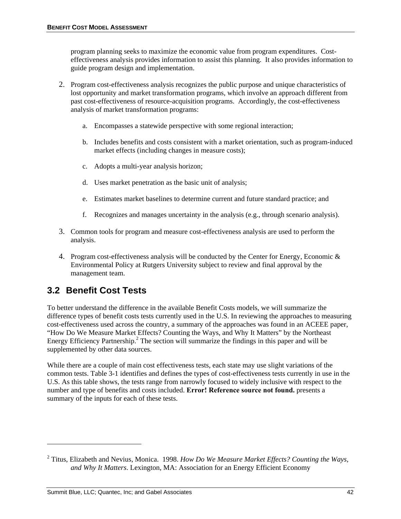program planning seeks to maximize the economic value from program expenditures. Costeffectiveness analysis provides information to assist this planning. It also provides information to guide program design and implementation.

- 2. Program cost-effectiveness analysis recognizes the public purpose and unique characteristics of lost opportunity and market transformation programs, which involve an approach different from past cost-effectiveness of resource-acquisition programs. Accordingly, the cost-effectiveness analysis of market transformation programs:
	- a. Encompasses a statewide perspective with some regional interaction;
	- b. Includes benefits and costs consistent with a market orientation, such as program-induced market effects (including changes in measure costs);
	- c. Adopts a multi-year analysis horizon;
	- d. Uses market penetration as the basic unit of analysis;
	- e. Estimates market baselines to determine current and future standard practice; and
	- f. Recognizes and manages uncertainty in the analysis (e.g., through scenario analysis).
- 3. Common tools for program and measure cost-effectiveness analysis are used to perform the analysis.
- 4. Program cost-effectiveness analysis will be conducted by the Center for Energy, Economic  $\&$ Environmental Policy at Rutgers University subject to review and final approval by the management team.

# **3.2 Benefit Cost Tests**

1

To better understand the difference in the available Benefit Costs models, we will summarize the difference types of benefit costs tests currently used in the U.S. In reviewing the approaches to measuring cost-effectiveness used across the country, a summary of the approaches was found in an ACEEE paper, "How Do We Measure Market Effects? Counting the Ways, and Why It Matters" by the Northeast Energy Efficiency Partnership.<sup>2</sup> The section will summarize the findings in this paper and will be supplemented by other data sources.

While there are a couple of main cost effectiveness tests, each state may use slight variations of the common tests. Table 3-1 identifies and defines the types of cost-effectiveness tests currently in use in the U.S. As this table shows, the tests range from narrowly focused to widely inclusive with respect to the number and type of benefits and costs included. **Error! Reference source not found.** presents a summary of the inputs for each of these tests.

<sup>2</sup> Titus, Elizabeth and Nevius, Monica. 1998. *How Do We Measure Market Effects? Counting the Ways, and Why It Matters*. Lexington, MA: Association for an Energy Efficient Economy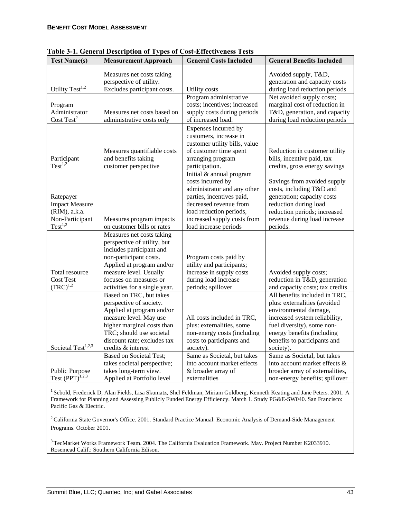| <b>Test Name(s)</b>                                                                           | <b>Measurement Approach</b>                                                                                                                                                                                                      | <b>General Costs Included</b>                                                                                                                                                                                          | <b>General Benefits Included</b>                                                                                                                                                                                                 |
|-----------------------------------------------------------------------------------------------|----------------------------------------------------------------------------------------------------------------------------------------------------------------------------------------------------------------------------------|------------------------------------------------------------------------------------------------------------------------------------------------------------------------------------------------------------------------|----------------------------------------------------------------------------------------------------------------------------------------------------------------------------------------------------------------------------------|
| Utility Test <sup>1,2</sup>                                                                   | Measures net costs taking<br>perspective of utility.<br>Excludes participant costs.                                                                                                                                              | Utility costs                                                                                                                                                                                                          | Avoided supply, T&D,<br>generation and capacity costs<br>during load reduction periods                                                                                                                                           |
| Program<br>Administrator<br>Cost Test <sup>2</sup>                                            | Measures net costs based on<br>administrative costs only                                                                                                                                                                         | Program administrative<br>costs; incentives; increased<br>supply costs during periods<br>of increased load.                                                                                                            | Net avoided supply costs;<br>marginal cost of reduction in<br>T&D, generation, and capacity<br>during load reduction periods                                                                                                     |
| Participant<br>$Test^{1,2}$                                                                   | Measures quantifiable costs<br>and benefits taking<br>customer perspective                                                                                                                                                       | Expenses incurred by<br>customers, increase in<br>customer utility bills, value<br>of customer time spent<br>arranging program<br>participation.                                                                       | Reduction in customer utility<br>bills, incentive paid, tax<br>credits, gross energy savings                                                                                                                                     |
| Ratepayer<br><b>Impact Measure</b><br>(RIM), a.k.a.<br>Non-Participant<br>Test <sup>1,2</sup> | Measures program impacts<br>on customer bills or rates                                                                                                                                                                           | Initial & annual program<br>costs incurred by<br>administrator and any other<br>parties, incentives paid,<br>decreased revenue from<br>load reduction periods,<br>increased supply costs from<br>load increase periods | Savings from avoided supply<br>costs, including T&D and<br>generation; capacity costs<br>reduction during load<br>reduction periods; increased<br>revenue during load increase<br>periods.                                       |
| Total resource<br><b>Cost Test</b><br>$(TRC)^{1,2}$                                           | Measures net costs taking<br>perspective of utility, but<br>includes participant and<br>non-participant costs.<br>Applied at program and/or<br>measure level. Usually<br>focuses on measures or<br>activities for a single year. | Program costs paid by<br>utility and participants;<br>increase in supply costs<br>during load increase<br>periods; spillover                                                                                           | Avoided supply costs;<br>reduction in T&D, generation<br>and capacity costs; tax credits                                                                                                                                         |
| Societal Test <sup>1,2,3</sup>                                                                | Based on TRC, but takes<br>perspective of society.<br>Applied at program and/or<br>measure level. May use<br>higher marginal costs than<br>TRC; should use societal<br>discount rate; excludes tax<br>credits & interest         | All costs included in TRC,<br>plus: externalities, some<br>non-energy costs (including<br>costs to participants and<br>society).                                                                                       | All benefits included in TRC,<br>plus: externalities (avoided<br>environmental damage,<br>increased system reliability,<br>fuel diversity), some non-<br>energy benefits (including<br>benefits to participants and<br>society). |
| <b>Public Purpose</b><br>Test $(PPT)^{1,2,3}$                                                 | <b>Based on Societal Test;</b><br>takes societal perspective;<br>takes long-term view.<br>Applied at Portfolio level                                                                                                             | Same as Societal, but takes<br>into account market effects<br>& broader array of<br>externalities                                                                                                                      | Same as Societal, but takes<br>into account market effects &<br>broader array of externalities,<br>non-energy benefits; spillover                                                                                                |

**Table 3-1. General Description of Types of Cost-Effectiveness Tests** 

<sup>1</sup> Sebold, Frederick D, Alan Fields, Lisa Skumatz, Shel Feldman, Miriam Goldberg, Kenneth Keating and Jane Peters. 2001. A Framework for Planning and Assessing Publicly Funded Energy Efficiency. March 1. Study PG&E-SW040. San Francisco: Pacific Gas & Electric.

<sup>2</sup> California State Governor's Office. 2001. Standard Practice Manual: Economic Analysis of Demand-Side Management Programs. October 2001.

<sup>3</sup> TecMarket Works Framework Team. 2004. The California Evaluation Framework. May. Project Number K2033910. Rosemead Calif.: Southern California Edison.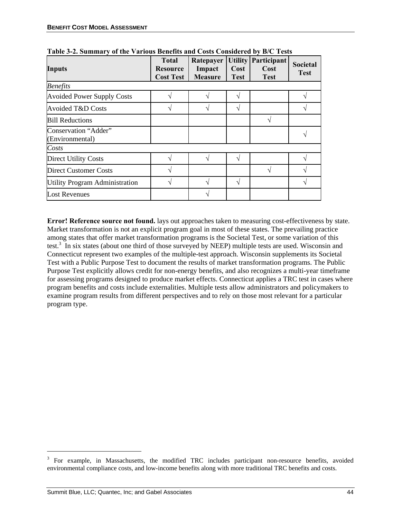| <b>Inputs</b>                           | <b>Total</b><br><b>Resource</b><br><b>Cost Test</b> | Ratepayer<br>Impact<br><b>Measure</b> | <b>Utility</b><br>Cost<br><b>Test</b> | <b>Participant</b><br>Cost<br><b>Test</b> | <b>Societal</b><br><b>Test</b> |
|-----------------------------------------|-----------------------------------------------------|---------------------------------------|---------------------------------------|-------------------------------------------|--------------------------------|
| <b>Benefits</b>                         |                                                     |                                       |                                       |                                           |                                |
| <b>Avoided Power Supply Costs</b>       |                                                     |                                       | ٦                                     |                                           |                                |
| Avoided T&D Costs                       |                                                     |                                       | ٦Ι                                    |                                           |                                |
| <b>Bill Reductions</b>                  |                                                     |                                       |                                       |                                           |                                |
| Conservation "Adder"<br>(Environmental) |                                                     |                                       |                                       |                                           |                                |
| Costs                                   |                                                     |                                       |                                       |                                           |                                |
| <b>Direct Utility Costs</b>             |                                                     |                                       | ٦                                     |                                           |                                |
| Direct Customer Costs                   |                                                     |                                       |                                       |                                           |                                |
| <b>Utility Program Administration</b>   |                                                     |                                       | V                                     |                                           |                                |
| <b>Lost Revenues</b>                    |                                                     |                                       |                                       |                                           |                                |

**Table 3-2. Summary of the Various Benefits and Costs Considered by B/C Tests** 

**Error! Reference source not found.** lays out approaches taken to measuring cost-effectiveness by state. Market transformation is not an explicit program goal in most of these states. The prevailing practice among states that offer market transformation programs is the Societal Test, or some variation of this test.<sup>3</sup> In six states (about one third of those surveyed by NEEP) multiple tests are used. Wisconsin and Connecticut represent two examples of the multiple-test approach. Wisconsin supplements its Societal Test with a Public Purpose Test to document the results of market transformation programs. The Public Purpose Test explicitly allows credit for non-energy benefits, and also recognizes a multi-year timeframe for assessing programs designed to produce market effects. Connecticut applies a TRC test in cases where program benefits and costs include externalities. Multiple tests allow administrators and policymakers to examine program results from different perspectives and to rely on those most relevant for a particular program type.

l

<sup>&</sup>lt;sup>3</sup> For example, in Massachusetts, the modified TRC includes participant non-resource benefits, avoided environmental compliance costs, and low-income benefits along with more traditional TRC benefits and costs.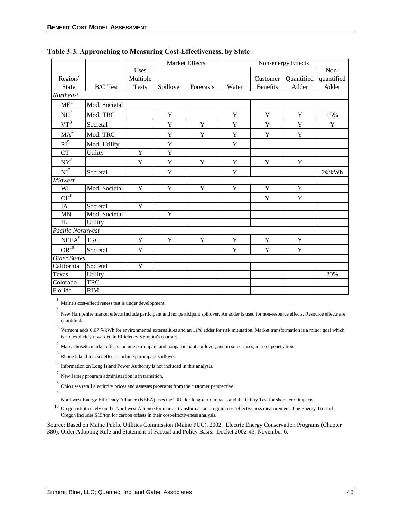|                           |                 |                | Market Effects |             | Non-energy Effects |                 |             |             |
|---------------------------|-----------------|----------------|----------------|-------------|--------------------|-----------------|-------------|-------------|
|                           |                 | Uses           |                |             |                    |                 |             | Non-        |
| Region/                   |                 | Multiple       |                |             |                    | Customer        | Quantified  | quantified  |
| State                     | <b>B/C</b> Test | <b>Tests</b>   | Spillover      | Forecasts   | Water              | <b>Benefits</b> | Adder       | Adder       |
| Northeast                 |                 |                |                |             |                    |                 |             |             |
| ME <sup>1</sup>           | Mod. Societal   |                |                |             |                    |                 |             |             |
| NH <sup>2</sup>           | Mod. TRC        |                | Y              |             | Y                  | $\mathbf Y$     | Y           | 15%         |
| $VT^3$                    | Societal        |                | $\mathbf Y$    | $\mathbf Y$ | $\mathbf Y$        | $\mathbf Y$     | $\mathbf Y$ | $\mathbf Y$ |
| MA <sup>4</sup>           | Mod. TRC        |                | Y              | $\mathbf Y$ | Y                  | Y               | Y           |             |
| $\mathbf{RI}^5$           | Mod. Utility    |                | Y              |             | $\mathbf Y$        |                 |             |             |
| CT                        | Utility         | Y              | Y              |             |                    |                 |             |             |
| $\mathrm{NY}^6$           |                 | Y              | $\mathbf Y$    | $\mathbf Y$ | $\mathbf Y$        | $\mathbf Y$     | $\mathbf Y$ |             |
| $\mathbf{N} \mathbf{J}^7$ | Societal        |                | Y              |             | $\mathbf Y$        |                 |             | 2¢/kWh      |
| Midwest                   |                 |                |                |             |                    |                 |             |             |
| WI                        | Mod. Societal   | Y              | $\mathbf Y$    | $\mathbf Y$ | $\mathbf Y$        | $\mathbf Y$     | $\mathbf Y$ |             |
| $\mathrm{OH}^8$           |                 |                |                |             |                    | $\mathbf Y$     | $\mathbf Y$ |             |
| IA                        | Societal        | $\overline{Y}$ |                |             |                    |                 |             |             |
| MN                        | Mod. Societal   |                | Y              |             |                    |                 |             |             |
| IL                        | Utility         |                |                |             |                    |                 |             |             |
| Pacific Northwest         |                 |                |                |             |                    |                 |             |             |
| NEEA <sup>9</sup>         | <b>TRC</b>      | Y              | Y              | Y           | $\mathbf Y$        | Y               | Y           |             |
| OR <sup>10</sup>          | Societal        | Y              |                |             | Y                  | Y               | $\mathbf Y$ |             |
| <b>Other States</b>       |                 |                |                |             |                    |                 |             |             |
| California                | Societal        | $\mathbf Y$    |                |             |                    |                 |             |             |
| Texas                     | Utility         |                |                |             |                    |                 |             | 20%         |
| Colorado                  | <b>TRC</b>      |                |                |             |                    |                 |             |             |
| Florida                   | RIM             |                |                |             |                    |                 |             |             |

**Table 3-3. Approaching to Measuring Cost-Effectiveness, by State** 

<sup>1</sup> Maine's cost-effectiveness test is under development.

2 New Hampshire market effects include participant and nonparticipant spillover. An adder is used for non-resource effects. Resource effects are quantified.

<sup>3</sup> Vermont adds 0.07  $\mathcal{C}/k$ Wh for environmental externalities and an 11% adder for risk mitigation. Market transformation is a minor goal which is not explicitly rewarded in Efficiency Vermont's contract.

<sup>4</sup> Massachusetts market effects include participant and nonparticipant spillover, and in some cases, market penetration.

5 Rhode Island market effects include participant spillover.

 $^6\,$  Information on Long Island Power Authority is not included in this analysis.

<sup>7</sup> New Jersey program administartion is in transition.

8 Ohio uses retail electircity prices and assesses programs from the customer perspective.

9

Northwest Energy Efficiency Alliance (NEEA) uses the TRC for long-term impacts and the Utility Test for short-term impacts.

<sup>10</sup> Oregon utilities rely on the Northwest Alliance for market transformation program cost-effectiveness measurement. The Energy Trust of Oregon includes \$15/ton for carbon offsets in their cost-effectiveness analysis.

Source: Based on Maine Public Utilities Commission (Maine PUC). 2002. Electric Energy Conservation Programs (Chapter 380), Order Adopting Rule and Statement of Factual and Policy Basis. Docket 2002-43, November 6.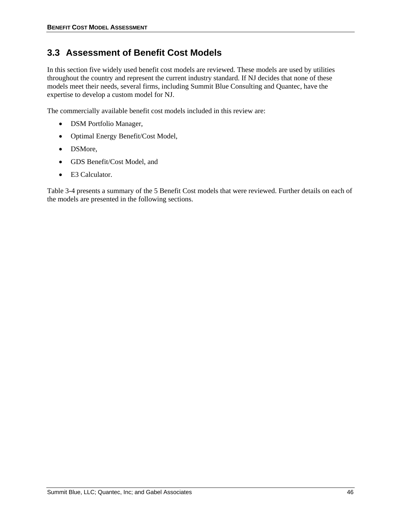# **3.3 Assessment of Benefit Cost Models**

In this section five widely used benefit cost models are reviewed. These models are used by utilities throughout the country and represent the current industry standard. If NJ decides that none of these models meet their needs, several firms, including Summit Blue Consulting and Quantec, have the expertise to develop a custom model for NJ.

The commercially available benefit cost models included in this review are:

- DSM Portfolio Manager,
- Optimal Energy Benefit/Cost Model,
- DSMore,
- GDS Benefit/Cost Model, and
- E3 Calculator.

Table 3-4 presents a summary of the 5 Benefit Cost models that were reviewed. Further details on each of the models are presented in the following sections.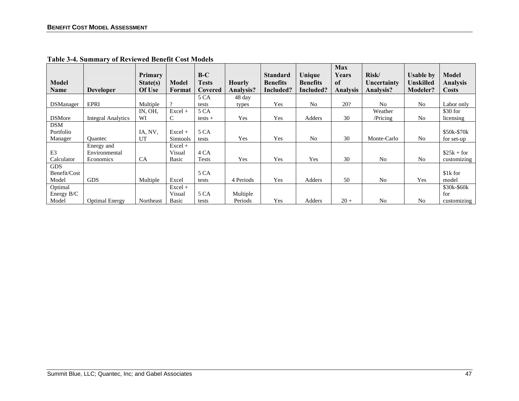|                  |                       |                     |                  | $B-C$        |               |                                    |                           | <b>Max</b><br>Years | Risk/          |                               | Model           |
|------------------|-----------------------|---------------------|------------------|--------------|---------------|------------------------------------|---------------------------|---------------------|----------------|-------------------------------|-----------------|
| Model            |                       | Primary<br>State(s) | Model            | Tests        | <b>Hourly</b> | <b>Standard</b><br><b>Benefits</b> | Unique<br><b>Benefits</b> | of                  | Uncertainty    | <b>Usable by</b><br>Unskilled | <b>Analysis</b> |
| <b>Name</b>      | <b>Developer</b>      | Of Use              | Format           | Covered      | Analysis?     | Included?                          | Included?                 | <b>Analysis</b>     | Analysis?      | Modeler?                      | <b>Costs</b>    |
|                  |                       |                     |                  | 5 CA         | 48 day        |                                    |                           |                     |                |                               |                 |
| <b>DSManager</b> | EPRI                  | Multiple            | $\Omega$         | tests        | types         | Yes                                | N <sub>0</sub>            | 20?                 | N <sub>o</sub> | N <sub>0</sub>                | Labor only      |
|                  |                       | IN, OH,             | $Excel +$        | 5 CA         |               |                                    |                           |                     | Weather        |                               | \$30 for        |
| <b>DSMore</b>    | Integral Analytics    | WI                  | С                | $tests +$    | Yes           | Yes                                | Adders                    | 30                  | /Pricing       | N <sub>0</sub>                | licensing       |
| <b>DSM</b>       |                       |                     |                  |              |               |                                    |                           |                     |                |                               |                 |
| Portfolio        |                       | IA, NV,             | $Excel +$        | 5 CA         |               |                                    |                           |                     |                |                               | \$50k-\$70k     |
| Manager          | <b>Ouantec</b>        | UT                  | <b>Simtools</b>  | tests        | Yes           | Yes                                | N <sub>0</sub>            | 30                  | Monte-Carlo    | N <sub>0</sub>                | for set-up      |
|                  | Energy and            |                     | $\text{Excel}$ + |              |               |                                    |                           |                     |                |                               |                 |
| E <sub>3</sub>   | Environmental         |                     | Visual           | 4 CA         |               |                                    |                           |                     |                |                               | $$25k + for$    |
| Calculator       | Economics             | <b>CA</b>           | Basic            | <b>Tests</b> | Yes           | Yes                                | Yes                       | 30                  | N <sub>0</sub> | N <sub>0</sub>                | customizing     |
| <b>GDS</b>       |                       |                     |                  |              |               |                                    |                           |                     |                |                               |                 |
| Benefit/Cost     |                       |                     |                  | 5 CA         |               |                                    |                           |                     |                |                               | \$1k for        |
| Model            | <b>GDS</b>            | Multiple            | Excel            | tests        | 4 Periods     | Yes                                | <b>Adders</b>             | 50                  | N <sub>0</sub> | Yes                           | model           |
| Optimal          |                       |                     | $Excel +$        |              |               |                                    |                           |                     |                |                               | \$30k-\$60k     |
| Energy B/C       |                       |                     | Visual           | 5 CA         | Multiple      |                                    |                           |                     |                |                               | for             |
| Model            | <b>Optimal Energy</b> | Northeast           | Basic            | tests        | Periods       | Yes                                | Adders                    | $20 +$              | No             | No                            | customizing     |

**Table 3-4. Summary of Reviewed Benefit Cost Models**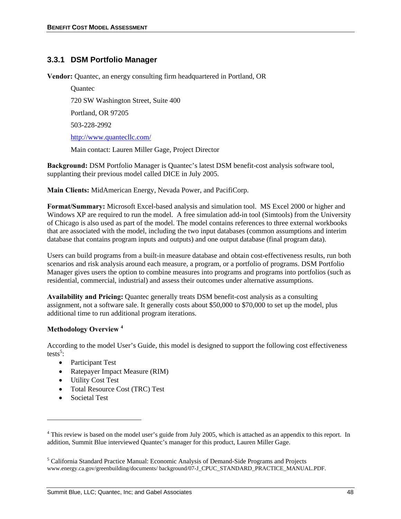# **3.3.1 DSM Portfolio Manager**

**Vendor:** Quantec, an energy consulting firm headquartered in Portland, OR

**Ouantec** 720 SW Washington Street, Suite 400 Portland, OR 97205 503-228-2992

http://www.quantecllc.com/

Main contact: Lauren Miller Gage, Project Director

**Background:** DSM Portfolio Manager is Quantec's latest DSM benefit-cost analysis software tool, supplanting their previous model called DICE in July 2005.

**Main Clients:** MidAmerican Energy, Nevada Power, and PacifiCorp.

**Format/Summary:** Microsoft Excel-based analysis and simulation tool. MS Excel 2000 or higher and Windows XP are required to run the model. A free simulation add-in tool (Simtools) from the University of Chicago is also used as part of the model. The model contains references to three external workbooks that are associated with the model, including the two input databases (common assumptions and interim database that contains program inputs and outputs) and one output database (final program data).

Users can build programs from a built-in measure database and obtain cost-effectiveness results, run both scenarios and risk analysis around each measure, a program, or a portfolio of programs. DSM Portfolio Manager gives users the option to combine measures into programs and programs into portfolios (such as residential, commercial, industrial) and assess their outcomes under alternative assumptions.

**Availability and Pricing:** Quantec generally treats DSM benefit-cost analysis as a consulting assignment, not a software sale. It generally costs about \$50,000 to \$70,000 to set up the model, plus additional time to run additional program iterations.

#### **Methodology Overview <sup>4</sup>**

According to the model User's Guide, this model is designed to support the following cost effectiveness tests<sup>5</sup>:

- Participant Test
- Ratepayer Impact Measure (RIM)
- Utility Cost Test
- Total Resource Cost (TRC) Test
- Societal Test

1

<sup>&</sup>lt;sup>4</sup> This review is based on the model user's guide from July 2005, which is attached as an appendix to this report. In addition, Summit Blue interviewed Quantec's manager for this product, Lauren Miller Gage.

<sup>&</sup>lt;sup>5</sup> California Standard Practice Manual: Economic Analysis of Demand-Side Programs and Projects www.energy.ca.gov/greenbuilding/documents/ background/07-J\_CPUC\_STANDARD\_PRACTICE\_MANUAL.PDF.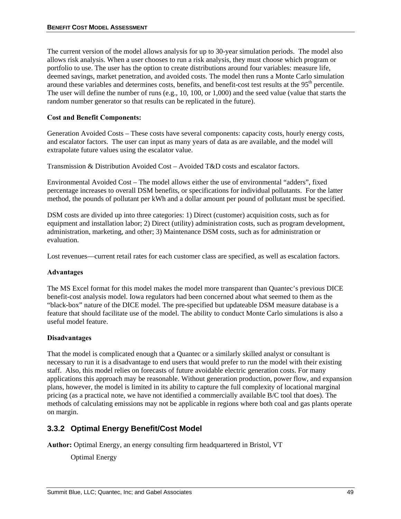The current version of the model allows analysis for up to 30-year simulation periods. The model also allows risk analysis. When a user chooses to run a risk analysis, they must choose which program or portfolio to use. The user has the option to create distributions around four variables: measure life, deemed savings, market penetration, and avoided costs. The model then runs a Monte Carlo simulation around these variables and determines costs, benefits, and benefit-cost test results at the 95<sup>th</sup> percentile. The user will define the number of runs (e.g., 10, 100, or 1,000) and the seed value (value that starts the random number generator so that results can be replicated in the future).

#### **Cost and Benefit Components:**

Generation Avoided Costs – These costs have several components: capacity costs, hourly energy costs, and escalator factors. The user can input as many years of data as are available, and the model will extrapolate future values using the escalator value.

Transmission & Distribution Avoided Cost – Avoided T&D costs and escalator factors.

Environmental Avoided Cost – The model allows either the use of environmental "adders", fixed percentage increases to overall DSM benefits, or specifications for individual pollutants. For the latter method, the pounds of pollutant per kWh and a dollar amount per pound of pollutant must be specified.

DSM costs are divided up into three categories: 1) Direct (customer) acquisition costs, such as for equipment and installation labor; 2) Direct (utility) administration costs, such as program development, administration, marketing, and other; 3) Maintenance DSM costs, such as for administration or evaluation.

Lost revenues—current retail rates for each customer class are specified, as well as escalation factors.

#### **Advantages**

The MS Excel format for this model makes the model more transparent than Quantec's previous DICE benefit-cost analysis model. Iowa regulators had been concerned about what seemed to them as the "black-box" nature of the DICE model. The pre-specified but updateable DSM measure database is a feature that should facilitate use of the model. The ability to conduct Monte Carlo simulations is also a useful model feature.

#### **Disadvantages**

That the model is complicated enough that a Quantec or a similarly skilled analyst or consultant is necessary to run it is a disadvantage to end users that would prefer to run the model with their existing staff. Also, this model relies on forecasts of future avoidable electric generation costs. For many applications this approach may be reasonable. Without generation production, power flow, and expansion plans, however, the model is limited in its ability to capture the full complexity of locational marginal pricing (as a practical note, we have not identified a commercially available B/C tool that does). The methods of calculating emissions may not be applicable in regions where both coal and gas plants operate on margin.

# **3.3.2 Optimal Energy Benefit/Cost Model**

**Author:** Optimal Energy, an energy consulting firm headquartered in Bristol, VT

Optimal Energy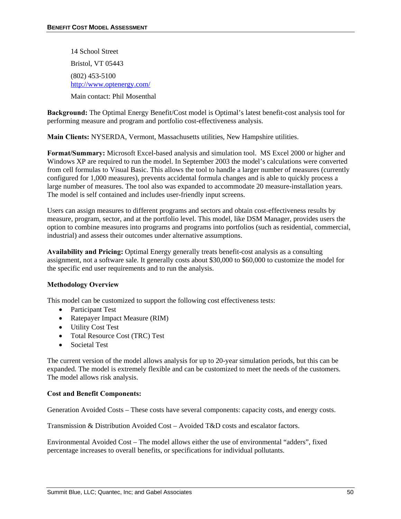14 School Street Bristol, VT 05443 (802) 453-5100 http://www.optenergy.com/ Main contact: Phil Mosenthal

**Background:** The Optimal Energy Benefit/Cost model is Optimal's latest benefit-cost analysis tool for performing measure and program and portfolio cost-effectiveness analysis.

**Main Clients:** NYSERDA, Vermont, Massachusetts utilities, New Hampshire utilities.

**Format/Summary:** Microsoft Excel-based analysis and simulation tool. MS Excel 2000 or higher and Windows XP are required to run the model. In September 2003 the model's calculations were converted from cell formulas to Visual Basic. This allows the tool to handle a larger number of measures (currently configured for 1,000 measures), prevents accidental formula changes and is able to quickly process a large number of measures. The tool also was expanded to accommodate 20 measure-installation years. The model is self contained and includes user-friendly input screens.

Users can assign measures to different programs and sectors and obtain cost-effectiveness results by measure, program, sector, and at the portfolio level. This model, like DSM Manager, provides users the option to combine measures into programs and programs into portfolios (such as residential, commercial, industrial) and assess their outcomes under alternative assumptions.

**Availability and Pricing:** Optimal Energy generally treats benefit-cost analysis as a consulting assignment, not a software sale. It generally costs about \$30,000 to \$60,000 to customize the model for the specific end user requirements and to run the analysis.

#### **Methodology Overview**

This model can be customized to support the following cost effectiveness tests:

- Participant Test
- Ratepayer Impact Measure (RIM)
- Utility Cost Test
- Total Resource Cost (TRC) Test
- Societal Test

The current version of the model allows analysis for up to 20-year simulation periods, but this can be expanded. The model is extremely flexible and can be customized to meet the needs of the customers. The model allows risk analysis.

#### **Cost and Benefit Components:**

Generation Avoided Costs – These costs have several components: capacity costs, and energy costs.

Transmission & Distribution Avoided Cost – Avoided T&D costs and escalator factors.

Environmental Avoided Cost – The model allows either the use of environmental "adders", fixed percentage increases to overall benefits, or specifications for individual pollutants.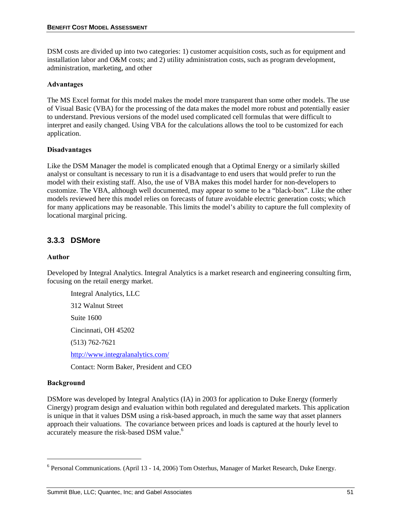DSM costs are divided up into two categories: 1) customer acquisition costs, such as for equipment and installation labor and O&M costs; and 2) utility administration costs, such as program development, administration, marketing, and other

#### **Advantages**

The MS Excel format for this model makes the model more transparent than some other models. The use of Visual Basic (VBA) for the processing of the data makes the model more robust and potentially easier to understand. Previous versions of the model used complicated cell formulas that were difficult to interpret and easily changed. Using VBA for the calculations allows the tool to be customized for each application.

## **Disadvantages**

Like the DSM Manager the model is complicated enough that a Optimal Energy or a similarly skilled analyst or consultant is necessary to run it is a disadvantage to end users that would prefer to run the model with their existing staff. Also, the use of VBA makes this model harder for non-developers to customize. The VBA, although well documented, may appear to some to be a "black-box". Like the other models reviewed here this model relies on forecasts of future avoidable electric generation costs; which for many applications may be reasonable. This limits the model's ability to capture the full complexity of locational marginal pricing.

# **3.3.3 DSMore**

#### **Author**

Developed by Integral Analytics. Integral Analytics is a market research and engineering consulting firm, focusing on the retail energy market.

Integral Analytics, LLC 312 Walnut Street Suite 1600 Cincinnati, OH 45202 (513) 762-7621 http://www.integralanalytics.com/

Contact: Norm Baker, President and CEO

#### **Background**

1

DSMore was developed by Integral Analytics (IA) in 2003 for application to Duke Energy (formerly Cinergy) program design and evaluation within both regulated and deregulated markets. This application is unique in that it values DSM using a risk-based approach, in much the same way that asset planners approach their valuations. The covariance between prices and loads is captured at the hourly level to accurately measure the risk-based DSM value.<sup>6</sup>

<sup>&</sup>lt;sup>6</sup> Personal Communications. (April 13 - 14, 2006) Tom Osterhus, Manager of Market Research, Duke Energy.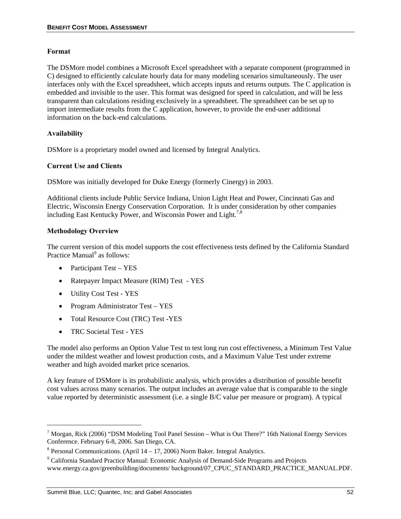#### **Format**

The DSMore model combines a Microsoft Excel spreadsheet with a separate component (programmed in C) designed to efficiently calculate hourly data for many modeling scenarios simultaneously. The user interfaces only with the Excel spreadsheet, which accepts inputs and returns outputs. The C application is embedded and invisible to the user. This format was designed for speed in calculation, and will be less transparent than calculations residing exclusively in a spreadsheet. The spreadsheet can be set up to import intermediate results from the C application, however, to provide the end-user additional information on the back-end calculations.

## **Availability**

DSMore is a proprietary model owned and licensed by Integral Analytics.

## **Current Use and Clients**

DSMore was initially developed for Duke Energy (formerly Cinergy) in 2003.

Additional clients include Public Service Indiana, Union Light Heat and Power, Cincinnati Gas and Electric, Wisconsin Energy Conservation Corporation. It is under consideration by other companies including East Kentucky Power, and Wisconsin Power and Light.<sup>7,8</sup>

## **Methodology Overview**

The current version of this model supports the cost effectiveness tests defined by the California Standard Practice Manual<sup>9</sup> as follows:

- Participant Test YES
- Ratepayer Impact Measure (RIM) Test YES
- Utility Cost Test YES
- Program Administrator Test YES
- Total Resource Cost (TRC) Test -YES
- TRC Societal Test YES

1

The model also performs an Option Value Test to test long run cost effectiveness, a Minimum Test Value under the mildest weather and lowest production costs, and a Maximum Value Test under extreme weather and high avoided market price scenarios.

A key feature of DSMore is its probabilistic analysis, which provides a distribution of possible benefit cost values across many scenarios. The output includes an average value that is comparable to the single value reported by deterministic assessment (i.e. a single B/C value per measure or program). A typical

<sup>&</sup>lt;sup>7</sup> Morgan, Rick (2006) "DSM Modeling Tool Panel Session – What is Out There?" 16th National Energy Services Conference. February 6-8, 2006. San Diego, CA.

 $8$  Personal Communications. (April 14 – 17, 2006) Norm Baker. Integral Analytics.

<sup>&</sup>lt;sup>9</sup> California Standard Practice Manual: Economic Analysis of Demand-Side Programs and Projects www.energy.ca.gov/greenbuilding/documents/ background/07\_CPUC\_STANDARD\_PRACTICE\_MANUAL.PDF.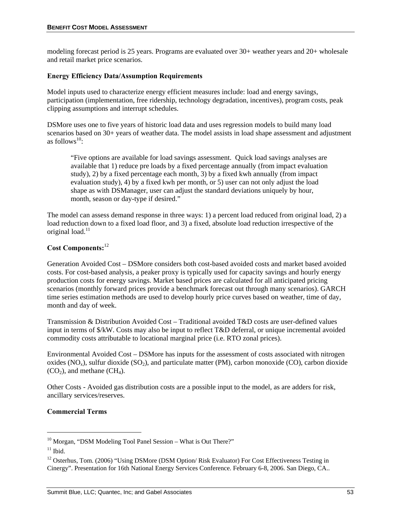modeling forecast period is 25 years. Programs are evaluated over 30+ weather years and 20+ wholesale and retail market price scenarios.

#### **Energy Efficiency Data/Assumption Requirements**

Model inputs used to characterize energy efficient measures include: load and energy savings, participation (implementation, free ridership, technology degradation, incentives), program costs, peak clipping assumptions and interrupt schedules.

DSMore uses one to five years of historic load data and uses regression models to build many load scenarios based on 30+ years of weather data. The model assists in load shape assessment and adjustment as follows<sup>10</sup>:

"Five options are available for load savings assessment. Quick load savings analyses are available that 1) reduce pre loads by a fixed percentage annually (from impact evaluation study), 2) by a fixed percentage each month, 3) by a fixed kwh annually (from impact evaluation study), 4) by a fixed kwh per month, or 5) user can not only adjust the load shape as with DSManager, user can adjust the standard deviations uniquely by hour, month, season or day-type if desired."

The model can assess demand response in three ways: 1) a percent load reduced from original load, 2) a load reduction down to a fixed load floor, and 3) a fixed, absolute load reduction irrespective of the original load.<sup>11</sup>

# **Cost Components:**<sup>12</sup>

Generation Avoided Cost – DSMore considers both cost-based avoided costs and market based avoided costs. For cost-based analysis, a peaker proxy is typically used for capacity savings and hourly energy production costs for energy savings. Market based prices are calculated for all anticipated pricing scenarios (monthly forward prices provide a benchmark forecast out through many scenarios). GARCH time series estimation methods are used to develop hourly price curves based on weather, time of day, month and day of week.

Transmission & Distribution Avoided Cost – Traditional avoided T&D costs are user-defined values input in terms of \$/kW. Costs may also be input to reflect T&D deferral, or unique incremental avoided commodity costs attributable to locational marginal price (i.e. RTO zonal prices).

Environmental Avoided Cost – DSMore has inputs for the assessment of costs associated with nitrogen oxides  $(NO_x)$ , sulfur dioxide  $(SO_2)$ , and particulate matter (PM), carbon monoxide (CO), carbon dioxide  $(CO<sub>2</sub>)$ , and methane  $(CH<sub>4</sub>)$ .

Other Costs - Avoided gas distribution costs are a possible input to the model, as are adders for risk, ancillary services/reserves.

#### **Commercial Terms**

1

<sup>&</sup>lt;sup>10</sup> Morgan, "DSM Modeling Tool Panel Session – What is Out There?"

 $11$  Ibid.

<sup>&</sup>lt;sup>12</sup> Osterhus, Tom. (2006) "Using DSMore (DSM Option/ Risk Evaluator) For Cost Effectiveness Testing in Cinergy". Presentation for 16th National Energy Services Conference. February 6-8, 2006. San Diego, CA..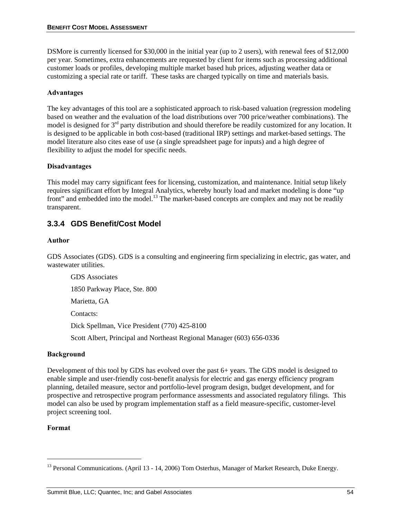DSMore is currently licensed for \$30,000 in the initial year (up to 2 users), with renewal fees of \$12,000 per year. Sometimes, extra enhancements are requested by client for items such as processing additional customer loads or profiles, developing multiple market based hub prices, adjusting weather data or customizing a special rate or tariff. These tasks are charged typically on time and materials basis.

## **Advantages**

The key advantages of this tool are a sophisticated approach to risk-based valuation (regression modeling based on weather and the evaluation of the load distributions over 700 price/weather combinations). The model is designed for 3rd party distribution and should therefore be readily customized for any location. It is designed to be applicable in both cost-based (traditional IRP) settings and market-based settings. The model literature also cites ease of use (a single spreadsheet page for inputs) and a high degree of flexibility to adjust the model for specific needs.

#### **Disadvantages**

This model may carry significant fees for licensing, customization, and maintenance. Initial setup likely requires significant effort by Integral Analytics, whereby hourly load and market modeling is done "up front" and embedded into the model.<sup>13</sup> The market-based concepts are complex and may not be readily transparent.

# **3.3.4 GDS Benefit/Cost Model**

#### **Author**

GDS Associates (GDS). GDS is a consulting and engineering firm specializing in electric, gas water, and wastewater utilities.

GDS Associates 1850 Parkway Place, Ste. 800 Marietta, GA Contacts: Dick Spellman, Vice President (770) 425-8100 Scott Albert, Principal and Northeast Regional Manager (603) 656-0336

#### **Background**

Development of this tool by GDS has evolved over the past 6+ years. The GDS model is designed to enable simple and user-friendly cost-benefit analysis for electric and gas energy efficiency program planning, detailed measure, sector and portfolio-level program design, budget development, and for prospective and retrospective program performance assessments and associated regulatory filings. This model can also be used by program implementation staff as a field measure-specific, customer-level project screening tool.

#### **Format**

l

<sup>&</sup>lt;sup>13</sup> Personal Communications. (April 13 - 14, 2006) Tom Osterhus, Manager of Market Research, Duke Energy.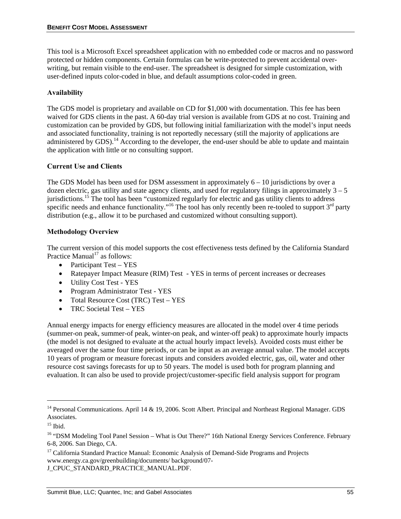This tool is a Microsoft Excel spreadsheet application with no embedded code or macros and no password protected or hidden components. Certain formulas can be write-protected to prevent accidental overwriting, but remain visible to the end-user. The spreadsheet is designed for simple customization, with user-defined inputs color-coded in blue, and default assumptions color-coded in green.

## **Availability**

The GDS model is proprietary and available on CD for \$1,000 with documentation. This fee has been waived for GDS clients in the past. A 60-day trial version is available from GDS at no cost. Training and customization can be provided by GDS, but following initial familiarization with the model's input needs and associated functionality, training is not reportedly necessary (still the majority of applications are administered by GDS).<sup>14</sup> According to the developer, the end-user should be able to update and maintain the application with little or no consulting support.

## **Current Use and Clients**

The GDS Model has been used for DSM assessment in approximately  $6 - 10$  jurisdictions by over a dozen electric, gas utility and state agency clients, and used for regulatory filings in approximately  $3 - 5$ jurisdictions.15 The tool has been "customized regularly for electric and gas utility clients to address specific needs and enhance functionality."<sup>16</sup> The tool has only recently been re-tooled to support  $3<sup>rd</sup>$  party distribution (e.g., allow it to be purchased and customized without consulting support).

## **Methodology Overview**

The current version of this model supports the cost effectiveness tests defined by the California Standard Practice Manual $17$  as follows:

- Participant Test YES
- Ratepayer Impact Measure (RIM) Test YES in terms of percent increases or decreases
- Utility Cost Test YES
- Program Administrator Test YES
- Total Resource Cost (TRC) Test YES
- TRC Societal Test YES

Annual energy impacts for energy efficiency measures are allocated in the model over 4 time periods (summer-on peak, summer-of peak, winter-on peak, and winter-off peak) to approximate hourly impacts (the model is not designed to evaluate at the actual hourly impact levels). Avoided costs must either be averaged over the same four time periods, or can be input as an average annual value. The model accepts 10 years of program or measure forecast inputs and considers avoided electric, gas, oil, water and other resource cost savings forecasts for up to 50 years. The model is used both for program planning and evaluation. It can also be used to provide project/customer-specific field analysis support for program

l

<sup>&</sup>lt;sup>14</sup> Personal Communications. April 14  $\&$  19, 2006. Scott Albert. Principal and Northeast Regional Manager. GDS Associates.

 $15$  Ibid.

<sup>&</sup>lt;sup>16</sup> "DSM Modeling Tool Panel Session – What is Out There?" 16th National Energy Services Conference. February 6-8, 2006. San Diego, CA.

<sup>&</sup>lt;sup>17</sup> California Standard Practice Manual: Economic Analysis of Demand-Side Programs and Projects www.energy.ca.gov/greenbuilding/documents/ background/07- J\_CPUC\_STANDARD\_PRACTICE\_MANUAL.PDF.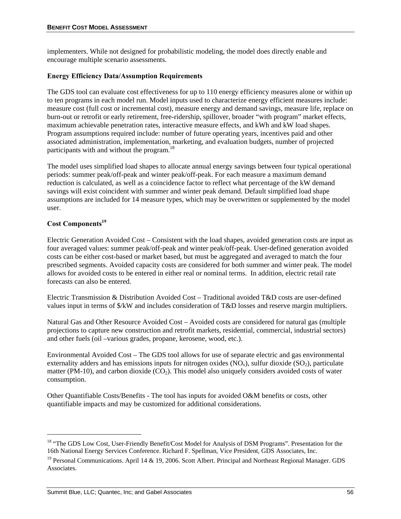implementers. While not designed for probabilistic modeling, the model does directly enable and encourage multiple scenario assessments.

#### **Energy Efficiency Data/Assumption Requirements**

The GDS tool can evaluate cost effectiveness for up to 110 energy efficiency measures alone or within up to ten programs in each model run. Model inputs used to characterize energy efficient measures include: measure cost (full cost or incremental cost), measure energy and demand savings, measure life, replace on burn-out or retrofit or early retirement, free-ridership, spillover, broader "with program" market effects, maximum achievable penetration rates, interactive measure effects, and kWh and kW load shapes. Program assumptions required include: number of future operating years, incentives paid and other associated administration, implementation, marketing, and evaluation budgets, number of projected participants with and without the program.<sup>18</sup>

The model uses simplified load shapes to allocate annual energy savings between four typical operational periods: summer peak/off-peak and winter peak/off-peak. For each measure a maximum demand reduction is calculated, as well as a coincidence factor to reflect what percentage of the kW demand savings will exist coincident with summer and winter peak demand. Default simplified load shape assumptions are included for 14 measure types, which may be overwritten or supplemented by the model user.

## **Cost Components<sup>19</sup>**

l

Electric Generation Avoided Cost – Consistent with the load shapes, avoided generation costs are input as four averaged values: summer peak/off-peak and winter peak/off-peak. User-defined generation avoided costs can be either cost-based or market based, but must be aggregated and averaged to match the four prescribed segments. Avoided capacity costs are considered for both summer and winter peak. The model allows for avoided costs to be entered in either real or nominal terms. In addition, electric retail rate forecasts can also be entered.

Electric Transmission & Distribution Avoided Cost – Traditional avoided T&D costs are user-defined values input in terms of \$/kW and includes consideration of T&D losses and reserve margin multipliers.

Natural Gas and Other Resource Avoided Cost – Avoided costs are considered for natural gas (multiple projections to capture new construction and retrofit markets, residential, commercial, industrial sectors) and other fuels (oil –various grades, propane, kerosene, wood, etc.).

Environmental Avoided Cost – The GDS tool allows for use of separate electric and gas environmental externality adders and has emissions inputs for nitrogen oxides  $(NO_x)$ , sulfur dioxide  $(SO_2)$ , particulate matter (PM-10), and carbon dioxide  $(CO_2)$ . This model also uniquely considers avoided costs of water consumption.

Other Quantifiable Costs/Benefits - The tool has inputs for avoided O&M benefits or costs, other quantifiable impacts and may be customized for additional considerations.

<sup>&</sup>lt;sup>18</sup> "The GDS Low Cost, User-Friendly Benefit/Cost Model for Analysis of DSM Programs". Presentation for the 16th National Energy Services Conference. Richard F. Spellman, Vice President, GDS Associates, Inc.

<sup>&</sup>lt;sup>19</sup> Personal Communications. April 14 & 19, 2006. Scott Albert. Principal and Northeast Regional Manager. GDS Associates.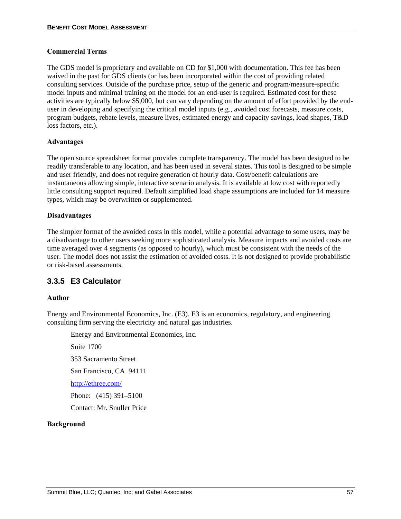#### **Commercial Terms**

The GDS model is proprietary and available on CD for \$1,000 with documentation. This fee has been waived in the past for GDS clients (or has been incorporated within the cost of providing related consulting services. Outside of the purchase price, setup of the generic and program/measure-specific model inputs and minimal training on the model for an end-user is required. Estimated cost for these activities are typically below \$5,000, but can vary depending on the amount of effort provided by the enduser in developing and specifying the critical model inputs (e.g., avoided cost forecasts, measure costs, program budgets, rebate levels, measure lives, estimated energy and capacity savings, load shapes, T&D loss factors, etc.).

#### **Advantages**

The open source spreadsheet format provides complete transparency. The model has been designed to be readily transferable to any location, and has been used in several states. This tool is designed to be simple and user friendly, and does not require generation of hourly data. Cost/benefit calculations are instantaneous allowing simple, interactive scenario analysis. It is available at low cost with reportedly little consulting support required. Default simplified load shape assumptions are included for 14 measure types, which may be overwritten or supplemented.

#### **Disadvantages**

The simpler format of the avoided costs in this model, while a potential advantage to some users, may be a disadvantage to other users seeking more sophisticated analysis. Measure impacts and avoided costs are time averaged over 4 segments (as opposed to hourly), which must be consistent with the needs of the user. The model does not assist the estimation of avoided costs. It is not designed to provide probabilistic or risk-based assessments.

# **3.3.5 E3 Calculator**

#### **Author**

Energy and Environmental Economics, Inc. (E3). E3 is an economics, regulatory, and engineering consulting firm serving the electricity and natural gas industries.

Energy and Environmental Economics, Inc.

Suite 1700 353 Sacramento Street San Francisco, CA 94111 http://ethree.com/

Phone: (415) 391–5100

Contact: Mr. Snuller Price

#### **Background**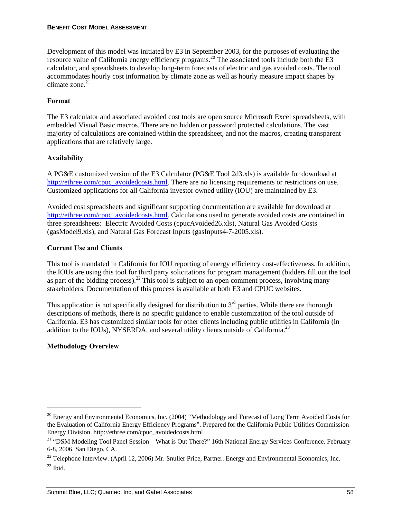Development of this model was initiated by E3 in September 2003, for the purposes of evaluating the resource value of California energy efficiency programs.<sup>20</sup> The associated tools include both the E3 calculator, and spreadsheets to develop long-term forecasts of electric and gas avoided costs. The tool accommodates hourly cost information by climate zone as well as hourly measure impact shapes by climate zone. $21$ 

## **Format**

The E3 calculator and associated avoided cost tools are open source Microsoft Excel spreadsheets, with embedded Visual Basic macros. There are no hidden or password protected calculations. The vast majority of calculations are contained within the spreadsheet, and not the macros, creating transparent applications that are relatively large.

## **Availability**

A PG&E customized version of the E3 Calculator (PG&E Tool 2d3.xls) is available for download at http://ethree.com/cpuc\_avoidedcosts.html. There are no licensing requirements or restrictions on use. Customized applications for all California investor owned utility (IOU) are maintained by E3.

Avoided cost spreadsheets and significant supporting documentation are available for download at http://ethree.com/cpuc\_avoidedcosts.html. Calculations used to generate avoided costs are contained in three spreadsheets: Electric Avoided Costs (cpucAvoided26.xls), Natural Gas Avoided Costs (gasModel9.xls), and Natural Gas Forecast Inputs (gasInputs4-7-2005.xls).

## **Current Use and Clients**

This tool is mandated in California for IOU reporting of energy efficiency cost-effectiveness. In addition, the IOUs are using this tool for third party solicitations for program management (bidders fill out the tool as part of the bidding process).<sup>22</sup> This tool is subject to an open comment process, involving many stakeholders. Documentation of this process is available at both E3 and CPUC websites.

This application is not specifically designed for distribution to  $3<sup>rd</sup>$  parties. While there are thorough descriptions of methods, there is no specific guidance to enable customization of the tool outside of California. E3 has customized similar tools for other clients including public utilities in California (in addition to the IOUs), NYSERDA, and several utility clients outside of California.<sup>23</sup>

# **Methodology Overview**

1

<sup>&</sup>lt;sup>20</sup> Energy and Environmental Economics, Inc. (2004) "Methodology and Forecast of Long Term Avoided Costs for the Evaluation of California Energy Efficiency Programs". Prepared for the California Public Utilities Commission Energy Division. http://ethree.com/cpuc\_avoidedcosts.html

<sup>&</sup>lt;sup>21</sup> "DSM Modeling Tool Panel Session – What is Out There?" 16th National Energy Services Conference. February 6-8, 2006. San Diego, CA.

<sup>&</sup>lt;sup>22</sup> Telephone Interview. (April 12, 2006) Mr. Snuller Price, Partner. Energy and Environmental Economics, Inc.  $^{23}$  Ibid.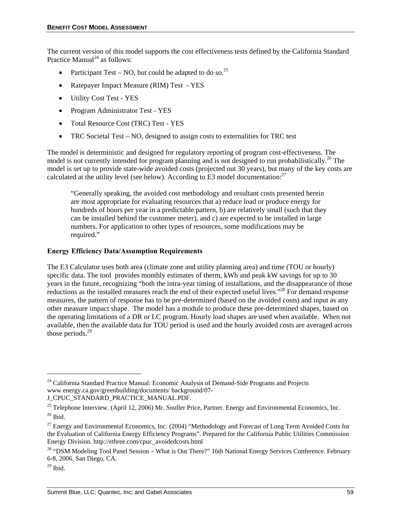The current version of this model supports the cost effectiveness tests defined by the California Standard Practice Manual<sup>24</sup> as follows:

- Participant Test NO, but could be adapted to do so.<sup>25</sup>
- Ratepayer Impact Measure (RIM) Test YES
- Utility Cost Test YES
- Program Administrator Test YES
- Total Resource Cost (TRC) Test YES
- TRC Societal Test NO, designed to assign costs to externalities for TRC test

The model is deterministic and designed for regulatory reporting of program cost-effectiveness. The model is not currently intended for program planning and is not designed to run probabilistically.<sup>26</sup> The model is set up to provide state-wide avoided costs (projected out 30 years), but many of the key costs are calculated at the utility level (see below). According to E3 model documentation:<sup>27</sup>

"Generally speaking, the avoided cost methodology and resultant costs presented herein are most appropriate for evaluating resources that a) reduce load or produce energy for hundreds of hours per year in a predictable pattern, b) are relatively small (such that they can be installed behind the customer meter), and c) are expected to be installed in large numbers. For application to other types of resources, some modifications may be required."

#### **Energy Efficiency Data/Assumption Requirements**

The E3 Calculator uses both area (climate zone and utility planning area) and time (TOU or hourly) specific data. The tool provides monthly estimates of therm, kWh and peak kW savings for up to 30 years in the future, recognizing "both the intra-year timing of installations, and the disappearance of those reductions as the installed measures reach the end of their expected useful lives."<sup>28</sup> For demand response measures, the pattern of response has to be pre-determined (based on the avoided costs) and input as any other measure impact shape. The model has a module to produce these pre-determined shapes, based on the operating limitations of a DR or LC program. Hourly load shapes are used when available. When not available, then the available data for TOU period is used and the hourly avoided costs are averaged across those periods.<sup>29</sup>

l

<sup>&</sup>lt;sup>24</sup> California Standard Practice Manual: Economic Analysis of Demand-Side Programs and Projects www.energy.ca.gov/greenbuilding/documents/ background/07-

J\_CPUC\_STANDARD\_PRACTICE\_MANUAL.PDF.

<sup>&</sup>lt;sup>25</sup> Telephone Interview. (April 12, 2006) Mr. Snuller Price, Partner. Energy and Environmental Economics, Inc.  $^{26}$  Ibid.

<sup>&</sup>lt;sup>27</sup> Energy and Environmental Economics, Inc. (2004) "Methodology and Forecast of Long Term Avoided Costs for the Evaluation of California Energy Efficiency Programs". Prepared for the California Public Utilities Commission Energy Division. http://ethree.com/cpuc\_avoidedcosts.html

<sup>&</sup>lt;sup>28</sup> "DSM Modeling Tool Panel Session – What is Out There?" 16th National Energy Services Conference. February 6-8, 2006. San Diego, CA.

 $29$  Ibid.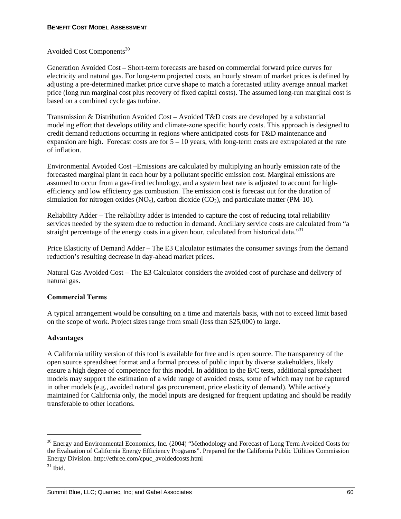# Avoided Cost Components<sup>30</sup>

Generation Avoided Cost – Short-term forecasts are based on commercial forward price curves for electricity and natural gas. For long-term projected costs, an hourly stream of market prices is defined by adjusting a pre-determined market price curve shape to match a forecasted utility average annual market price (long run marginal cost plus recovery of fixed capital costs). The assumed long-run marginal cost is based on a combined cycle gas turbine.

Transmission & Distribution Avoided Cost – Avoided T&D costs are developed by a substantial modeling effort that develops utility and climate-zone specific hourly costs. This approach is designed to credit demand reductions occurring in regions where anticipated costs for T&D maintenance and expansion are high. Forecast costs are for  $5 - 10$  years, with long-term costs are extrapolated at the rate of inflation.

Environmental Avoided Cost –Emissions are calculated by multiplying an hourly emission rate of the forecasted marginal plant in each hour by a pollutant specific emission cost. Marginal emissions are assumed to occur from a gas-fired technology, and a system heat rate is adjusted to account for highefficiency and low efficiency gas combustion. The emission cost is forecast out for the duration of simulation for nitrogen oxides  $(NO_x)$ , carbon dioxide  $(CO_2)$ , and particulate matter (PM-10).

Reliability Adder – The reliability adder is intended to capture the cost of reducing total reliability services needed by the system due to reduction in demand. Ancillary service costs are calculated from "a straight percentage of the energy costs in a given hour, calculated from historical data.<sup>331</sup>

Price Elasticity of Demand Adder – The E3 Calculator estimates the consumer savings from the demand reduction's resulting decrease in day-ahead market prices.

Natural Gas Avoided Cost – The E3 Calculator considers the avoided cost of purchase and delivery of natural gas.

# **Commercial Terms**

A typical arrangement would be consulting on a time and materials basis, with not to exceed limit based on the scope of work. Project sizes range from small (less than \$25,000) to large.

#### **Advantages**

A California utility version of this tool is available for free and is open source. The transparency of the open source spreadsheet format and a formal process of public input by diverse stakeholders, likely ensure a high degree of competence for this model. In addition to the B/C tests, additional spreadsheet models may support the estimation of a wide range of avoided costs, some of which may not be captured in other models (e.g., avoided natural gas procurement, price elasticity of demand). While actively maintained for California only, the model inputs are designed for frequent updating and should be readily transferable to other locations.

l

<sup>&</sup>lt;sup>30</sup> Energy and Environmental Economics, Inc. (2004) "Methodology and Forecast of Long Term Avoided Costs for the Evaluation of California Energy Efficiency Programs". Prepared for the California Public Utilities Commission Energy Division. http://ethree.com/cpuc\_avoidedcosts.html

 $31$  Ibid.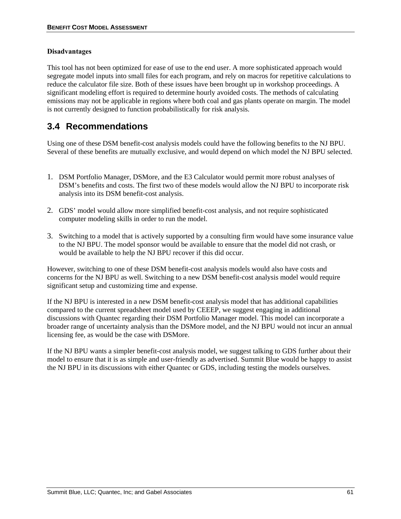#### **Disadvantages**

This tool has not been optimized for ease of use to the end user. A more sophisticated approach would segregate model inputs into small files for each program, and rely on macros for repetitive calculations to reduce the calculator file size. Both of these issues have been brought up in workshop proceedings. A significant modeling effort is required to determine hourly avoided costs. The methods of calculating emissions may not be applicable in regions where both coal and gas plants operate on margin. The model is not currently designed to function probabilistically for risk analysis.

# **3.4 Recommendations**

Using one of these DSM benefit-cost analysis models could have the following benefits to the NJ BPU. Several of these benefits are mutually exclusive, and would depend on which model the NJ BPU selected.

- 1. DSM Portfolio Manager, DSMore, and the E3 Calculator would permit more robust analyses of DSM's benefits and costs. The first two of these models would allow the NJ BPU to incorporate risk analysis into its DSM benefit-cost analysis.
- 2. GDS' model would allow more simplified benefit-cost analysis, and not require sophisticated computer modeling skills in order to run the model.
- 3. Switching to a model that is actively supported by a consulting firm would have some insurance value to the NJ BPU. The model sponsor would be available to ensure that the model did not crash, or would be available to help the NJ BPU recover if this did occur.

However, switching to one of these DSM benefit-cost analysis models would also have costs and concerns for the NJ BPU as well. Switching to a new DSM benefit-cost analysis model would require significant setup and customizing time and expense.

If the NJ BPU is interested in a new DSM benefit-cost analysis model that has additional capabilities compared to the current spreadsheet model used by CEEEP, we suggest engaging in additional discussions with Quantec regarding their DSM Portfolio Manager model. This model can incorporate a broader range of uncertainty analysis than the DSMore model, and the NJ BPU would not incur an annual licensing fee, as would be the case with DSMore.

If the NJ BPU wants a simpler benefit-cost analysis model, we suggest talking to GDS further about their model to ensure that it is as simple and user-friendly as advertised. Summit Blue would be happy to assist the NJ BPU in its discussions with either Quantec or GDS, including testing the models ourselves.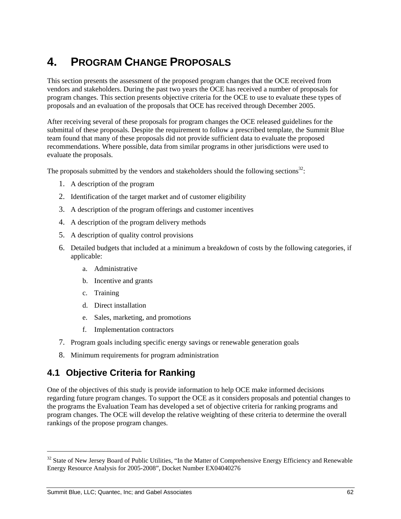# **4. PROGRAM CHANGE PROPOSALS**

This section presents the assessment of the proposed program changes that the OCE received from vendors and stakeholders. During the past two years the OCE has received a number of proposals for program changes. This section presents objective criteria for the OCE to use to evaluate these types of proposals and an evaluation of the proposals that OCE has received through December 2005.

After receiving several of these proposals for program changes the OCE released guidelines for the submittal of these proposals. Despite the requirement to follow a prescribed template, the Summit Blue team found that many of these proposals did not provide sufficient data to evaluate the proposed recommendations. Where possible, data from similar programs in other jurisdictions were used to evaluate the proposals.

The proposals submitted by the vendors and stakeholders should the following sections<sup>32</sup>:

- 1. A description of the program
- 2. Identification of the target market and of customer eligibility
- 3. A description of the program offerings and customer incentives
- 4. A description of the program delivery methods
- 5. A description of quality control provisions
- 6. Detailed budgets that included at a minimum a breakdown of costs by the following categories, if applicable:
	- a. Administrative
	- b. Incentive and grants
	- c. Training
	- d. Direct installation
	- e. Sales, marketing, and promotions
	- f. Implementation contractors
- 7. Program goals including specific energy savings or renewable generation goals
- 8. Minimum requirements for program administration

# **4.1 Objective Criteria for Ranking**

One of the objectives of this study is provide information to help OCE make informed decisions regarding future program changes. To support the OCE as it considers proposals and potential changes to the programs the Evaluation Team has developed a set of objective criteria for ranking programs and program changes. The OCE will develop the relative weighting of these criteria to determine the overall rankings of the propose program changes.

l

<sup>&</sup>lt;sup>32</sup> State of New Jersey Board of Public Utilities, "In the Matter of Comprehensive Energy Efficiency and Renewable Energy Resource Analysis for 2005-2008", Docket Number EX04040276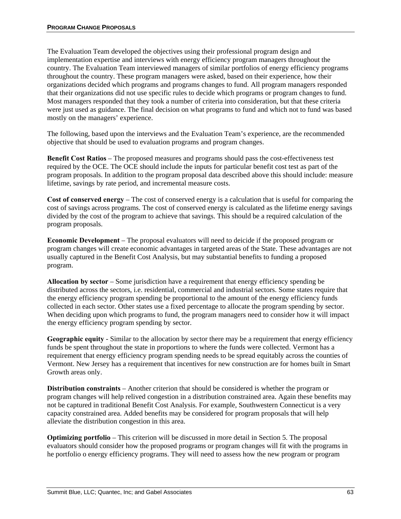The Evaluation Team developed the objectives using their professional program design and implementation expertise and interviews with energy efficiency program managers throughout the country. The Evaluation Team interviewed managers of similar portfolios of energy efficiency programs throughout the country. These program managers were asked, based on their experience, how their organizations decided which programs and programs changes to fund. All program managers responded that their organizations did not use specific rules to decide which programs or program changes to fund. Most managers responded that they took a number of criteria into consideration, but that these criteria were just used as guidance. The final decision on what programs to fund and which not to fund was based mostly on the managers' experience.

The following, based upon the interviews and the Evaluation Team's experience, are the recommended objective that should be used to evaluation programs and program changes.

**Benefit Cost Ratios – The proposed measures and programs should pass the cost-effectiveness test** required by the OCE. The OCE should include the inputs for particular benefit cost test as part of the program proposals. In addition to the program proposal data described above this should include: measure lifetime, savings by rate period, and incremental measure costs.

**Cost of conserved energy** – The cost of conserved energy is a calculation that is useful for comparing the cost of savings across programs. The cost of conserved energy is calculated as the lifetime energy savings divided by the cost of the program to achieve that savings. This should be a required calculation of the program proposals.

**Economic Development** – The proposal evaluators will need to deicide if the proposed program or program changes will create economic advantages in targeted areas of the State. These advantages are not usually captured in the Benefit Cost Analysis, but may substantial benefits to funding a proposed program.

**Allocation by sector** – Some jurisdiction have a requirement that energy efficiency spending be distributed across the sectors, i.e. residential, commercial and industrial sectors. Some states require that the energy efficiency program spending be proportional to the amount of the energy efficiency funds collected in each sector. Other states use a fixed percentage to allocate the program spending by sector. When deciding upon which programs to fund, the program managers need to consider how it will impact the energy efficiency program spending by sector.

**Geographic equity** - Similar to the allocation by sector there may be a requirement that energy efficiency funds be spent throughout the state in proportions to where the funds were collected. Vermont has a requirement that energy efficiency program spending needs to be spread equitably across the counties of Vermont. New Jersey has a requirement that incentives for new construction are for homes built in Smart Growth areas only.

**Distribution constraints** – Another criterion that should be considered is whether the program or program changes will help relived congestion in a distribution constrained area. Again these benefits may not be captured in traditional Benefit Cost Analysis. For example, Southwestern Connecticut is a very capacity constrained area. Added benefits may be considered for program proposals that will help alleviate the distribution congestion in this area.

**Optimizing portfolio** – This criterion will be discussed in more detail in Section 5. The proposal evaluators should consider how the proposed programs or program changes will fit with the programs in he portfolio o energy efficiency programs. They will need to assess how the new program or program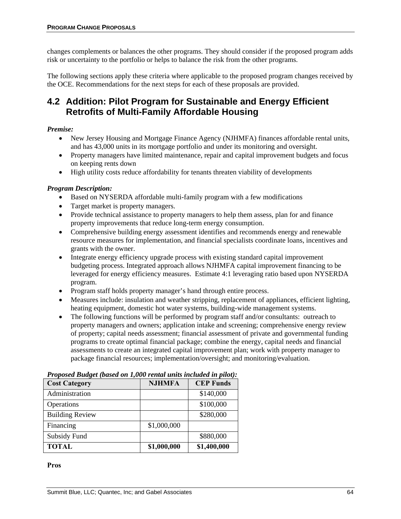changes complements or balances the other programs. They should consider if the proposed program adds risk or uncertainty to the portfolio or helps to balance the risk from the other programs.

The following sections apply these criteria where applicable to the proposed program changes received by the OCE. Recommendations for the next steps for each of these proposals are provided.

# **4.2 Addition: Pilot Program for Sustainable and Energy Efficient Retrofits of Multi-Family Affordable Housing**

## *Premise:*

- New Jersey Housing and Mortgage Finance Agency (NJHMFA) finances affordable rental units, and has 43,000 units in its mortgage portfolio and under its monitoring and oversight.
- Property managers have limited maintenance, repair and capital improvement budgets and focus on keeping rents down
- High utility costs reduce affordability for tenants threaten viability of developments

## *Program Description:*

- Based on NYSERDA affordable multi-family program with a few modifications
- Target market is property managers.
- Provide technical assistance to property managers to help them assess, plan for and finance property improvements that reduce long-term energy consumption.
- Comprehensive building energy assessment identifies and recommends energy and renewable resource measures for implementation, and financial specialists coordinate loans, incentives and grants with the owner.
- Integrate energy efficiency upgrade process with existing standard capital improvement budgeting process. Integrated approach allows NJHMFA capital improvement financing to be leveraged for energy efficiency measures. Estimate 4:1 leveraging ratio based upon NYSERDA program.
- Program staff holds property manager's hand through entire process.
- Measures include: insulation and weather stripping, replacement of appliances, efficient lighting, heating equipment, domestic hot water systems, building-wide management systems.
- The following functions will be performed by program staff and/or consultants: outreach to property managers and owners; application intake and screening; comprehensive energy review of property; capital needs assessment; financial assessment of private and governmental funding programs to create optimal financial package; combine the energy, capital needs and financial assessments to create an integrated capital improvement plan; work with property manager to package financial resources; implementation/oversight; and monitoring/evaluation.

| <b>Cost Category</b>   | <b>NJHMFA</b> | <b>CEP Funds</b> |
|------------------------|---------------|------------------|
| Administration         |               | \$140,000        |
| Operations             |               | \$100,000        |
| <b>Building Review</b> |               | \$280,000        |
| Financing              | \$1,000,000   |                  |
| Subsidy Fund           |               | \$880,000        |
| <b>TOTAL</b>           | \$1,000,000   | \$1,400,000      |

*Proposed Budget (based on 1,000 rental units included in pilot):* 

#### **Pros**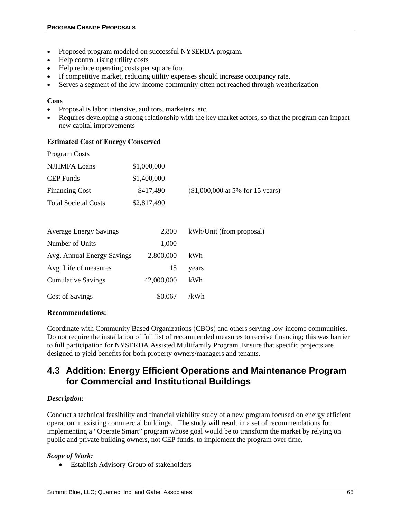- Proposed program modeled on successful NYSERDA program.
- Help control rising utility costs
- Help reduce operating costs per square foot
- If competitive market, reducing utility expenses should increase occupancy rate.
- Serves a segment of the low-income community often not reached through weatherization

#### **Cons**

- Proposal is labor intensive, auditors, marketers, etc.
- Requires developing a strong relationship with the key market actors, so that the program can impact new capital improvements

#### **Estimated Cost of Energy Conserved**

| Program Costs               |             |                                   |
|-----------------------------|-------------|-----------------------------------|
| <b>NJHMFA</b> Loans         | \$1,000,000 |                                   |
| CEP Funds                   | \$1,400,000 |                                   |
| <b>Financing Cost</b>       | \$417,490   | $($1,000,000$ at 5% for 15 years) |
| <b>Total Societal Costs</b> | \$2,817,490 |                                   |
|                             |             |                                   |

| <b>Average Energy Savings</b> | 2,800      | kWh/Unit (from proposal) |
|-------------------------------|------------|--------------------------|
| Number of Units               | 1,000      |                          |
| Avg. Annual Energy Savings    | 2,800,000  | kWh                      |
| Avg. Life of measures         | 15         | years                    |
| <b>Cumulative Savings</b>     | 42,000,000 | kWh                      |
| Cost of Savings               | \$0.067    | /kWh                     |

#### **Recommendations:**

Coordinate with Community Based Organizations (CBOs) and others serving low-income communities. Do not require the installation of full list of recommended measures to receive financing; this was barrier to full participation for NYSERDA Assisted Multifamily Program. Ensure that specific projects are designed to yield benefits for both property owners/managers and tenants.

# **4.3 Addition: Energy Efficient Operations and Maintenance Program for Commercial and Institutional Buildings**

#### *Description:*

Conduct a technical feasibility and financial viability study of a new program focused on energy efficient operation in existing commercial buildings. The study will result in a set of recommendations for implementing a "Operate Smart" program whose goal would be to transform the market by relying on public and private building owners, not CEP funds, to implement the program over time.

#### *Scope of Work:*

• Establish Advisory Group of stakeholders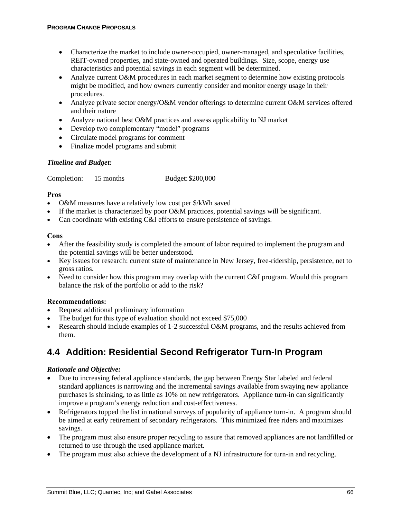- Characterize the market to include owner-occupied, owner-managed, and speculative facilities, REIT-owned properties, and state-owned and operated buildings. Size, scope, energy use characteristics and potential savings in each segment will be determined.
- Analyze current O&M procedures in each market segment to determine how existing protocols might be modified, and how owners currently consider and monitor energy usage in their procedures.
- Analyze private sector energy/O&M vendor offerings to determine current O&M services offered and their nature
- Analyze national best O&M practices and assess applicability to NJ market
- Develop two complementary "model" programs
- Circulate model programs for comment
- Finalize model programs and submit

#### *Timeline and Budget:*

Completion: 15 months Budget: \$200,000

#### **Pros**

- O&M measures have a relatively low cost per \$/kWh saved
- If the market is characterized by poor O&M practices, potential savings will be significant.
- Can coordinate with existing C&I efforts to ensure persistence of savings.

## **Cons**

- After the feasibility study is completed the amount of labor required to implement the program and the potential savings will be better understood.
- Key issues for research: current state of maintenance in New Jersey, free-ridership, persistence, net to gross ratios.
- Need to consider how this program may overlap with the current C&I program. Would this program balance the risk of the portfolio or add to the risk?

#### **Recommendations:**

- Request additional preliminary information
- The budget for this type of evaluation should not exceed \$75,000
- Research should include examples of 1-2 successful O&M programs, and the results achieved from them.

# **4.4 Addition: Residential Second Refrigerator Turn-In Program**

#### *Rationale and Objective:*

- Due to increasing federal appliance standards, the gap between Energy Star labeled and federal standard appliances is narrowing and the incremental savings available from swaying new appliance purchases is shrinking, to as little as 10% on new refrigerators. Appliance turn-in can significantly improve a program's energy reduction and cost-effectiveness.
- Refrigerators topped the list in national surveys of popularity of appliance turn-in. A program should be aimed at early retirement of secondary refrigerators. This minimized free riders and maximizes savings.
- The program must also ensure proper recycling to assure that removed appliances are not landfilled or returned to use through the used appliance market.
- The program must also achieve the development of a NJ infrastructure for turn-in and recycling.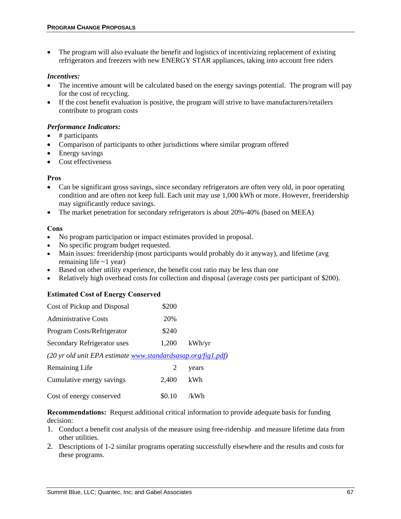• The program will also evaluate the benefit and logistics of incentivizing replacement of existing refrigerators and freezers with new ENERGY STAR appliances, taking into account free riders

#### *Incentives:*

- The incentive amount will be calculated based on the energy savings potential. The program will pay for the cost of recycling.
- If the cost benefit evaluation is positive, the program will strive to have manufacturers/retailers contribute to program costs

#### *Performance Indicators:*

- $\bullet$  # participants
- Comparison of participants to other jurisdictions where similar program offered
- Energy savings
- Cost effectiveness

#### **Pros**

- Can be significant gross savings, since secondary refrigerators are often very old, in poor operating condition and are often not keep full. Each unit may use 1,000 kWh or more. However, freeridership may significantly reduce savings.
- The market penetration for secondary refrigerators is about 20%-40% (based on MEEA)

#### **Cons**

- No program participation or impact estimates provided in proposal.
- No specific program budget requested.
- Main issues: freeridership (most participants would probably do it anyway), and lifetime (avg remaining life  $\sim$ 1 year)
- Based on other utility experience, the benefit cost ratio may be less than one
- Relatively high overhead costs for collection and disposal (average costs per participant of \$200).

#### **Estimated Cost of Energy Conserved**

| Cost of Pickup and Disposal                                  | \$200  |        |
|--------------------------------------------------------------|--------|--------|
| <b>Administrative Costs</b>                                  | 20%    |        |
| Program Costs/Refrigerator                                   | \$240  |        |
| Secondary Refrigerator uses                                  | 1,200  | kWh/yr |
| (20 yr old unit EPA estimate www.standardsasap.org/fig1.pdf) |        |        |
| Remaining Life                                               | 2      | years  |
| Cumulative energy savings                                    | 2.400  | kWh    |
| Cost of energy conserved                                     | \$0.10 | /kWh   |

**Recommendations:** Request additional critical information to provide adequate basis for funding decision:

- 1. Conduct a benefit cost analysis of the measure using free-ridership and measure lifetime data from other utilities.
- 2. Descriptions of 1-2 similar programs operating successfully elsewhere and the results and costs for these programs.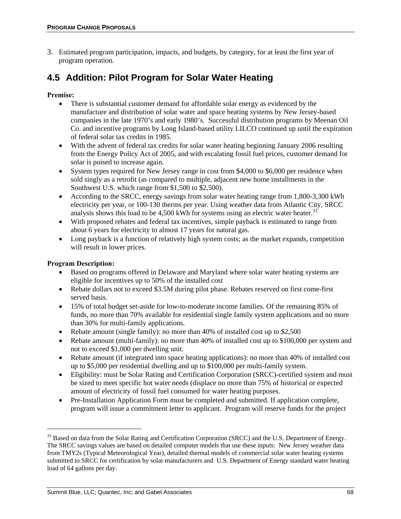3. Estimated program participation, impacts, and budgets, by category, for at least the first year of program operation.

# **4.5 Addition: Pilot Program for Solar Water Heating**

## **Premise:**

- There is substantial customer demand for affordable solar energy as evidenced by the manufacture and distribution of solar water and space heating systems by New Jersey-based companies in the late 1970's and early 1980's. Successful distribution programs by Meenan Oil Co. and incentive programs by Long Island-based utility LILCO continued up until the expiration of federal solar tax credits in 1985.
- With the advent of federal tax credits for solar water heating beginning January 2006 resulting from the Energy Policy Act of 2005, and with escalating fossil fuel prices, customer demand for solar is poised to increase again.
- System types required for New Jersey range in cost from \$4,000 to \$6,000 per residence when sold singly as a retrofit (as compared to multiple, adjacent new home installments in the Southwest U.S. which range from \$1,500 to \$2,500).
- According to the SRCC, energy savings from solar water heating range from 1,800-3,300 kWh electricity per year, or 100-130 therms per year. Using weather data from Atlantic City, SRCC analysis shows this load to be  $4,500$  kWh for systems using an electric water heater.<sup>33</sup>
- With proposed rebates and federal tax incentives, simple payback is estimated to range from about 6 years for electricity to almost 17 years for natural gas.
- Long payback is a function of relatively high system costs; as the market expands, competition will result in lower prices.

## **Program Description:**

1

- Based on programs offered in Delaware and Maryland where solar water heating systems are eligible for incentives up to 50% of the installed cost
- Rebate dollars not to exceed \$3.5M during pilot phase. Rebates reserved on first come-first served basis.
- 15% of total budget set-aside for low-to-moderate income families. Of the remaining 85% of funds, no more than 70% available for residential single family system applications and no more than 30% for multi-family applications.
- Rebate amount (single family): no more than 40% of installed cost up to \$2,500
- Rebate amount (multi-family): no more than 40% of installed cost up to \$100,000 per system and not to exceed \$1,000 per dwelling unit.
- Rebate amount (if integrated into space heating applications): no more than 40% of installed cost up to \$5,000 per residential dwelling and up to \$100,000 per multi-family system.
- Eligibility: must be Solar Rating and Certification Corporation (SRCC)-certified system and must be sized to meet specific hot water needs (displace no more than 75% of historical or expected amount of electricity of fossil fuel consumed for water heating purposes.
- Pre-Installation Application Form must be completed and submitted. If application complete, program will issue a commitment letter to applicant. Program will reserve funds for the project

<sup>&</sup>lt;sup>33</sup> Based on data from the Solar Rating and Certification Corporation (SRCC) and the U.S. Department of Energy. The SRCC savings values are based on detailed computer models that use these inputs: New Jersey weather data from TMY2s (Typical Meteorological Year), detailed thermal models of commercial solar water heating systems submitted to SRCC for certification by solar manufacturers and U.S. Department of Energy standard water heating load of 64 gallons per day.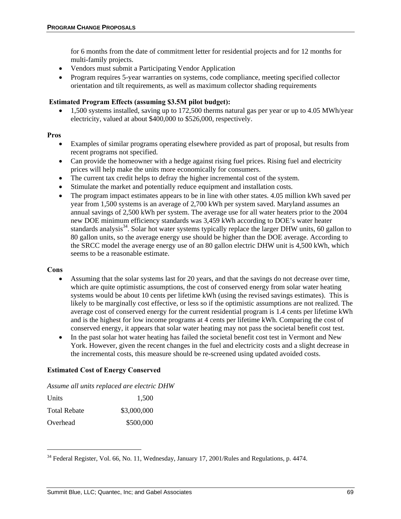for 6 months from the date of commitment letter for residential projects and for 12 months for multi-family projects.

- Vendors must submit a Participating Vendor Application
- Program requires 5-year warranties on systems, code compliance, meeting specified collector orientation and tilt requirements, as well as maximum collector shading requirements

#### **Estimated Program Effects (assuming \$3.5M pilot budget):**

• 1,500 systems installed, saving up to 172,500 therms natural gas per year or up to 4.05 MWh/year electricity, valued at about \$400,000 to \$526,000, respectively.

#### **Pros**

- Examples of similar programs operating elsewhere provided as part of proposal, but results from recent programs not specified.
- Can provide the homeowner with a hedge against rising fuel prices. Rising fuel and electricity prices will help make the units more economically for consumers.
- The current tax credit helps to defray the higher incremental cost of the system.
- Stimulate the market and potentially reduce equipment and installation costs.
- The program impact estimates appears to be in line with other states. 4.05 million kWh saved per year from 1,500 systems is an average of 2,700 kWh per system saved. Maryland assumes an annual savings of 2,500 kWh per system. The average use for all water heaters prior to the 2004 new DOE minimum efficiency standards was 3,459 kWh according to DOE's water heater standards analysis<sup>34</sup>. Solar hot water systems typically replace the larger DHW units, 60 gallon to 80 gallon units, so the average energy use should be higher than the DOE average. According to the SRCC model the average energy use of an 80 gallon electric DHW unit is 4,500 kWh, which seems to be a reasonable estimate.

#### **Cons**

1

- Assuming that the solar systems last for 20 years, and that the savings do not decrease over time, which are quite optimistic assumptions, the cost of conserved energy from solar water heating systems would be about 10 cents per lifetime kWh (using the revised savings estimates). This is likely to be marginally cost effective, or less so if the optimistic assumptions are not realized. The average cost of conserved energy for the current residential program is 1.4 cents per lifetime kWh and is the highest for low income programs at 4 cents per lifetime kWh. Comparing the cost of conserved energy, it appears that solar water heating may not pass the societal benefit cost test.
- In the past solar hot water heating has failed the societal benefit cost test in Vermont and New York. However, given the recent changes in the fuel and electricity costs and a slight decrease in the incremental costs, this measure should be re-screened using updated avoided costs.

#### **Estimated Cost of Energy Conserved**

*Assume all units replaced are electric DHW* 

| Units               | 1.500       |
|---------------------|-------------|
| <b>Total Rebate</b> | \$3,000,000 |
| Overhead            | \$500,000   |

<sup>&</sup>lt;sup>34</sup> Federal Register, Vol. 66, No. 11, Wednesday, January 17, 2001/Rules and Regulations, p. 4474.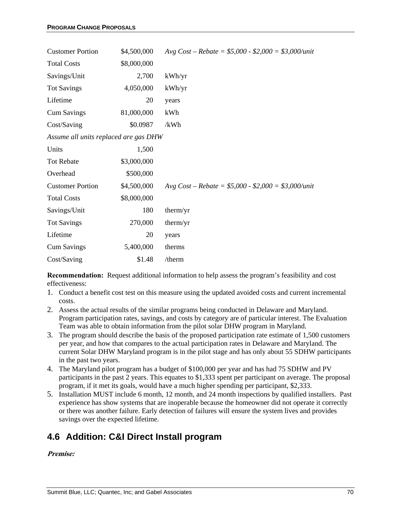| <b>Customer Portion</b>               | \$4,500,000 | Avg Cost – Rebate = $$5,000 - $2,000 = $3,000/unit$ |
|---------------------------------------|-------------|-----------------------------------------------------|
| <b>Total Costs</b>                    | \$8,000,000 |                                                     |
| Savings/Unit                          | 2,700       | kWh/yr                                              |
| <b>Tot Savings</b>                    | 4,050,000   | kWh/yr                                              |
| Lifetime                              | 20          | years                                               |
| <b>Cum Savings</b>                    | 81,000,000  | kWh                                                 |
| Cost/Saving                           | \$0.0987    | /kWh                                                |
| Assume all units replaced are gas DHW |             |                                                     |
| Units                                 | 1,500       |                                                     |
| <b>Tot Rebate</b>                     | \$3,000,000 |                                                     |
| Overhead                              | \$500,000   |                                                     |
| <b>Customer Portion</b>               | \$4,500,000 | Avg Cost – Rebate = $$5,000 - $2,000 = $3,000/unit$ |
| <b>Total Costs</b>                    | \$8,000,000 |                                                     |
| Savings/Unit                          | 180         | therm/yr                                            |
| <b>Tot Savings</b>                    | 270,000     | therm/yr                                            |
| Lifetime                              | 20          | years                                               |
| <b>Cum Savings</b>                    | 5,400,000   | therms                                              |
| Cost/Saving                           | \$1.48      | /therm                                              |

**Recommendation:** Request additional information to help assess the program's feasibility and cost effectiveness:

- 1. Conduct a benefit cost test on this measure using the updated avoided costs and current incremental costs.
- 2. Assess the actual results of the similar programs being conducted in Delaware and Maryland. Program participation rates, savings, and costs by category are of particular interest. The Evaluation Team was able to obtain information from the pilot solar DHW program in Maryland.
- 3. The program should describe the basis of the proposed participation rate estimate of 1,500 customers per year, and how that compares to the actual participation rates in Delaware and Maryland. The current Solar DHW Maryland program is in the pilot stage and has only about 55 SDHW participants in the past two years.
- 4. The Maryland pilot program has a budget of \$100,000 per year and has had 75 SDHW and PV participants in the past 2 years. This equates to \$1,333 spent per participant on average. The proposal program, if it met its goals, would have a much higher spending per participant, \$2,333.
- 5. Installation MUST include 6 month, 12 month, and 24 month inspections by qualified installers. Past experience has show systems that are inoperable because the homeowner did not operate it correctly or there was another failure. Early detection of failures will ensure the system lives and provides savings over the expected lifetime.

# **4.6 Addition: C&I Direct Install program**

#### **Premise:**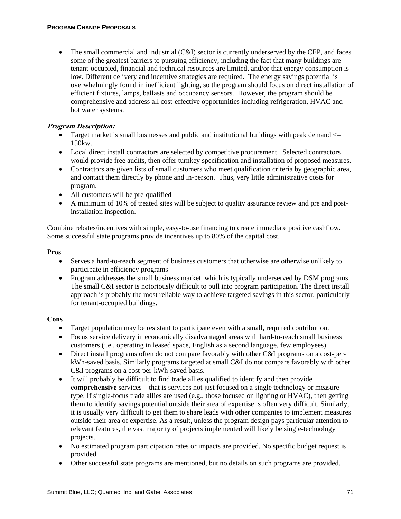• The small commercial and industrial  $(C&I)$  sector is currently underserved by the CEP, and faces some of the greatest barriers to pursuing efficiency, including the fact that many buildings are tenant-occupied, financial and technical resources are limited, and/or that energy consumption is low. Different delivery and incentive strategies are required. The energy savings potential is overwhelmingly found in inefficient lighting, so the program should focus on direct installation of efficient fixtures, lamps, ballasts and occupancy sensors. However, the program should be comprehensive and address all cost-effective opportunities including refrigeration, HVAC and hot water systems.

#### **Program Description:**

- Target market is small businesses and public and institutional buildings with peak demand  $\leq$ 150kw.
- Local direct install contractors are selected by competitive procurement. Selected contractors would provide free audits, then offer turnkey specification and installation of proposed measures.
- Contractors are given lists of small customers who meet qualification criteria by geographic area, and contact them directly by phone and in-person. Thus, very little administrative costs for program.
- All customers will be pre-qualified
- A minimum of 10% of treated sites will be subject to quality assurance review and pre and postinstallation inspection.

Combine rebates/incentives with simple, easy-to-use financing to create immediate positive cashflow. Some successful state programs provide incentives up to 80% of the capital cost.

#### **Pros**

- Serves a hard-to-reach segment of business customers that otherwise are otherwise unlikely to participate in efficiency programs
- Program addresses the small business market, which is typically underserved by DSM programs. The small C&I sector is notoriously difficult to pull into program participation. The direct install approach is probably the most reliable way to achieve targeted savings in this sector, particularly for tenant-occupied buildings.

#### **Cons**

- Target population may be resistant to participate even with a small, required contribution.
- Focus service delivery in economically disadvantaged areas with hard-to-reach small business customers (i.e., operating in leased space, English as a second language, few employees)
- Direct install programs often do not compare favorably with other C&I programs on a cost-perkWh-saved basis. Similarly programs targeted at small C&I do not compare favorably with other C&I programs on a cost-per-kWh-saved basis.
- It will probably be difficult to find trade allies qualified to identify and then provide **comprehensive** services – that is services not just focused on a single technology or measure type. If single-focus trade allies are used (e.g., those focused on lighting or HVAC), then getting them to identify savings potential outside their area of expertise is often very difficult. Similarly, it is usually very difficult to get them to share leads with other companies to implement measures outside their area of expertise. As a result, unless the program design pays particular attention to relevant features, the vast majority of projects implemented will likely be single-technology projects.
- No estimated program participation rates or impacts are provided. No specific budget request is provided.
- Other successful state programs are mentioned, but no details on such programs are provided.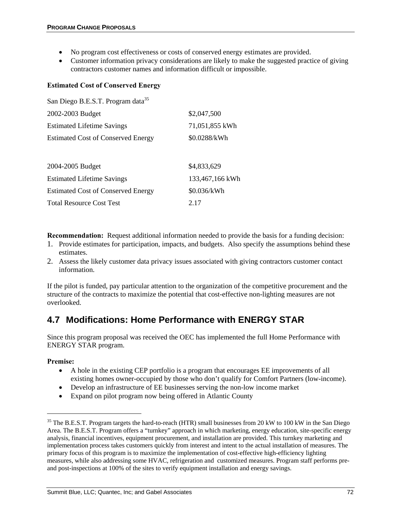- No program cost effectiveness or costs of conserved energy estimates are provided.
- Customer information privacy considerations are likely to make the suggested practice of giving contractors customer names and information difficult or impossible.

#### **Estimated Cost of Conserved Energy**

| San Diego B.E.S.T. Program data <sup>35</sup> |                 |
|-----------------------------------------------|-----------------|
| 2002-2003 Budget                              | \$2,047,500     |
| <b>Estimated Lifetime Savings</b>             | 71,051,855 kWh  |
| <b>Estimated Cost of Conserved Energy</b>     | \$0.0288/kWh    |
|                                               |                 |
| 2004-2005 Budget                              | \$4,833,629     |
| <b>Estimated Lifetime Savings</b>             | 133,467,166 kWh |
| <b>Estimated Cost of Conserved Energy</b>     | \$0.036/kWh     |
| <b>Total Resource Cost Test</b>               | 2.17            |

**Recommendation:** Request additional information needed to provide the basis for a funding decision:

- 1. Provide estimates for participation, impacts, and budgets. Also specify the assumptions behind these estimates.
- 2. Assess the likely customer data privacy issues associated with giving contractors customer contact information.

If the pilot is funded, pay particular attention to the organization of the competitive procurement and the structure of the contracts to maximize the potential that cost-effective non-lighting measures are not overlooked.

### **4.7 Modifications: Home Performance with ENERGY STAR**

Since this program proposal was received the OEC has implemented the full Home Performance with ENERGY STAR program.

#### **Premise:**

1

- A hole in the existing CEP portfolio is a program that encourages EE improvements of all existing homes owner-occupied by those who don't qualify for Comfort Partners (low-income).
- Develop an infrastructure of EE businesses serving the non-low income market
- Expand on pilot program now being offered in Atlantic County

<sup>&</sup>lt;sup>35</sup> The B.E.S.T. Program targets the hard-to-reach (HTR) small businesses from 20 kW to 100 kW in the San Diego Area. The B.E.S.T. Program offers a "turnkey" approach in which marketing, energy education, site-specific energy analysis, financial incentives, equipment procurement, and installation are provided. This turnkey marketing and implementation process takes customers quickly from interest and intent to the actual installation of measures. The primary focus of this program is to maximize the implementation of cost-effective high-efficiency lighting measures, while also addressing some HVAC, refrigeration and customized measures. Program staff performs preand post-inspections at 100% of the sites to verify equipment installation and energy savings.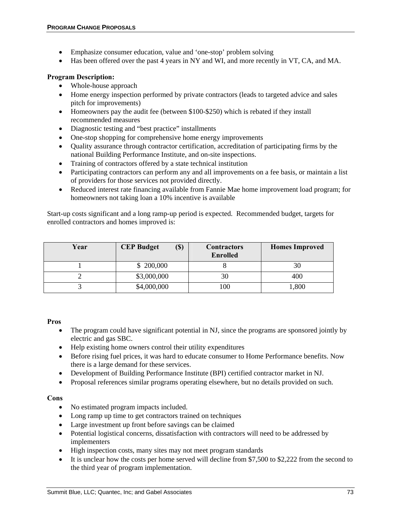- Emphasize consumer education, value and 'one-stop' problem solving
- Has been offered over the past 4 years in NY and WI, and more recently in VT, CA, and MA.

#### **Program Description:**

- Whole-house approach
- Home energy inspection performed by private contractors (leads to targeted advice and sales pitch for improvements)
- Homeowners pay the audit fee (between \$100-\$250) which is rebated if they install recommended measures
- Diagnostic testing and "best practice" installments
- One-stop shopping for comprehensive home energy improvements
- Quality assurance through contractor certification, accreditation of participating firms by the national Building Performance Institute, and on-site inspections.
- Training of contractors offered by a state technical institution
- Participating contractors can perform any and all improvements on a fee basis, or maintain a list of providers for those services not provided directly.
- Reduced interest rate financing available from Fannie Mae home improvement load program; for homeowners not taking loan a 10% incentive is available

Start-up costs significant and a long ramp-up period is expected. Recommended budget, targets for enrolled contractors and homes improved is:

| Year | (S)<br><b>CEP Budget</b> | <b>Contractors</b><br><b>Enrolled</b> | <b>Homes Improved</b> |
|------|--------------------------|---------------------------------------|-----------------------|
|      | \$200,000                |                                       | 30                    |
|      | \$3,000,000              | 30                                    | 400                   |
|      | \$4,000,000              | 100                                   | ,800                  |

#### **Pros**

- The program could have significant potential in NJ, since the programs are sponsored jointly by electric and gas SBC.
- Help existing home owners control their utility expenditures
- Before rising fuel prices, it was hard to educate consumer to Home Performance benefits. Now there is a large demand for these services.
- Development of Building Performance Institute (BPI) certified contractor market in NJ.
- Proposal references similar programs operating elsewhere, but no details provided on such.

#### **Cons**

- No estimated program impacts included.
- Long ramp up time to get contractors trained on techniques
- Large investment up front before savings can be claimed
- Potential logistical concerns, dissatisfaction with contractors will need to be addressed by implementers
- High inspection costs, many sites may not meet program standards
- It is unclear how the costs per home served will decline from \$7,500 to \$2,222 from the second to the third year of program implementation.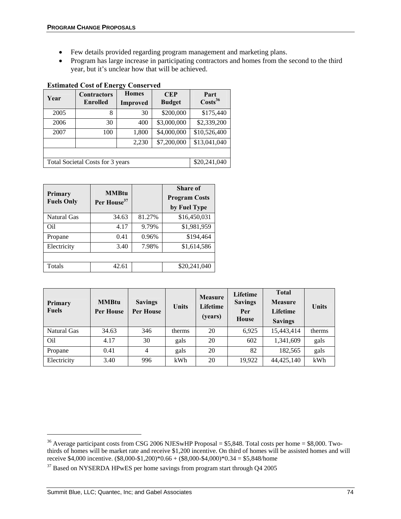- Few details provided regarding program management and marketing plans.
- Program has large increase in participating contractors and homes from the second to the third year, but it's unclear how that will be achieved.

| Year | <b>Contractors</b><br>Enrolled   | <b>Homes</b><br><b>Improved</b> | <b>CEP</b><br><b>Budget</b> | Part<br>$\text{Costs}^{36}$ |  |  |
|------|----------------------------------|---------------------------------|-----------------------------|-----------------------------|--|--|
| 2005 | 8                                | 30                              | \$200,000                   | \$175,440                   |  |  |
| 2006 | 30                               | 400                             | \$3,000,000                 | \$2,339,200                 |  |  |
| 2007 | 100                              | 1,800                           | \$4,000,000                 | \$10,526,400                |  |  |
|      |                                  | 2,230                           | \$7,200,000                 | \$13,041,040                |  |  |
|      |                                  |                                 |                             |                             |  |  |
|      | Total Societal Costs for 3 years |                                 |                             | \$20,241,040                |  |  |

#### **Estimated Cost of Energy Conserved**

| Primary<br><b>Fuels Only</b> | <b>MMBtu</b><br>Per House <sup>37</sup> |        | <b>Share of</b><br><b>Program Costs</b><br>by Fuel Type |
|------------------------------|-----------------------------------------|--------|---------------------------------------------------------|
| Natural Gas                  | 34.63                                   | 81.27% | \$16,450,031                                            |
| Oil                          | 4.17                                    | 9.79%  | \$1,981,959                                             |
| Propane                      | 0.41                                    | 0.96%  | \$194,464                                               |
| Electricity                  | 3.40                                    | 7.98%  | \$1,614,586                                             |
|                              |                                         |        |                                                         |
| Totals                       | 42.61                                   |        | \$20,241,040                                            |

| Primary<br><b>Fuels</b> | <b>MMBtu</b><br><b>Per House</b> | <b>Savings</b><br><b>Per House</b> | <b>Units</b> | <b>Measure</b><br>Lifetime<br>(years) | Lifetime<br><b>Savings</b><br>Per<br>House | <b>Total</b><br><b>Measure</b><br>Lifetime<br><b>Savings</b> | Units  |
|-------------------------|----------------------------------|------------------------------------|--------------|---------------------------------------|--------------------------------------------|--------------------------------------------------------------|--------|
| Natural Gas             | 34.63                            | 346                                | therms       | 20                                    | 6.925                                      | 15,443,414                                                   | therms |
| Oil                     | 4.17                             | 30                                 | gals         | 20                                    | 602                                        | 1,341,609                                                    | gals   |
| Propane                 | 0.41                             | 4                                  | gals         | 20                                    | 82                                         | 182,565                                                      | gals   |
| Electricity             | 3.40                             | 996                                | kWh          | 20                                    | 19,922                                     | 44,425,140                                                   | kWh    |

<sup>&</sup>lt;sup>36</sup> Average participant costs from CSG 2006 NJESwHP Proposal = \$5,848. Total costs per home = \$8,000. Twothirds of homes will be market rate and receive \$1,200 incentive. On third of homes will be assisted homes and will receive \$4,000 incentive. (\$8,000-\$1,200)\*0.66 + (\$8,000-\$4,000)\*0.34 = \$5,848/home <sup>37</sup> Based on NYSERDA HPwES per home savings from program start through Q4 2005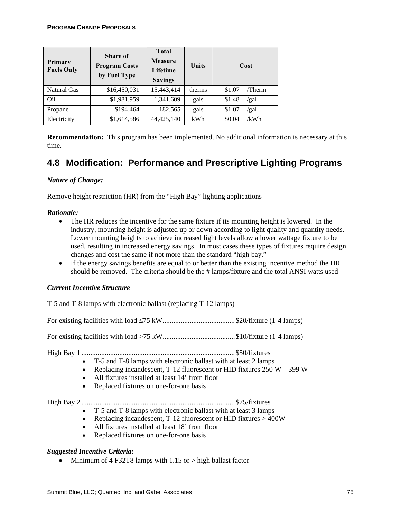| <b>Primary</b><br><b>Fuels Only</b> | Share of<br><b>Program Costs</b><br>by Fuel Type | <b>Total</b><br><b>Measure</b><br>Lifetime<br><b>Savings</b> | Units  | Cost             |
|-------------------------------------|--------------------------------------------------|--------------------------------------------------------------|--------|------------------|
| <b>Natural Gas</b>                  | \$16,450,031                                     | 15,443,414                                                   | therms | \$1.07<br>/Therm |
| Oil                                 | \$1,981,959                                      | 1,341,609                                                    | gals   | \$1.48<br>/gal   |
| Propane                             | \$194,464                                        | 182,565                                                      | gals   | \$1.07<br>/gal   |
| Electricity                         | \$1,614,586                                      | 44,425,140                                                   | kWh    | \$0.04<br>/kWh   |

**Recommendation:** This program has been implemented. No additional information is necessary at this time.

# **4.8 Modification: Performance and Prescriptive Lighting Programs**

#### *Nature of Change:*

Remove height restriction (HR) from the "High Bay" lighting applications

#### *Rationale:*

- The HR reduces the incentive for the same fixture if its mounting height is lowered. In the industry, mounting height is adjusted up or down according to light quality and quantity needs. Lower mounting heights to achieve increased light levels allow a lower wattage fixture to be used, resulting in increased energy savings. In most cases these types of fixtures require design changes and cost the same if not more than the standard "high bay."
- If the energy savings benefits are equal to or better than the existing incentive method the HR should be removed. The criteria should be the # lamps/fixture and the total ANSI watts used

#### *Current Incentive Structure*

T-5 and T-8 lamps with electronic ballast (replacing T-12 lamps)

For existing facilities with load ≤75 kW........................................\$20/fixture (1-4 lamps)

For existing facilities with load >75 kW........................................\$10/fixture (1-4 lamps)

High Bay 1 .....................................................................................\$50/fixtures

- T-5 and T-8 lamps with electronic ballast with at least 2 lamps
	- Replacing incandescent, T-12 fluorescent or HID fixtures  $250 W 399 W$
	- All fixtures installed at least 14' from floor
- Replaced fixtures on one-for-one basis

High Bay 2 .....................................................................................\$75/fixtures

- T-5 and T-8 lamps with electronic ballast with at least 3 lamps
- Replacing incandescent, T-12 fluorescent or HID fixtures > 400W
- All fixtures installed at least 18' from floor
- Replaced fixtures on one-for-one basis

#### *Suggested Incentive Criteria:*

• Minimum of 4 F32T8 lamps with  $1.15$  or  $>$  high ballast factor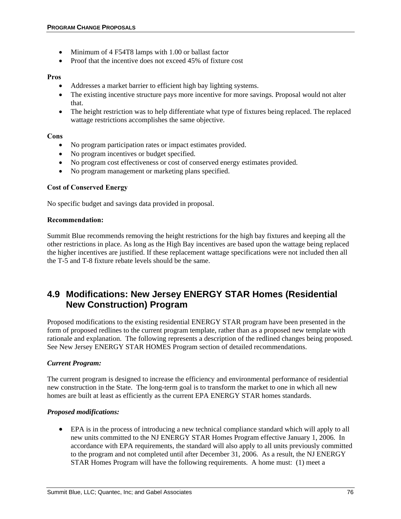- Minimum of 4 F54T8 lamps with 1.00 or ballast factor
- Proof that the incentive does not exceed 45% of fixture cost

#### **Pros**

- Addresses a market barrier to efficient high bay lighting systems.
- The existing incentive structure pays more incentive for more savings. Proposal would not alter that.
- The height restriction was to help differentiate what type of fixtures being replaced. The replaced wattage restrictions accomplishes the same objective.

#### **Cons**

- No program participation rates or impact estimates provided.
- No program incentives or budget specified.
- No program cost effectiveness or cost of conserved energy estimates provided.
- No program management or marketing plans specified.

#### **Cost of Conserved Energy**

No specific budget and savings data provided in proposal.

#### **Recommendation:**

Summit Blue recommends removing the height restrictions for the high bay fixtures and keeping all the other restrictions in place. As long as the High Bay incentives are based upon the wattage being replaced the higher incentives are justified. If these replacement wattage specifications were not included then all the T-5 and T-8 fixture rebate levels should be the same.

# **4.9 Modifications: New Jersey ENERGY STAR Homes (Residential New Construction) Program**

Proposed modifications to the existing residential ENERGY STAR program have been presented in the form of proposed redlines to the current program template, rather than as a proposed new template with rationale and explanation. The following represents a description of the redlined changes being proposed. See New Jersey ENERGY STAR HOMES Program section of detailed recommendations.

#### *Current Program:*

The current program is designed to increase the efficiency and environmental performance of residential new construction in the State. The long-term goal is to transform the market to one in which all new homes are built at least as efficiently as the current EPA ENERGY STAR homes standards.

#### *Proposed modifications:*

• EPA is in the process of introducing a new technical compliance standard which will apply to all new units committed to the NJ ENERGY STAR Homes Program effective January 1, 2006. In accordance with EPA requirements, the standard will also apply to all units previously committed to the program and not completed until after December 31, 2006. As a result, the NJ ENERGY STAR Homes Program will have the following requirements. A home must: (1) meet a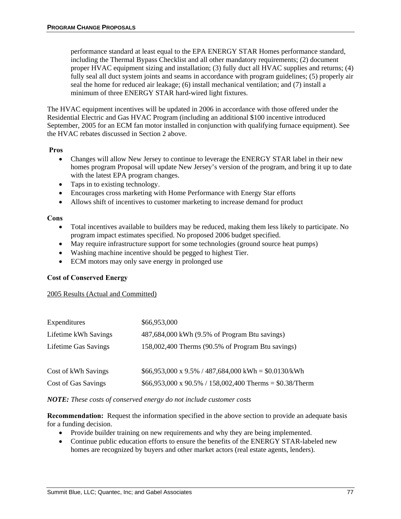performance standard at least equal to the EPA ENERGY STAR Homes performance standard, including the Thermal Bypass Checklist and all other mandatory requirements; (2) document proper HVAC equipment sizing and installation; (3) fully duct all HVAC supplies and returns; (4) fully seal all duct system joints and seams in accordance with program guidelines; (5) properly air seal the home for reduced air leakage; (6) install mechanical ventilation; and (7) install a minimum of three ENERGY STAR hard-wired light fixtures.

The HVAC equipment incentives will be updated in 2006 in accordance with those offered under the Residential Electric and Gas HVAC Program (including an additional \$100 incentive introduced September, 2005 for an ECM fan motor installed in conjunction with qualifying furnace equipment). See the HVAC rebates discussed in Section 2 above.

#### **Pros**

- Changes will allow New Jersey to continue to leverage the ENERGY STAR label in their new homes program Proposal will update New Jersey's version of the program, and bring it up to date with the latest EPA program changes.
- Taps in to existing technology.
- Encourages cross marketing with Home Performance with Energy Star efforts
- Allows shift of incentives to customer marketing to increase demand for product

#### **Cons**

- Total incentives available to builders may be reduced, making them less likely to participate. No program impact estimates specified. No proposed 2006 budget specified.
- May require infrastructure support for some technologies (ground source heat pumps)
- Washing machine incentive should be pegged to highest Tier.
- ECM motors may only save energy in prolonged use

#### **Cost of Conserved Energy**

#### 2005 Results (Actual and Committed)

| \$66,953,000                                                    |
|-----------------------------------------------------------------|
| 487,684,000 kWh (9.5% of Program Btu savings)                   |
| 158,002,400 Therms (90.5% of Program Btu savings)               |
|                                                                 |
| $$66,953,000 \text{ x } 9.5\%$ / 487,684,000 kWh = \$0.0130/kWh |
| $$66,953,000 \times 90.5\%$ / 158,002,400 Therms = \$0.38/Therm |
|                                                                 |

#### *NOTE: These costs of conserved energy do not include customer costs*

**Recommendation:** Request the information specified in the above section to provide an adequate basis for a funding decision.

- Provide builder training on new requirements and why they are being implemented.
- Continue public education efforts to ensure the benefits of the ENERGY STAR-labeled new homes are recognized by buyers and other market actors (real estate agents, lenders).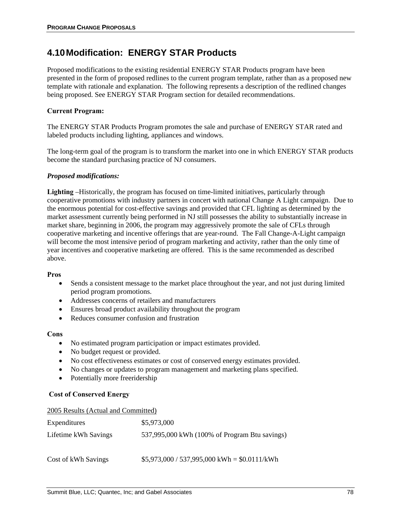### **4.10 Modification: ENERGY STAR Products**

Proposed modifications to the existing residential ENERGY STAR Products program have been presented in the form of proposed redlines to the current program template, rather than as a proposed new template with rationale and explanation. The following represents a description of the redlined changes being proposed. See ENERGY STAR Program section for detailed recommendations.

#### **Current Program:**

The ENERGY STAR Products Program promotes the sale and purchase of ENERGY STAR rated and labeled products including lighting, appliances and windows.

The long-term goal of the program is to transform the market into one in which ENERGY STAR products become the standard purchasing practice of NJ consumers.

#### *Proposed modifications:*

**Lighting** –Historically, the program has focused on time-limited initiatives, particularly through cooperative promotions with industry partners in concert with national Change A Light campaign. Due to the enormous potential for cost-effective savings and provided that CFL lighting as determined by the market assessment currently being performed in NJ still possesses the ability to substantially increase in market share, beginning in 2006, the program may aggressively promote the sale of CFLs through cooperative marketing and incentive offerings that are year-round. The Fall Change-A-Light campaign will become the most intensive period of program marketing and activity, rather than the only time of year incentives and cooperative marketing are offered. This is the same recommended as described above.

#### **Pros**

- Sends a consistent message to the market place throughout the year, and not just during limited period program promotions.
- Addresses concerns of retailers and manufacturers
- Ensures broad product availability throughout the program
- Reduces consumer confusion and frustration

#### **Cons**

- No estimated program participation or impact estimates provided.
- No budget request or provided.
- No cost effectiveness estimates or cost of conserved energy estimates provided.
- No changes or updates to program management and marketing plans specified.
- Potentially more freeridership

#### **Cost of Conserved Energy**

#### 2005 Results (Actual and Committed)

| Expenditures         | \$5,973,000                                   |
|----------------------|-----------------------------------------------|
| Lifetime kWh Savings | 537,995,000 kWh (100% of Program Btu savings) |
| Cost of kWh Savings  | $$5,973,000 / 537,995,000$ kWh = \$0.0111/kWh |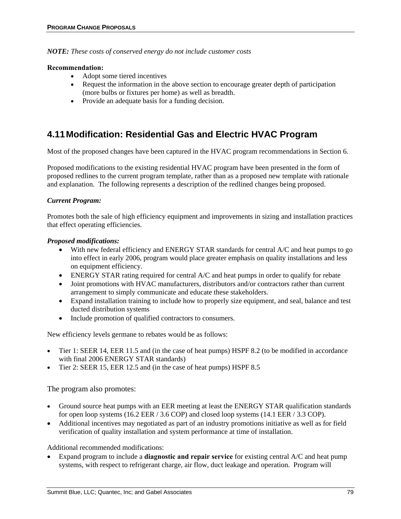*NOTE: These costs of conserved energy do not include customer costs* 

#### **Recommendation:**

- Adopt some tiered incentives
- Request the information in the above section to encourage greater depth of participation (more bulbs or fixtures per home) as well as breadth.
- Provide an adequate basis for a funding decision.

# **4.11 Modification: Residential Gas and Electric HVAC Program**

Most of the proposed changes have been captured in the HVAC program recommendations in Section 6.

Proposed modifications to the existing residential HVAC program have been presented in the form of proposed redlines to the current program template, rather than as a proposed new template with rationale and explanation. The following represents a description of the redlined changes being proposed.

#### *Current Program:*

Promotes both the sale of high efficiency equipment and improvements in sizing and installation practices that effect operating efficiencies.

#### *Proposed modifications:*

- With new federal efficiency and ENERGY STAR standards for central A/C and heat pumps to go into effect in early 2006, program would place greater emphasis on quality installations and less on equipment efficiency.
- ENERGY STAR rating required for central A/C and heat pumps in order to qualify for rebate
- Joint promotions with HVAC manufacturers, distributors and/or contractors rather than current arrangement to simply communicate and educate these stakeholders.
- Expand installation training to include how to properly size equipment, and seal, balance and test ducted distribution systems
- Include promotion of qualified contractors to consumers.

New efficiency levels germane to rebates would be as follows:

- Tier 1: SEER 14, EER 11.5 and (in the case of heat pumps) HSPF 8.2 (to be modified in accordance with final 2006 ENERGY STAR standards)
- Tier 2: SEER 15, EER 12.5 and (in the case of heat pumps) HSPF 8.5

The program also promotes:

- Ground source heat pumps with an EER meeting at least the ENERGY STAR qualification standards for open loop systems (16.2 EER / 3.6 COP) and closed loop systems (14.1 EER / 3.3 COP).
- Additional incentives may negotiated as part of an industry promotions initiative as well as for field verification of quality installation and system performance at time of installation.

Additional recommended modifications:

• Expand program to include a **diagnostic and repair service** for existing central A/C and heat pump systems, with respect to refrigerant charge, air flow, duct leakage and operation. Program will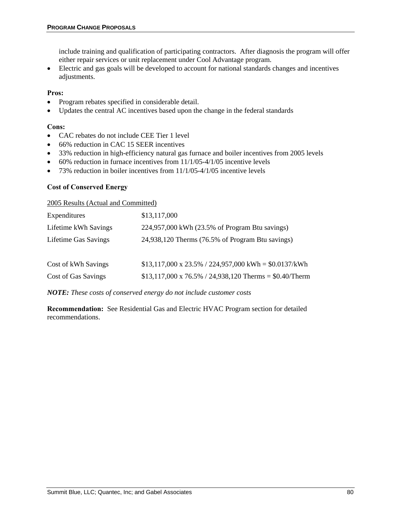include training and qualification of participating contractors. After diagnosis the program will offer either repair services or unit replacement under Cool Advantage program.

• Electric and gas goals will be developed to account for national standards changes and incentives adjustments.

#### **Pros:**

- Program rebates specified in considerable detail.
- Updates the central AC incentives based upon the change in the federal standards

#### **Cons:**

- CAC rebates do not include CEE Tier 1 level
- 66% reduction in CAC 15 SEER incentives
- 33% reduction in high-efficiency natural gas furnace and boiler incentives from 2005 levels
- $\bullet$  60% reduction in furnace incentives from 11/1/05-4/1/05 incentive levels
- 73% reduction in boiler incentives from 11/1/05-4/1/05 incentive levels

#### **Cost of Conserved Energy**

#### 2005 Results (Actual and Committed)

| Expenditures         | \$13,117,000                                                   |
|----------------------|----------------------------------------------------------------|
| Lifetime kWh Savings | 224,957,000 kWh (23.5% of Program Btu savings)                 |
| Lifetime Gas Savings | 24,938,120 Therms (76.5% of Program Btu savings)               |
|                      |                                                                |
| Cost of kWh Savings  | $$13,117,000 \times 23.5\%$ / 224,957,000 kWh = $$0.0137/kWh$  |
| Cost of Gas Savings  | $$13,117,000 \times 76.5\%$ / 24,938,120 Therms = \$0.40/Therm |
|                      |                                                                |

*NOTE: These costs of conserved energy do not include customer costs* 

**Recommendation:** See Residential Gas and Electric HVAC Program section for detailed recommendations.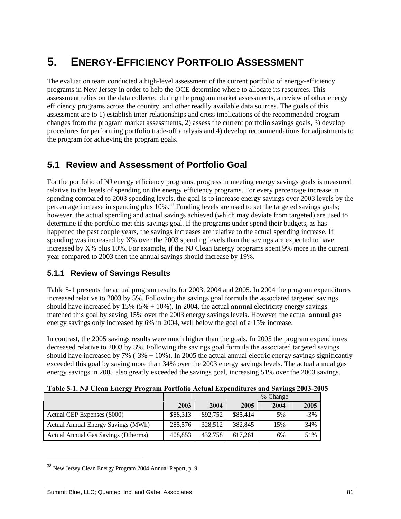# **5. ENERGY-EFFICIENCY PORTFOLIO ASSESSMENT**

The evaluation team conducted a high-level assessment of the current portfolio of energy-efficiency programs in New Jersey in order to help the OCE determine where to allocate its resources. This assessment relies on the data collected during the program market assessments, a review of other energy efficiency programs across the country, and other readily available data sources. The goals of this assessment are to 1) establish inter-relationships and cross implications of the recommended program changes from the program market assessments, 2) assess the current portfolio savings goals, 3) develop procedures for performing portfolio trade-off analysis and 4) develop recommendations for adjustments to the program for achieving the program goals.

# **5.1 Review and Assessment of Portfolio Goal**

For the portfolio of NJ energy efficiency programs, progress in meeting energy savings goals is measured relative to the levels of spending on the energy efficiency programs. For every percentage increase in spending compared to 2003 spending levels, the goal is to increase energy savings over 2003 levels by the percentage increase in spending plus 10%.<sup>38</sup> Funding levels are used to set the targeted savings goals; however, the actual spending and actual savings achieved (which may deviate from targeted) are used to determine if the portfolio met this savings goal. If the programs under spend their budgets, as has happened the past couple years, the savings increases are relative to the actual spending increase. If spending was increased by X% over the 2003 spending levels than the savings are expected to have increased by X% plus 10%. For example, if the NJ Clean Energy programs spent 9% more in the current year compared to 2003 then the annual savings should increase by 19%.

### **5.1.1 Review of Savings Results**

Table 5-1 presents the actual program results for 2003, 2004 and 2005. In 2004 the program expenditures increased relative to 2003 by 5%. Following the savings goal formula the associated targeted savings should have increased by 15% (5% + 10%). In 2004, the actual **annual** electricity energy savings matched this goal by saving 15% over the 2003 energy savings levels. However the actual **annual** gas energy savings only increased by 6% in 2004, well below the goal of a 15% increase.

In contrast, the 2005 savings results were much higher than the goals. In 2005 the program expenditures decreased relative to 2003 by 3%. Following the savings goal formula the associated targeted savings should have increased by 7%  $(-3% + 10%)$ . In 2005 the actual annual electric energy savings significantly exceeded this goal by saving more than 34% over the 2003 energy savings levels. The actual annual gas energy savings in 2005 also greatly exceeded the savings goal, increasing 51% over the 2003 savings.

| $\rightarrow$                       |          |          |          | % Change |       |
|-------------------------------------|----------|----------|----------|----------|-------|
|                                     | 2003     | 2004     | 2005     | 2004     | 2005  |
| Actual CEP Expenses (\$000)         | \$88,313 | \$92,752 | \$85,414 | 5%       | $-3%$ |
| Actual Annual Energy Savings (MWh)  | 285,576  | 328.512  | 382,845  | 15%      | 34%   |
| Actual Annual Gas Savings (Dtherms) | 408,853  | 432,758  | 617.261  | 6%       | 51%   |

**Table 5-1. NJ Clean Energy Program Portfolio Actual Expenditures and Savings 2003-2005** 

<sup>&</sup>lt;sup>38</sup> New Jersey Clean Energy Program 2004 Annual Report, p. 9.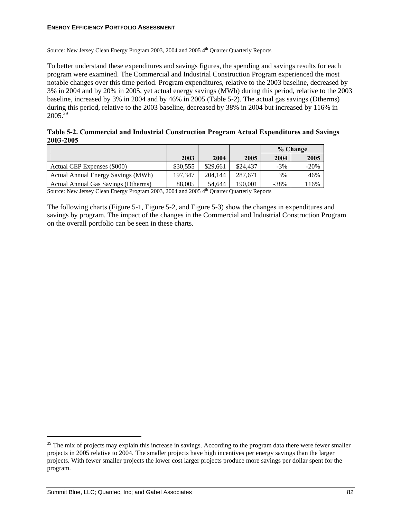Source: New Jersey Clean Energy Program 2003, 2004 and 2005 4<sup>th</sup> Quarter Quarterly Reports

To better understand these expenditures and savings figures, the spending and savings results for each program were examined. The Commercial and Industrial Construction Program experienced the most notable changes over this time period. Program expenditures, relative to the 2003 baseline, decreased by 3% in 2004 and by 20% in 2005, yet actual energy savings (MWh) during this period, relative to the 2003 baseline, increased by 3% in 2004 and by 46% in 2005 (Table 5-2). The actual gas savings (Dtherms) during this period, relative to the 2003 baseline, decreased by 38% in 2004 but increased by 116% in  $2005^{39}$ 

**Table 5-2. Commercial and Industrial Construction Program Actual Expenditures and Savings 2003-2005** 

|                                           |          |          |          | % Change |        |
|-------------------------------------------|----------|----------|----------|----------|--------|
|                                           | 2003     | 2004     | 2005     | 2004     | 2005   |
| Actual CEP Expenses (\$000)               | \$30,555 | \$29,661 | \$24,437 | $-3%$    | $-20%$ |
| <b>Actual Annual Energy Savings (MWh)</b> | 197.347  | 204,144  | 287.671  | 3%       | 46%    |
| Actual Annual Gas Savings (Dtherms)       | 88,005   | 54.644   | 190.001  | $-38%$   | 116%   |

Source: New Jersey Clean Energy Program 2003, 2004 and 2005 4<sup>th</sup> Quarter Quarterly Reports

The following charts (Figure 5-1, Figure 5-2, and Figure 5-3) show the changes in expenditures and savings by program. The impact of the changes in the Commercial and Industrial Construction Program on the overall portfolio can be seen in these charts.

 $39$  The mix of projects may explain this increase in savings. According to the program data there were fewer smaller projects in 2005 relative to 2004. The smaller projects have high incentives per energy savings than the larger projects. With fewer smaller projects the lower cost larger projects produce more savings per dollar spent for the program.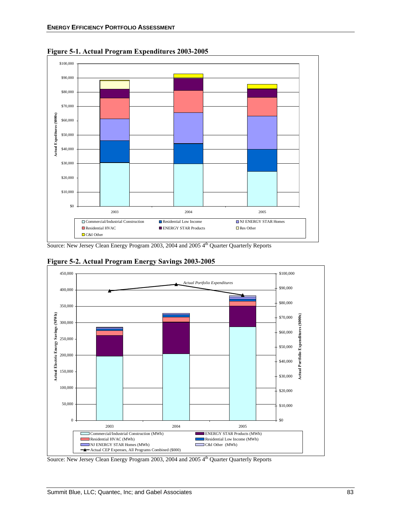

**Figure 5-1. Actual Program Expenditures 2003-2005** 

Source: New Jersey Clean Energy Program 2003, 2004 and 2005 4<sup>th</sup> Quarter Quarterly Reports



**Figure 5-2. Actual Program Energy Savings 2003-2005** 

Source: New Jersey Clean Energy Program 2003, 2004 and 2005 4<sup>th</sup> Quarter Quarterly Reports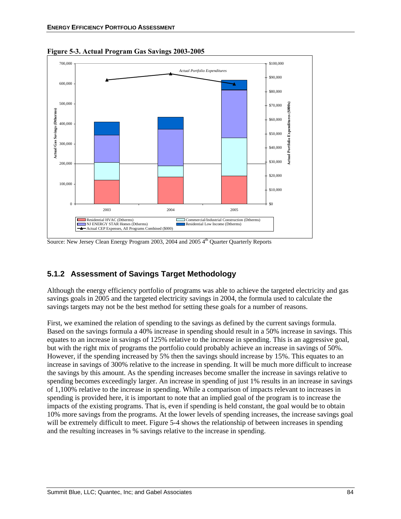

**Figure 5-3. Actual Program Gas Savings 2003-2005** 

Source: New Jersey Clean Energy Program 2003, 2004 and 2005 4<sup>th</sup> Quarter Quarterly Reports

### **5.1.2 Assessment of Savings Target Methodology**

Although the energy efficiency portfolio of programs was able to achieve the targeted electricity and gas savings goals in 2005 and the targeted electricity savings in 2004, the formula used to calculate the savings targets may not be the best method for setting these goals for a number of reasons.

First, we examined the relation of spending to the savings as defined by the current savings formula. Based on the savings formula a 40% increase in spending should result in a 50% increase in savings. This equates to an increase in savings of 125% relative to the increase in spending. This is an aggressive goal, but with the right mix of programs the portfolio could probably achieve an increase in savings of 50%. However, if the spending increased by 5% then the savings should increase by 15%. This equates to an increase in savings of 300% relative to the increase in spending. It will be much more difficult to increase the savings by this amount. As the spending increases become smaller the increase in savings relative to spending becomes exceedingly larger. An increase in spending of just 1% results in an increase in savings of 1,100% relative to the increase in spending. While a comparison of impacts relevant to increases in spending is provided here, it is important to note that an implied goal of the program is to increase the impacts of the existing programs. That is, even if spending is held constant, the goal would be to obtain 10% more savings from the programs. At the lower levels of spending increases, the increase savings goal will be extremely difficult to meet. Figure 5-4 shows the relationship of between increases in spending and the resulting increases in % savings relative to the increase in spending.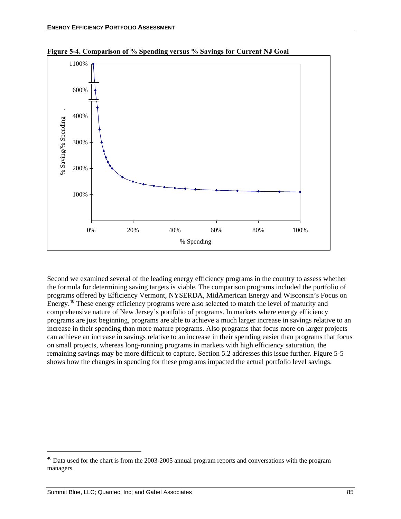

**Figure 5-4. Comparison of % Spending versus % Savings for Current NJ Goal** 

Second we examined several of the leading energy efficiency programs in the country to assess whether the formula for determining saving targets is viable. The comparison programs included the portfolio of programs offered by Efficiency Vermont, NYSERDA, MidAmerican Energy and Wisconsin's Focus on Energy.<sup>40</sup> These energy efficiency programs were also selected to match the level of maturity and comprehensive nature of New Jersey's portfolio of programs. In markets where energy efficiency programs are just beginning, programs are able to achieve a much larger increase in savings relative to an increase in their spending than more mature programs. Also programs that focus more on larger projects can achieve an increase in savings relative to an increase in their spending easier than programs that focus on small projects, whereas long-running programs in markets with high efficiency saturation, the remaining savings may be more difficult to capture. Section 5.2 addresses this issue further. Figure 5-5 shows how the changes in spending for these programs impacted the actual portfolio level savings.

1

<sup>&</sup>lt;sup>40</sup> Data used for the chart is from the 2003-2005 annual program reports and conversations with the program managers.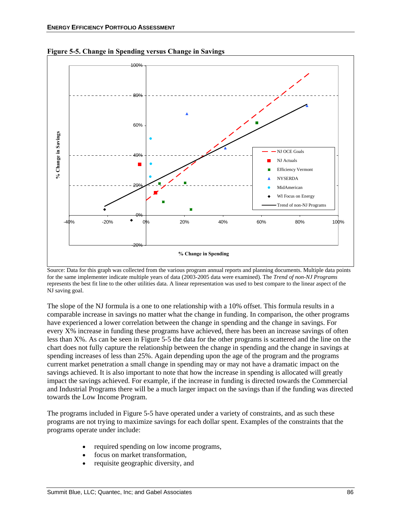

**Figure 5-5. Change in Spending versus Change in Savings** 

Source: Data for this graph was collected from the various program annual reports and planning documents. Multiple data points for the same implementer indicate multiple years of data (2003-2005 data were examined). The *Trend of non-NJ Programs* represents the best fit line to the other utilities data. A linear representation was used to best compare to the linear aspect of the NJ saving goal.

The slope of the NJ formula is a one to one relationship with a 10% offset. This formula results in a comparable increase in savings no matter what the change in funding. In comparison, the other programs have experienced a lower correlation between the change in spending and the change in savings. For every X% increase in funding these programs have achieved, there has been an increase savings of often less than X%. As can be seen in Figure 5-5 the data for the other programs is scattered and the line on the chart does not fully capture the relationship between the change in spending and the change in savings at spending increases of less than 25%. Again depending upon the age of the program and the programs current market penetration a small change in spending may or may not have a dramatic impact on the savings achieved. It is also important to note that how the increase in spending is allocated will greatly impact the savings achieved. For example, if the increase in funding is directed towards the Commercial and Industrial Programs there will be a much larger impact on the savings than if the funding was directed towards the Low Income Program.

The programs included in Figure 5-5 have operated under a variety of constraints, and as such these programs are not trying to maximize savings for each dollar spent. Examples of the constraints that the programs operate under include:

- required spending on low income programs,
- focus on market transformation,
- requisite geographic diversity, and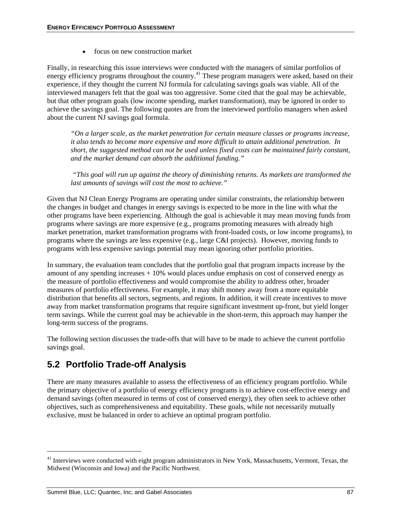• focus on new construction market

Finally, in researching this issue interviews were conducted with the managers of similar portfolios of energy efficiency programs throughout the country.<sup>41</sup> These program managers were asked, based on their experience, if they thought the current NJ formula for calculating savings goals was viable. All of the interviewed managers felt that the goal was too aggressive. Some cited that the goal may be achievable, but that other program goals (low income spending, market transformation), may be ignored in order to achieve the savings goal. The following quotes are from the interviewed portfolio managers when asked about the current NJ savings goal formula.

*"On a larger scale, as the market penetration for certain measure classes or programs increase, it also tends to become more expensive and more difficult to attain additional penetration. In short, the suggested method can not be used unless fixed costs can be maintained fairly constant, and the market demand can absorb the additional funding."* 

 *"This goal will run up against the theory of diminishing returns. As markets are transformed the last amounts of savings will cost the most to achieve."* 

Given that NJ Clean Energy Programs are operating under similar constraints, the relationship between the changes in budget and changes in energy savings is expected to be more in the line with what the other programs have been experiencing. Although the goal is achievable it may mean moving funds from programs where savings are more expensive (e.g., programs promoting measures with already high market penetration, market transformation programs with front-loaded costs, or low income programs), to programs where the savings are less expensive (e.g., large C&I projects). However, moving funds to programs with less expensive savings potential may mean ignoring other portfolio priorities.

In summary, the evaluation team concludes that the portfolio goal that program impacts increase by the amount of any spending increases + 10% would places undue emphasis on cost of conserved energy as the measure of portfolio effectiveness and would compromise the ability to address other, broader measures of portfolio effectiveness. For example, it may shift money away from a more equitable distribution that benefits all sectors, segments, and regions. In addition, it will create incentives to move away from market transformation programs that require significant investment up-front, but yield longer term savings. While the current goal may be achievable in the short-term, this approach may hamper the long-term success of the programs.

The following section discusses the trade-offs that will have to be made to achieve the current portfolio savings goal.

# **5.2 Portfolio Trade-off Analysis**

There are many measures available to assess the effectiveness of an efficiency program portfolio. While the primary objective of a portfolio of energy efficiency programs is to achieve cost-effective energy and demand savings (often measured in terms of cost of conserved energy), they often seek to achieve other objectives, such as comprehensiveness and equitability. These goals, while not necessarily mutually exclusive, must be balanced in order to achieve an optimal program portfolio.

<sup>&</sup>lt;sup>41</sup> Interviews were conducted with eight program administrators in New York, Massachusetts, Vermont, Texas, the Midwest (Wisconsin and Iowa) and the Pacific Northwest.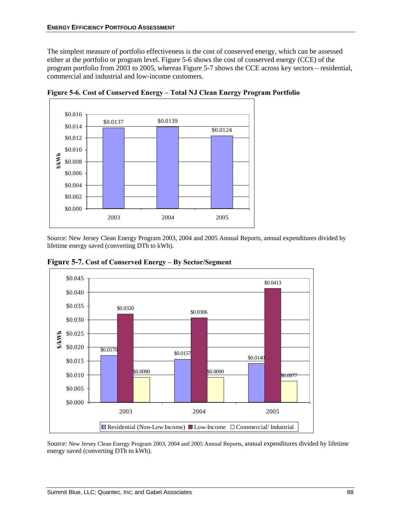The simplest measure of portfolio effectiveness is the cost of conserved energy, which can be assessed either at the portfolio or program level. Figure 5-6 shows the cost of conserved energy (CCE) of the program portfolio from 2003 to 2005, whereas Figure 5-7 shows the CCE across key sectors – residential, commercial and industrial and low-income customers.



**Figure 5-6. Cost of Conserved Energy – Total NJ Clean Energy Program Portfolio** 

Source: New Jersey Clean Energy Program 2003, 2004 and 2005 Annual Reports, annual expenditures divided by lifetime energy saved (converting DTh to kWh).



**Figure 5-7. Cost of Conserved Energy – By Sector/Segment** 

Source: New Jersey Clean Energy Program 2003, 2004 and 2005 Annual Reports, annual expenditures divided by lifetime energy saved (converting DTh to kWh).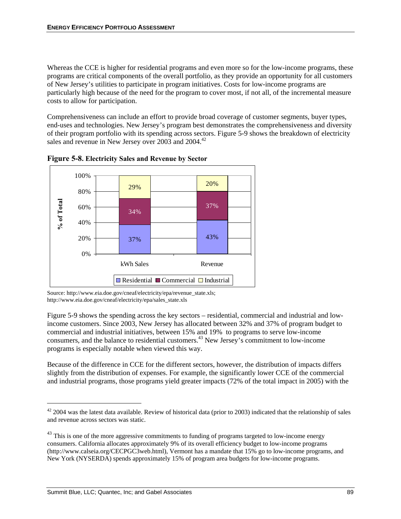Whereas the CCE is higher for residential programs and even more so for the low-income programs, these programs are critical components of the overall portfolio, as they provide an opportunity for all customers of New Jersey's utilities to participate in program initiatives. Costs for low-income programs are particularly high because of the need for the program to cover most, if not all, of the incremental measure costs to allow for participation.

Comprehensiveness can include an effort to provide broad coverage of customer segments, buyer types, end-uses and technologies. New Jersey's program best demonstrates the comprehensiveness and diversity of their program portfolio with its spending across sectors. Figure 5-9 shows the breakdown of electricity sales and revenue in New Jersey over  $2003$  and  $2004<sup>42</sup>$ 



**Figure 5-8. Electricity Sales and Revenue by Sector** 

Source: http://www.eia.doe.gov/cneaf/electricity/epa/revenue\_state.xls; http://www.eia.doe.gov/cneaf/electricity/epa/sales\_state.xls

Figure 5-9 shows the spending across the key sectors – residential, commercial and industrial and lowincome customers. Since 2003, New Jersey has allocated between 32% and 37% of program budget to commercial and industrial initiatives, between 15% and 19% to programs to serve low-income consumers, and the balance to residential customers.43 New Jersey's commitment to low-income programs is especially notable when viewed this way.

Because of the difference in CCE for the different sectors, however, the distribution of impacts differs slightly from the distribution of expenses. For example, the significantly lower CCE of the commercial and industrial programs, those programs yield greater impacts (72% of the total impact in 2005) with the

 $\overline{a}$ 

 $42$  2004 was the latest data available. Review of historical data (prior to 2003) indicated that the relationship of sales and revenue across sectors was static.

 $^{43}$  This is one of the more aggressive commitments to funding of programs targeted to low-income energy consumers. California allocates approximately 9% of its overall efficiency budget to low-income programs (http://www.calseia.org/CECPGC3web.html), Vermont has a mandate that 15% go to low-income programs, and New York (NYSERDA) spends approximately 15% of program area budgets for low-income programs.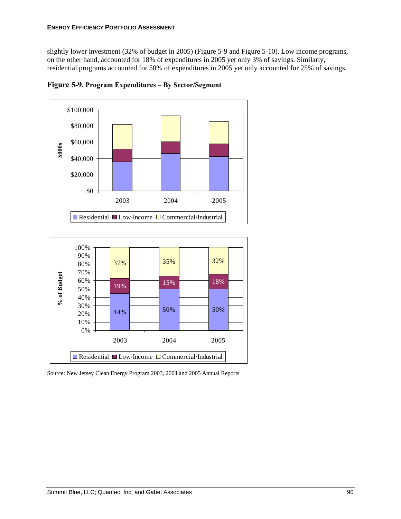slightly lower investment (32% of budget in 2005) (Figure 5-9 and Figure 5-10). Low income programs, on the other hand, accounted for 18% of expenditures in 2005 yet only 3% of savings. Similarly, residential programs accounted for 50% of expenditures in 2005 yet only accounted for 25% of savings.



**Figure 5-9. Program Expenditures – By Sector/Segment** 



Source: New Jersey Clean Energy Program 2003, 2004 and 2005 Annual Reports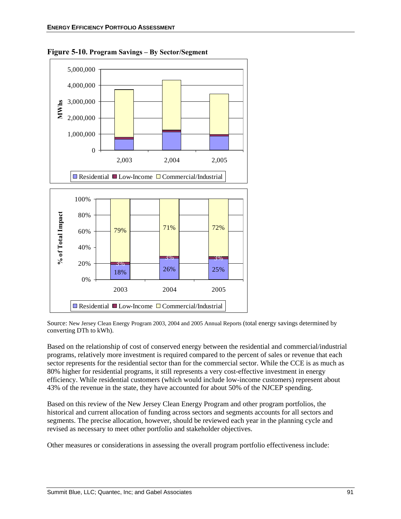

**Figure 5-10. Program Savings – By Sector/Segment**

Source: New Jersey Clean Energy Program 2003, 2004 and 2005 Annual Reports (total energy savings determined by converting DTh to kWh).

Based on the relationship of cost of conserved energy between the residential and commercial/industrial programs, relatively more investment is required compared to the percent of sales or revenue that each sector represents for the residential sector than for the commercial sector. While the CCE is as much as 80% higher for residential programs, it still represents a very cost-effective investment in energy efficiency. While residential customers (which would include low-income customers) represent about 43% of the revenue in the state, they have accounted for about 50% of the NJCEP spending.

Based on this review of the New Jersey Clean Energy Program and other program portfolios, the historical and current allocation of funding across sectors and segments accounts for all sectors and segments. The precise allocation, however, should be reviewed each year in the planning cycle and revised as necessary to meet other portfolio and stakeholder objectives.

Other measures or considerations in assessing the overall program portfolio effectiveness include: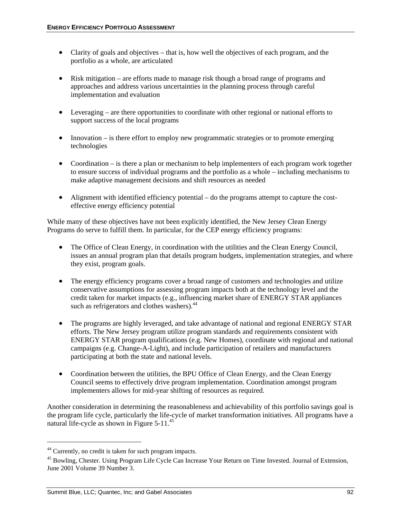- Clarity of goals and objectives that is, how well the objectives of each program, and the portfolio as a whole, are articulated
- Risk mitigation are efforts made to manage risk though a broad range of programs and approaches and address various uncertainties in the planning process through careful implementation and evaluation
- Leveraging are there opportunities to coordinate with other regional or national efforts to support success of the local programs
- Innovation is there effort to employ new programmatic strategies or to promote emerging technologies
- Coordination is there a plan or mechanism to help implementers of each program work together to ensure success of individual programs and the portfolio as a whole – including mechanisms to make adaptive management decisions and shift resources as needed
- Alignment with identified efficiency potential do the programs attempt to capture the costeffective energy efficiency potential

While many of these objectives have not been explicitly identified, the New Jersey Clean Energy Programs do serve to fulfill them. In particular, for the CEP energy efficiency programs:

- The Office of Clean Energy, in coordination with the utilities and the Clean Energy Council, issues an annual program plan that details program budgets, implementation strategies, and where they exist, program goals.
- The energy efficiency programs cover a broad range of customers and technologies and utilize conservative assumptions for assessing program impacts both at the technology level and the credit taken for market impacts (e.g., influencing market share of ENERGY STAR appliances such as refrigerators and clothes washers).<sup>44</sup>
- The programs are highly leveraged, and take advantage of national and regional ENERGY STAR efforts. The New Jersey program utilize program standards and requirements consistent with ENERGY STAR program qualifications (e.g. New Homes), coordinate with regional and national campaigns (e.g. Change-A-Light), and include participation of retailers and manufacturers participating at both the state and national levels.
- Coordination between the utilities, the BPU Office of Clean Energy, and the Clean Energy Council seems to effectively drive program implementation. Coordination amongst program implementers allows for mid-year shifting of resources as required.

Another consideration in determining the reasonableness and achievability of this portfolio savings goal is the program life cycle, particularly the life-cycle of market transformation initiatives. All programs have a natural life-cycle as shown in Figure 5-11.45

<sup>44</sup> Currently, no credit is taken for such program impacts.

<sup>&</sup>lt;sup>45</sup> Bowling, Chester. Using Program Life Cycle Can Increase Your Return on Time Invested. Journal of Extension, June 2001 Volume 39 Number 3.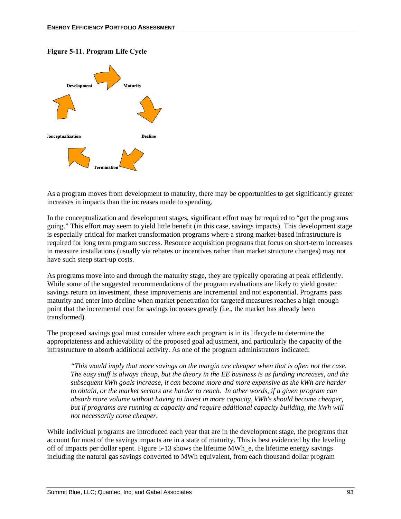#### **Figure 5-11. Program Life Cycle**



As a program moves from development to maturity, there may be opportunities to get significantly greater increases in impacts than the increases made to spending.

In the conceptualization and development stages, significant effort may be required to "get the programs going." This effort may seem to yield little benefit (in this case, savings impacts). This development stage is especially critical for market transformation programs where a strong market-based infrastructure is required for long term program success. Resource acquisition programs that focus on short-term increases in measure installations (usually via rebates or incentives rather than market structure changes) may not have such steep start-up costs.

As programs move into and through the maturity stage, they are typically operating at peak efficiently. While some of the suggested recommendations of the program evaluations are likely to yield greater savings return on investment, these improvements are incremental and not exponential. Programs pass maturity and enter into decline when market penetration for targeted measures reaches a high enough point that the incremental cost for savings increases greatly (i.e., the market has already been transformed).

The proposed savings goal must consider where each program is in its lifecycle to determine the appropriateness and achievability of the proposed goal adjustment, and particularly the capacity of the infrastructure to absorb additional activity. As one of the program administrators indicated:

*"This would imply that more savings on the margin are cheaper when that is often not the case. The easy stuff is always cheap, but the theory in the EE business is as funding increases, and the subsequent kWh goals increase, it can become more and more expensive as the kWh are harder to obtain, or the market sectors are harder to reach. In other words, if a given program can absorb more volume without having to invest in more capacity, kWh's should become cheaper, but if programs are running at capacity and require additional capacity building, the kWh will not necessarily come cheaper.* 

While individual programs are introduced each year that are in the development stage, the programs that account for most of the savings impacts are in a state of maturity. This is best evidenced by the leveling off of impacts per dollar spent. Figure 5-13 shows the lifetime MWh\_e, the lifetime energy savings including the natural gas savings converted to MWh equivalent, from each thousand dollar program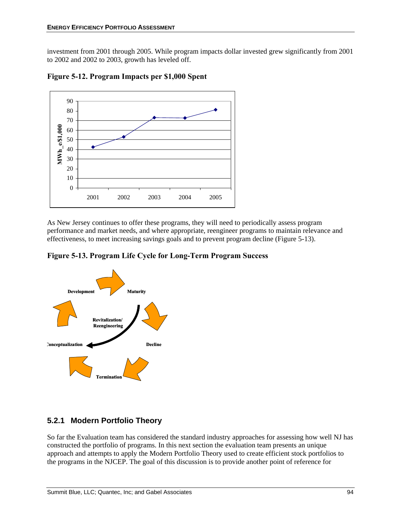investment from 2001 through 2005. While program impacts dollar invested grew significantly from 2001 to 2002 and 2002 to 2003, growth has leveled off.



**Figure 5-12. Program Impacts per \$1,000 Spent**

As New Jersey continues to offer these programs, they will need to periodically assess program performance and market needs, and where appropriate, reengineer programs to maintain relevance and effectiveness, to meet increasing savings goals and to prevent program decline (Figure 5-13).





### **5.2.1 Modern Portfolio Theory**

So far the Evaluation team has considered the standard industry approaches for assessing how well NJ has constructed the portfolio of programs. In this next section the evaluation team presents an unique approach and attempts to apply the Modern Portfolio Theory used to create efficient stock portfolios to the programs in the NJCEP. The goal of this discussion is to provide another point of reference for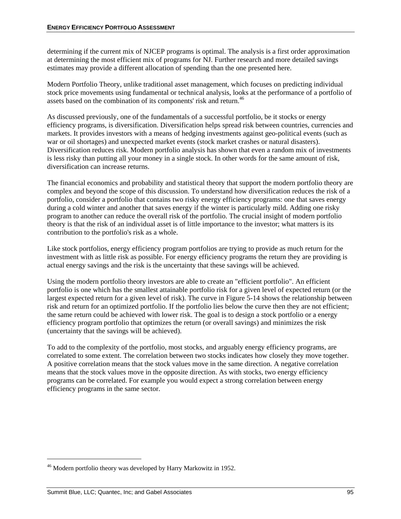determining if the current mix of NJCEP programs is optimal. The analysis is a first order approximation at determining the most efficient mix of programs for NJ. Further research and more detailed savings estimates may provide a different allocation of spending than the one presented here.

Modern Portfolio Theory, unlike traditional asset management, which focuses on predicting individual stock price movements using fundamental or technical analysis, looks at the performance of a portfolio of assets based on the combination of its components' risk and return.<sup>46</sup>

As discussed previously, one of the fundamentals of a successful portfolio, be it stocks or energy efficiency programs, is diversification. Diversification helps spread risk between countries, currencies and markets. It provides investors with a means of hedging investments against geo-political events (such as war or oil shortages) and unexpected market events (stock market crashes or natural disasters). Diversification reduces risk. Modern portfolio analysis has shown that even a random mix of investments is less risky than putting all your money in a single stock. In other words for the same amount of risk, diversification can increase returns.

The financial economics and probability and statistical theory that support the modern portfolio theory are complex and beyond the scope of this discussion. To understand how diversification reduces the risk of a portfolio, consider a portfolio that contains two risky energy efficiency programs: one that saves energy during a cold winter and another that saves energy if the winter is particularly mild. Adding one risky program to another can reduce the overall risk of the portfolio. The crucial insight of modern portfolio theory is that the risk of an individual asset is of little importance to the investor; what matters is its contribution to the portfolio's risk as a whole.

Like stock portfolios, energy efficiency program portfolios are trying to provide as much return for the investment with as little risk as possible. For energy efficiency programs the return they are providing is actual energy savings and the risk is the uncertainty that these savings will be achieved.

Using the modern portfolio theory investors are able to create an "efficient portfolio". An efficient portfolio is one which has the smallest attainable portfolio risk for a given level of expected return (or the largest expected return for a given level of risk). The curve in Figure 5-14 shows the relationship between risk and return for an optimized portfolio. If the portfolio lies below the curve then they are not efficient; the same return could be achieved with lower risk. The goal is to design a stock portfolio or a energy efficiency program portfolio that optimizes the return (or overall savings) and minimizes the risk (uncertainty that the savings will be achieved).

To add to the complexity of the portfolio, most stocks, and arguably energy efficiency programs, are correlated to some extent. The correlation between two stocks indicates how closely they move together. A positive correlation means that the stock values move in the same direction. A negative correlation means that the stock values move in the opposite direction. As with stocks, two energy efficiency programs can be correlated. For example you would expect a strong correlation between energy efficiency programs in the same sector.

<sup>&</sup>lt;sup>46</sup> Modern portfolio theory was developed by Harry Markowitz in 1952.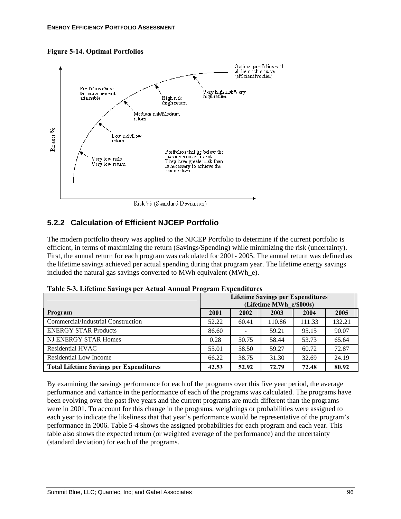#### **Figure 5-14. Optimal Portfolios**



### **5.2.2 Calculation of Efficient NJCEP Portfolio**

The modern portfolio theory was applied to the NJCEP Portfolio to determine if the current portfolio is efficient, in terms of maximizing the return (Savings/Spending) while minimizing the risk (uncertainty). First, the annual return for each program was calculated for 2001- 2005. The annual return was defined as the lifetime savings achieved per actual spending during that program year. The lifetime energy savings included the natural gas savings converted to MWh equivalent (MWh\_e).

|                                                | <b>Lifetime Savings per Expenditures</b><br>(Lifetime MWh e/\$000s) |       |        |        |        |
|------------------------------------------------|---------------------------------------------------------------------|-------|--------|--------|--------|
| Program                                        | 2001                                                                | 2002  | 2003   | 2004   | 2005   |
| Commercial/Industrial Construction             | 52.22                                                               | 60.41 | 110.86 | 111.33 | 132.21 |
| <b>ENERGY STAR Products</b>                    | 86.60                                                               |       | 59.21  | 95.15  | 90.07  |
| NJ ENERGY STAR Homes                           | 0.28                                                                | 50.75 | 58.44  | 53.73  | 65.64  |
| Residential HVAC                               | 55.01                                                               | 58.50 | 59.27  | 60.72  | 72.87  |
| Residential Low Income                         | 66.22                                                               | 38.75 | 31.30  | 32.69  | 24.19  |
| <b>Total Lifetime Savings per Expenditures</b> | 42.53                                                               | 52.92 | 72.79  | 72.48  | 80.92  |

**Table 5-3. Lifetime Savings per Actual Annual Program Expenditures** 

By examining the savings performance for each of the programs over this five year period, the average performance and variance in the performance of each of the programs was calculated. The programs have been evolving over the past five years and the current programs are much different than the programs were in 2001. To account for this change in the programs, weightings or probabilities were assigned to each year to indicate the likeliness that that year's performance would be representative of the program's performance in 2006. Table 5-4 shows the assigned probabilities for each program and each year. This table also shows the expected return (or weighted average of the performance) and the uncertainty (standard deviation) for each of the programs.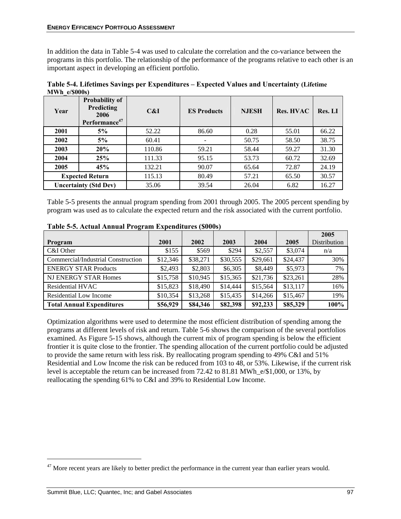In addition the data in Table 5-4 was used to calculate the correlation and the co-variance between the programs in this portfolio. The relationship of the performance of the programs relative to each other is an important aspect in developing an efficient portfolio.

| Table 5-4. Lifetimes Savings per Expenditures – Expected Values and Uncertainty (Lifetime |  |  |  |  |  |  |
|-------------------------------------------------------------------------------------------|--|--|--|--|--|--|
| $MWh$ e/\$000s)                                                                           |  |  |  |  |  |  |
|                                                                                           |  |  |  |  |  |  |

| Year | <b>Probability of</b><br><b>Predicting</b><br>2006<br>Performance <sup>47</sup> | C&I    | <b>ES Products</b> | <b>NJESH</b> | <b>Res. HVAC</b> | <b>Res. LI</b> |
|------|---------------------------------------------------------------------------------|--------|--------------------|--------------|------------------|----------------|
| 2001 | 5%                                                                              | 52.22  | 86.60              | 0.28         | 55.01            | 66.22          |
| 2002 | 5%                                                                              | 60.41  |                    | 50.75        | 58.50            | 38.75          |
| 2003 | 20%                                                                             | 110.86 | 59.21              | 58.44        | 59.27            | 31.30          |
| 2004 | 25%                                                                             | 111.33 | 95.15              | 53.73        | 60.72            | 32.69          |
| 2005 | 45%                                                                             | 132.21 | 90.07              | 65.64        | 72.87            | 24.19          |
|      | <b>Expected Return</b>                                                          | 115.13 | 80.49              | 57.21        | 65.50            | 30.57          |
|      | <b>Uncertainty (Std Dev)</b>                                                    | 35.06  | 39.54              | 26.04        | 6.82             | 16.27          |

Table 5-5 presents the annual program spending from 2001 through 2005. The 2005 percent spending by program was used as to calculate the expected return and the risk associated with the current portfolio.

|                                    |          |          |          |          |          | 2005         |
|------------------------------------|----------|----------|----------|----------|----------|--------------|
| Program                            | 2001     | 2002     | 2003     | 2004     | 2005     | Distribution |
| C&I Other                          | \$155    | \$569    | \$294    | \$2,557  | \$3,074  | n/a          |
| Commercial/Industrial Construction | \$12,346 | \$38,271 | \$30,555 | \$29,661 | \$24,437 | 30%          |
| <b>ENERGY STAR Products</b>        | \$2,493  | \$2,803  | \$6,305  | \$8,449  | \$5,973  | 7%           |
| NJ ENERGY STAR Homes               | \$15,758 | \$10,945 | \$15,365 | \$21,736 | \$23,261 | 28%          |
| Residential HVAC                   | \$15,823 | \$18,490 | \$14,444 | \$15,564 | \$13,117 | 16%          |
| Residential Low Income             | \$10,354 | \$13,268 | \$15,435 | \$14,266 | \$15,467 | 19%          |
| <b>Total Annual Expenditures</b>   | \$56,929 | \$84,346 | \$82,398 | \$92,233 | \$85,329 | 100%         |

**Table 5-5. Actual Annual Program Expenditures (\$000s)** 

Optimization algorithms were used to determine the most efficient distribution of spending among the programs at different levels of risk and return. Table 5-6 shows the comparison of the several portfolios examined. As Figure 5-15 shows, although the current mix of program spending is below the efficient frontier it is quite close to the frontier. The spending allocation of the current portfolio could be adjusted to provide the same return with less risk. By reallocating program spending to 49% C&I and 51% Residential and Low Income the risk can be reduced from 103 to 48, or 53%. Likewise, if the current risk level is acceptable the return can be increased from 72.42 to 81.81 MWh\_e/\$1,000, or 13%, by reallocating the spending 61% to C&I and 39% to Residential Low Income.

<sup>&</sup>lt;sup>47</sup> More recent years are likely to better predict the performance in the current year than earlier years would.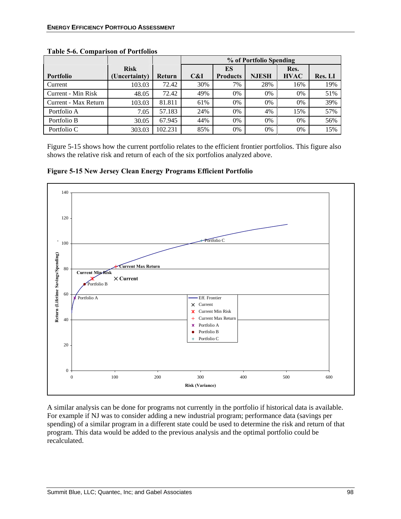|                      |               |         | % of Portfolio Spending |                 |              |             |                |
|----------------------|---------------|---------|-------------------------|-----------------|--------------|-------------|----------------|
|                      | <b>Risk</b>   |         |                         | ES              |              | Res.        |                |
| <b>Portfolio</b>     | (Uncertainty) | Return  | C&I                     | <b>Products</b> | <b>NJESH</b> | <b>HVAC</b> | <b>Res. LI</b> |
| Current              | 103.03        | 72.42   | 30%                     | 7%              | 28%          | 16%         | 19%            |
| Current - Min Risk   | 48.05         | 72.42   | 49%                     | 0%              | 0%           | $0\%$       | 51%            |
| Current - Max Return | 103.03        | 81.811  | 61%                     | 0%              | 0%           | $0\%$       | 39%            |
| Portfolio A          | 7.05          | 57.183  | 24%                     | 0%              | 4%           | 15%         | 57%            |
| Portfolio B          | 30.05         | 67.945  | 44%                     | 0%              | 0%           | 0%          | 56%            |
| Portfolio C          | 303.03        | 102.231 | 85%                     | 0%              | 0%           | $0\%$       | 15%            |

#### **Table 5-6. Comparison of Portfolios**

Figure 5-15 shows how the current portfolio relates to the efficient frontier portfolios. This figure also shows the relative risk and return of each of the six portfolios analyzed above.

**Figure 5-15 New Jersey Clean Energy Programs Efficient Portfolio** 



A similar analysis can be done for programs not currently in the portfolio if historical data is available. For example if NJ was to consider adding a new industrial program; performance data (savings per spending) of a similar program in a different state could be used to determine the risk and return of that program. This data would be added to the previous analysis and the optimal portfolio could be recalculated.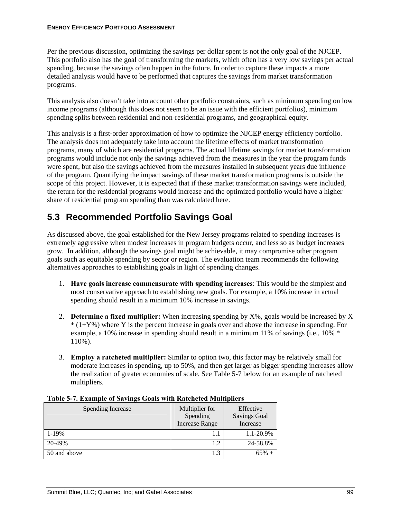Per the previous discussion, optimizing the savings per dollar spent is not the only goal of the NJCEP. This portfolio also has the goal of transforming the markets, which often has a very low savings per actual spending, because the savings often happen in the future. In order to capture these impacts a more detailed analysis would have to be performed that captures the savings from market transformation programs.

This analysis also doesn't take into account other portfolio constraints, such as minimum spending on low income programs (although this does not seem to be an issue with the efficient portfolios), minimum spending splits between residential and non-residential programs, and geographical equity.

This analysis is a first-order approximation of how to optimize the NJCEP energy efficiency portfolio. The analysis does not adequately take into account the lifetime effects of market transformation programs, many of which are residential programs. The actual lifetime savings for market transformation programs would include not only the savings achieved from the measures in the year the program funds were spent, but also the savings achieved from the measures installed in subsequent years due influence of the program. Quantifying the impact savings of these market transformation programs is outside the scope of this project. However, it is expected that if these market transformation savings were included, the return for the residential programs would increase and the optimized portfolio would have a higher share of residential program spending than was calculated here.

# **5.3 Recommended Portfolio Savings Goal**

As discussed above, the goal established for the New Jersey programs related to spending increases is extremely aggressive when modest increases in program budgets occur, and less so as budget increases grow. In addition, although the savings goal might be achievable, it may compromise other program goals such as equitable spending by sector or region. The evaluation team recommends the following alternatives approaches to establishing goals in light of spending changes.

- 1. **Have goals increase commensurate with spending increases**: This would be the simplest and most conservative approach to establishing new goals. For example, a 10% increase in actual spending should result in a minimum 10% increase in savings.
- 2. **Determine a fixed multiplier:** When increasing spending by X%, goals would be increased by X  $*(1+Y%)$  where Y is the percent increase in goals over and above the increase in spending. For example, a 10% increase in spending should result in a minimum 11% of savings (i.e., 10% \* 110%).
- 3. **Employ a ratcheted multiplier:** Similar to option two, this factor may be relatively small for moderate increases in spending, up to 50%, and then get larger as bigger spending increases allow the realization of greater economies of scale. See Table 5-7 below for an example of ratcheted multipliers.

| <b>Spending Increase</b> | Multiplier for<br>Spending<br><b>Increase Range</b> | Effective<br><b>Savings Goal</b><br>Increase |
|--------------------------|-----------------------------------------------------|----------------------------------------------|
| $1 - 19%$                |                                                     | 1.1-20.9%                                    |
| 20-49%                   | 1.2                                                 | 24-58.8%                                     |
| 50 and above             | 1.3                                                 | 65% +                                        |

#### **Table 5-7. Example of Savings Goals with Ratcheted Multipliers**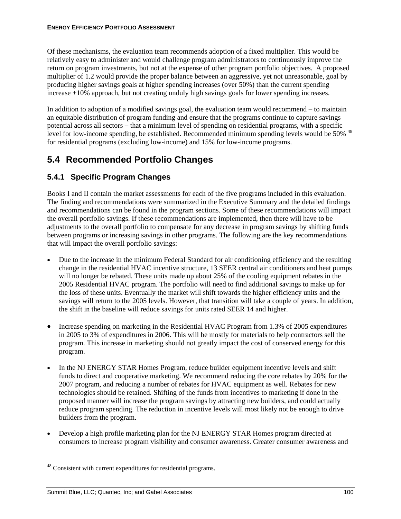Of these mechanisms, the evaluation team recommends adoption of a fixed multiplier. This would be relatively easy to administer and would challenge program administrators to continuously improve the return on program investments, but not at the expense of other program portfolio objectives. A proposed multiplier of 1.2 would provide the proper balance between an aggressive, yet not unreasonable, goal by producing higher savings goals at higher spending increases (over 50%) than the current spending increase +10% approach, but not creating unduly high savings goals for lower spending increases.

In addition to adoption of a modified savings goal, the evaluation team would recommend – to maintain an equitable distribution of program funding and ensure that the programs continue to capture savings potential across all sectors – that a minimum level of spending on residential programs, with a specific level for low-income spending, be established. Recommended minimum spending levels would be 50% <sup>48</sup> for residential programs (excluding low-income) and 15% for low-income programs.

# **5.4 Recommended Portfolio Changes**

### **5.4.1 Specific Program Changes**

Books I and II contain the market assessments for each of the five programs included in this evaluation. The finding and recommendations were summarized in the Executive Summary and the detailed findings and recommendations can be found in the program sections. Some of these recommendations will impact the overall portfolio savings. If these recommendations are implemented, then there will have to be adjustments to the overall portfolio to compensate for any decrease in program savings by shifting funds between programs or increasing savings in other programs. The following are the key recommendations that will impact the overall portfolio savings:

- Due to the increase in the minimum Federal Standard for air conditioning efficiency and the resulting change in the residential HVAC incentive structure, 13 SEER central air conditioners and heat pumps will no longer be rebated. These units made up about 25% of the cooling equipment rebates in the 2005 Residential HVAC program. The portfolio will need to find additional savings to make up for the loss of these units. Eventually the market will shift towards the higher efficiency units and the savings will return to the 2005 levels. However, that transition will take a couple of years. In addition, the shift in the baseline will reduce savings for units rated SEER 14 and higher.
- Increase spending on marketing in the Residential HVAC Program from 1.3% of 2005 expenditures in 2005 to 3% of expenditures in 2006. This will be mostly for materials to help contractors sell the program. This increase in marketing should not greatly impact the cost of conserved energy for this program.
- In the NJ ENERGY STAR Homes Program, reduce builder equipment incentive levels and shift funds to direct and cooperative marketing. We recommend reducing the core rebates by 20% for the 2007 program, and reducing a number of rebates for HVAC equipment as well. Rebates for new technologies should be retained. Shifting of the funds from incentives to marketing if done in the proposed manner will increase the program savings by attracting new builders, and could actually reduce program spending. The reduction in incentive levels will most likely not be enough to drive builders from the program.
- Develop a high profile marketing plan for the NJ ENERGY STAR Homes program directed at consumers to increase program visibility and consumer awareness. Greater consumer awareness and

<sup>&</sup>lt;sup>48</sup> Consistent with current expenditures for residential programs.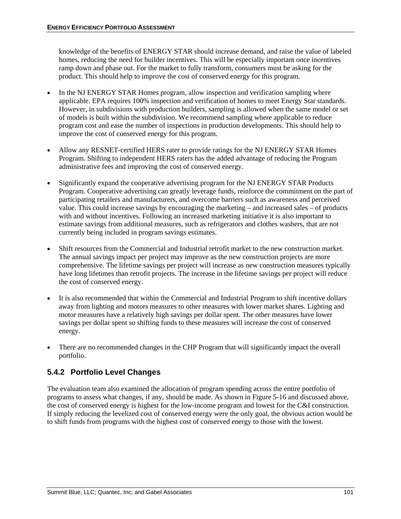knowledge of the benefits of ENERGY STAR should increase demand, and raise the value of labeled homes, reducing the need for builder incentives. This will be especially important once incentives ramp down and phase out. For the market to fully transform, consumers must be asking for the product. This should help to improve the cost of conserved energy for this program.

- In the NJ ENERGY STAR Homes program, allow inspection and verification sampling where applicable. EPA requires 100% inspection and verification of homes to meet Energy Star standards. However, in subdivisions with production builders, sampling is allowed when the same model or set of models is built within the subdivision. We recommend sampling where applicable to reduce program cost and ease the number of inspections in production developments. This should help to improve the cost of conserved energy for this program.
- Allow any RESNET-certified HERS rater to provide ratings for the NJ ENERGY STAR Homes Program. Shifting to independent HERS raters has the added advantage of reducing the Program administrative fees and improving the cost of conserved energy.
- Significantly expand the cooperative advertising program for the NJ ENERGY STAR Products Program. Cooperative advertising can greatly leverage funds, reinforce the commitment on the part of participating retailers and manufacturers, and overcome barriers such as awareness and perceived value. This could increase savings by encouraging the marketing – and increased sales – of products with and without incentives. Following an increased marketing initiative it is also important to estimate savings from additional measures, such as refrigerators and clothes washers, that are not currently being included in program savings estimates.
- Shift resources from the Commercial and Industrial retrofit market to the new construction market. The annual savings impact per project may improve as the new construction projects are more comprehensive. The lifetime savings per project will increase as new construction measures typically have long lifetimes than retrofit projects. The increase in the lifetime savings per project will reduce the cost of conserved energy.
- It is also recommended that within the Commercial and Industrial Program to shift incentive dollars away from lighting and motors measures to other measures with lower market shares. Lighting and motor measures have a relatively high savings per dollar spent. The other measures have lower savings per dollar spent so shifting funds to these measures will increase the cost of conserved energy.
- There are no recommended changes in the CHP Program that will significantly impact the overall portfolio.

### **5.4.2 Portfolio Level Changes**

The evaluation team also examined the allocation of program spending across the entire portfolio of programs to assess what changes, if any, should be made. As shown in Figure 5-16 and discussed above, the cost of conserved energy is highest for the low-income program and lowest for the C&I construction. If simply reducing the levelized cost of conserved energy were the only goal, the obvious action would be to shift funds from programs with the highest cost of conserved energy to those with the lowest.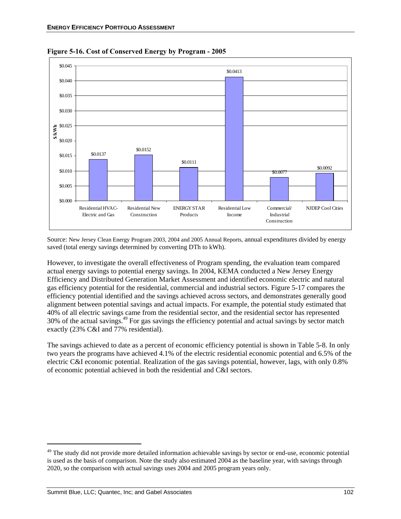

**Figure 5-16. Cost of Conserved Energy by Program - 2005** 

Source: New Jersey Clean Energy Program 2003, 2004 and 2005 Annual Reports, annual expenditures divided by energy saved (total energy savings determined by converting DTh to kWh).

However, to investigate the overall effectiveness of Program spending, the evaluation team compared actual energy savings to potential energy savings. In 2004, KEMA conducted a New Jersey Energy Efficiency and Distributed Generation Market Assessment and identified economic electric and natural gas efficiency potential for the residential, commercial and industrial sectors. Figure 5-17 compares the efficiency potential identified and the savings achieved across sectors, and demonstrates generally good alignment between potential savings and actual impacts. For example, the potential study estimated that 40% of all electric savings came from the residential sector, and the residential sector has represented 30% of the actual savings.49 For gas savings the efficiency potential and actual savings by sector match exactly (23% C&I and 77% residential).

The savings achieved to date as a percent of economic efficiency potential is shown in Table 5-8. In only two years the programs have achieved 4.1% of the electric residential economic potential and 6.5% of the electric C&I economic potential. Realization of the gas savings potential, however, lags, with only 0.8% of economic potential achieved in both the residential and C&I sectors.

1

<sup>&</sup>lt;sup>49</sup> The study did not provide more detailed information achievable savings by sector or end-use, economic potential is used as the basis of comparison. Note the study also estimated 2004 as the baseline year, with savings through 2020, so the comparison with actual savings uses 2004 and 2005 program years only.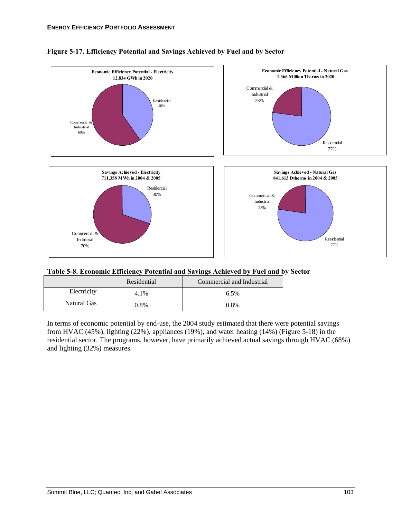

#### **Figure 5-17. Efficiency Potential and Savings Achieved by Fuel and by Sector**

| Table 5-8. Economic Efficiency Potential and Savings Achieved by Fuel and by Sector |  |  |
|-------------------------------------------------------------------------------------|--|--|
|                                                                                     |  |  |

|             | Residential | Commercial and Industrial |
|-------------|-------------|---------------------------|
| Electricity | 4.1%        | 6.5%                      |
| Natural Gas | 0.8%        | 0.8%                      |

In terms of economic potential by end-use, the 2004 study estimated that there were potential savings from HVAC (45%), lighting (22%), appliances (19%), and water heating (14%) (Figure 5-18) in the residential sector. The programs, however, have primarily achieved actual savings through HVAC (68%) and lighting (32%) measures.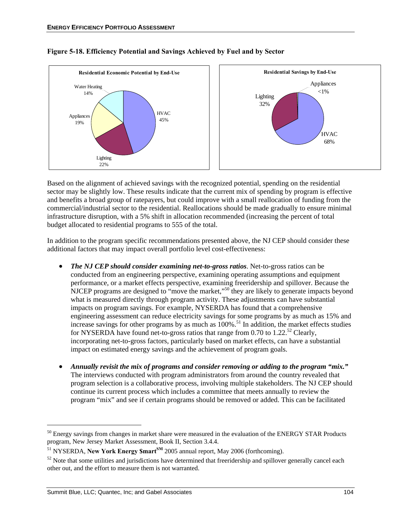

#### **Figure 5-18. Efficiency Potential and Savings Achieved by Fuel and by Sector**

Based on the alignment of achieved savings with the recognized potential, spending on the residential sector may be slightly low. These results indicate that the current mix of spending by program is effective and benefits a broad group of ratepayers, but could improve with a small reallocation of funding from the commercial/industrial sector to the residential. Reallocations should be made gradually to ensure minimal infrastructure disruption, with a 5% shift in allocation recommended (increasing the percent of total budget allocated to residential programs to 555 of the total.

In addition to the program specific recommendations presented above, the NJ CEP should consider these additional factors that may impact overall portfolio level cost-effectiveness:

- *The NJ CEP should consider examining net-to-gross ratios*. Net-to-gross ratios can be conducted from an engineering perspective, examining operating assumptions and equipment performance, or a market effects perspective, examining freeridership and spillover. Because the NJCEP programs are designed to "move the market,"<sup>50</sup> they are likely to generate impacts beyond what is measured directly through program activity. These adjustments can have substantial impacts on program savings. For example, NYSERDA has found that a comprehensive engineering assessment can reduce electricity savings for some programs by as much as 15% and increase savings for other programs by as much as  $100\%$ .<sup>51</sup> In addition, the market effects studies for NYSERDA have found net-to-gross ratios that range from 0.70 to 1.22.<sup>52</sup> Clearly, incorporating net-to-gross factors, particularly based on market effects, can have a substantial impact on estimated energy savings and the achievement of program goals.
- *Annually revisit the mix of programs and consider removing or adding to the program "mix."*  The interviews conducted with program administrators from around the country revealed that program selection is a collaborative process, involving multiple stakeholders. The NJ CEP should continue its current process which includes a committee that meets annually to review the program "mix" and see if certain programs should be removed or added. This can be facilitated

1

<sup>&</sup>lt;sup>50</sup> Energy savings from changes in market share were measured in the evaluation of the ENERGY STAR Products program, New Jersey Market Assessment, Book II, Section 3.4.4.

<sup>&</sup>lt;sup>51</sup> NYSERDA, **New York Energy \$mart**<sup>SM</sup> 2005 annual report, May 2006 (forthcoming).<br><sup>52</sup> Note that some utilities and jurisdictions have determined that freeridership and spillover generally cancel each other out, and the effort to measure them is not warranted.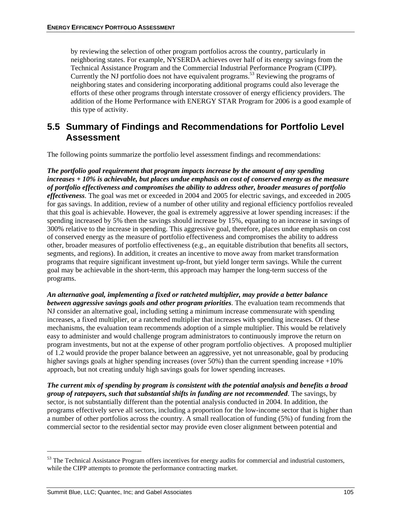by reviewing the selection of other program portfolios across the country, particularly in neighboring states. For example, NYSERDA achieves over half of its energy savings from the Technical Assistance Program and the Commercial Industrial Performance Program (CIPP). Currently the NJ portfolio does not have equivalent programs.<sup>53</sup> Reviewing the programs of neighboring states and considering incorporating additional programs could also leverage the efforts of these other programs through interstate crossover of energy efficiency providers. The addition of the Home Performance with ENERGY STAR Program for 2006 is a good example of this type of activity.

### **5.5 Summary of Findings and Recommendations for Portfolio Level Assessment**

The following points summarize the portfolio level assessment findings and recommendations:

*The portfolio goal requirement that program impacts increase by the amount of any spending increases + 10% is achievable, but places undue emphasis on cost of conserved energy as the measure of portfolio effectiveness and compromises the ability to address other, broader measures of portfolio effectiveness*. The goal was met or exceeded in 2004 and 2005 for electric savings, and exceeded in 2005 for gas savings. In addition, review of a number of other utility and regional efficiency portfolios revealed that this goal is achievable. However, the goal is extremely aggressive at lower spending increases: if the spending increased by 5% then the savings should increase by 15%, equating to an increase in savings of 300% relative to the increase in spending. This aggressive goal, therefore, places undue emphasis on cost of conserved energy as the measure of portfolio effectiveness and compromises the ability to address other, broader measures of portfolio effectiveness (e.g., an equitable distribution that benefits all sectors, segments, and regions). In addition, it creates an incentive to move away from market transformation programs that require significant investment up-front, but yield longer term savings. While the current goal may be achievable in the short-term, this approach may hamper the long-term success of the programs.

*An alternative goal, implementing a fixed or ratcheted multiplier, may provide a better balance between aggressive savings goals and other program priorities*. The evaluation team recommends that NJ consider an alternative goal, including setting a minimum increase commensurate with spending increases, a fixed multiplier, or a ratcheted multiplier that increases with spending increases. Of these mechanisms, the evaluation team recommends adoption of a simple multiplier. This would be relatively easy to administer and would challenge program administrators to continuously improve the return on program investments, but not at the expense of other program portfolio objectives. A proposed multiplier of 1.2 would provide the proper balance between an aggressive, yet not unreasonable, goal by producing higher savings goals at higher spending increases (over  $50\%$ ) than the current spending increase  $+10\%$ approach, but not creating unduly high savings goals for lower spending increases.

*The current mix of spending by program is consistent with the potential analysis and benefits a broad group of ratepayers, such that substantial shifts in funding are not recommended*. The savings, by sector, is not substantially different than the potential analysis conducted in 2004. In addition, the programs effectively serve all sectors, including a proportion for the low-income sector that is higher than a number of other portfolios across the country. A small reallocation of funding (5%) of funding from the commercial sector to the residential sector may provide even closer alignment between potential and

<sup>&</sup>lt;sup>53</sup> The Technical Assistance Program offers incentives for energy audits for commercial and industrial customers, while the CIPP attempts to promote the performance contracting market.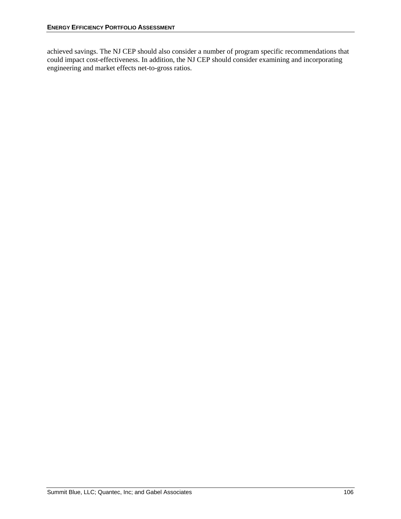achieved savings. The NJ CEP should also consider a number of program specific recommendations that could impact cost-effectiveness. In addition, the NJ CEP should consider examining and incorporating engineering and market effects net-to-gross ratios.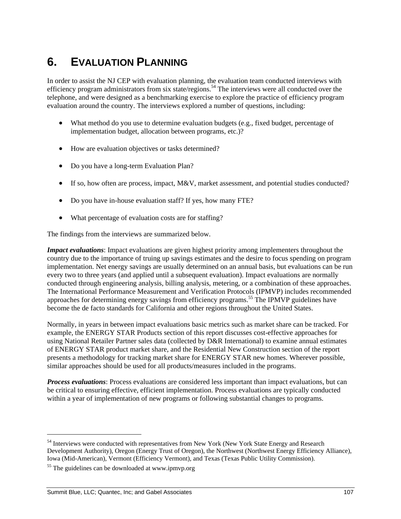## **6. EVALUATION PLANNING**

In order to assist the NJ CEP with evaluation planning, the evaluation team conducted interviews with efficiency program administrators from six state/regions.<sup>54</sup> The interviews were all conducted over the telephone, and were designed as a benchmarking exercise to explore the practice of efficiency program evaluation around the country. The interviews explored a number of questions, including:

- What method do you use to determine evaluation budgets (e.g., fixed budget, percentage of implementation budget, allocation between programs, etc.)?
- How are evaluation objectives or tasks determined?
- Do you have a long-term Evaluation Plan?
- If so, how often are process, impact, M&V, market assessment, and potential studies conducted?
- Do you have in-house evaluation staff? If yes, how many FTE?
- What percentage of evaluation costs are for staffing?

The findings from the interviews are summarized below.

*Impact evaluations*: Impact evaluations are given highest priority among implementers throughout the country due to the importance of truing up savings estimates and the desire to focus spending on program implementation. Net energy savings are usually determined on an annual basis, but evaluations can be run every two to three years (and applied until a subsequent evaluation). Impact evaluations are normally conducted through engineering analysis, billing analysis, metering, or a combination of these approaches. The International Performance Measurement and Verification Protocols (IPMVP) includes recommended approaches for determining energy savings from efficiency programs.<sup>55</sup> The IPMVP guidelines have become the de facto standards for California and other regions throughout the United States.

Normally, in years in between impact evaluations basic metrics such as market share can be tracked. For example, the ENERGY STAR Products section of this report discusses cost-effective approaches for using National Retailer Partner sales data (collected by D&R International) to examine annual estimates of ENERGY STAR product market share, and the Residential New Construction section of the report presents a methodology for tracking market share for ENERGY STAR new homes. Wherever possible, similar approaches should be used for all products/measures included in the programs.

*Process evaluations*: Process evaluations are considered less important than impact evaluations, but can be critical to ensuring effective, efficient implementation. Process evaluations are typically conducted within a year of implementation of new programs or following substantial changes to programs.

l

<sup>&</sup>lt;sup>54</sup> Interviews were conducted with representatives from New York (New York State Energy and Research Development Authority), Oregon (Energy Trust of Oregon), the Northwest (Northwest Energy Efficiency Alliance), Iowa (Mid-American), Vermont (Efficiency Vermont), and Texas (Texas Public Utility Commission). 55 The guidelines can be downloaded at www.ipmvp.org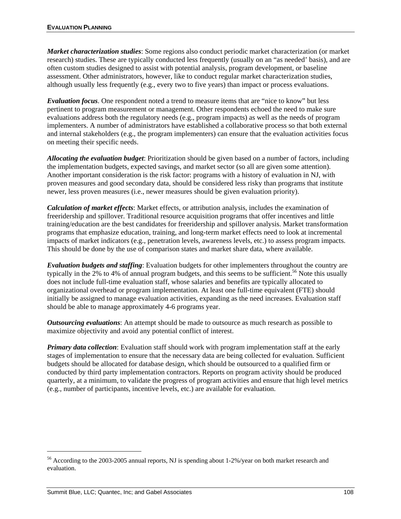*Market characterization studies*: Some regions also conduct periodic market characterization (or market research) studies. These are typically conducted less frequently (usually on an "as needed' basis), and are often custom studies designed to assist with potential analysis, program development, or baseline assessment. Other administrators, however, like to conduct regular market characterization studies, although usually less frequently (e.g., every two to five years) than impact or process evaluations.

*Evaluation focus*. One respondent noted a trend to measure items that are "nice to know" but less pertinent to program measurement or management. Other respondents echoed the need to make sure evaluations address both the regulatory needs (e.g., program impacts) as well as the needs of program implementers. A number of administrators have established a collaborative process so that both external and internal stakeholders (e.g., the program implementers) can ensure that the evaluation activities focus on meeting their specific needs.

*Allocating the evaluation budget*: Prioritization should be given based on a number of factors, including the implementation budgets, expected savings, and market sector (so all are given some attention). Another important consideration is the risk factor: programs with a history of evaluation in NJ, with proven measures and good secondary data, should be considered less risky than programs that institute newer, less proven measures (i.e., newer measures should be given evaluation priority).

*Calculation of market effects*: Market effects, or attribution analysis, includes the examination of freeridership and spillover. Traditional resource acquisition programs that offer incentives and little training/education are the best candidates for freeridership and spillover analysis. Market transformation programs that emphasize education, training, and long-term market effects need to look at incremental impacts of market indicators (e.g., penetration levels, awareness levels, etc.) to assess program impacts. This should be done by the use of comparison states and market share data, where available.

*Evaluation budgets and staffing*: Evaluation budgets for other implementers throughout the country are typically in the 2% to 4% of annual program budgets, and this seems to be sufficient.<sup>56</sup> Note this usually does not include full-time evaluation staff, whose salaries and benefits are typically allocated to organizational overhead or program implementation. At least one full-time equivalent (FTE) should initially be assigned to manage evaluation activities, expanding as the need increases. Evaluation staff should be able to manage approximately 4-6 programs year.

*Outsourcing evaluations*: An attempt should be made to outsource as much research as possible to maximize objectivity and avoid any potential conflict of interest.

*Primary data collection*: Evaluation staff should work with program implementation staff at the early stages of implementation to ensure that the necessary data are being collected for evaluation. Sufficient budgets should be allocated for database design, which should be outsourced to a qualified firm or conducted by third party implementation contractors. Reports on program activity should be produced quarterly, at a minimum, to validate the progress of program activities and ensure that high level metrics (e.g., number of participants, incentive levels, etc.) are available for evaluation.

l

<sup>&</sup>lt;sup>56</sup> According to the 2003-2005 annual reports, NJ is spending about 1-2%/year on both market research and evaluation.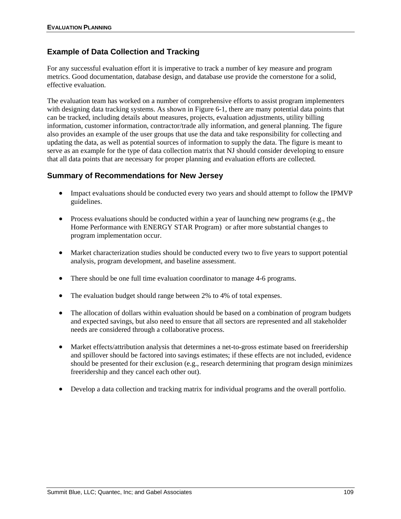## **Example of Data Collection and Tracking**

For any successful evaluation effort it is imperative to track a number of key measure and program metrics. Good documentation, database design, and database use provide the cornerstone for a solid, effective evaluation.

The evaluation team has worked on a number of comprehensive efforts to assist program implementers with designing data tracking systems. As shown in Figure 6-1, there are many potential data points that can be tracked, including details about measures, projects, evaluation adjustments, utility billing information, customer information, contractor/trade ally information, and general planning. The figure also provides an example of the user groups that use the data and take responsibility for collecting and updating the data, as well as potential sources of information to supply the data. The figure is meant to serve as an example for the type of data collection matrix that NJ should consider developing to ensure that all data points that are necessary for proper planning and evaluation efforts are collected.

## **Summary of Recommendations for New Jersey**

- Impact evaluations should be conducted every two years and should attempt to follow the IPMVP guidelines.
- Process evaluations should be conducted within a year of launching new programs (e.g., the Home Performance with ENERGY STAR Program) or after more substantial changes to program implementation occur.
- Market characterization studies should be conducted every two to five years to support potential analysis, program development, and baseline assessment.
- There should be one full time evaluation coordinator to manage 4-6 programs.
- The evaluation budget should range between 2% to 4% of total expenses.
- The allocation of dollars within evaluation should be based on a combination of program budgets and expected savings, but also need to ensure that all sectors are represented and all stakeholder needs are considered through a collaborative process.
- Market effects/attribution analysis that determines a net-to-gross estimate based on freeridership and spillover should be factored into savings estimates; if these effects are not included, evidence should be presented for their exclusion (e.g., research determining that program design minimizes freeridership and they cancel each other out).
- Develop a data collection and tracking matrix for individual programs and the overall portfolio.